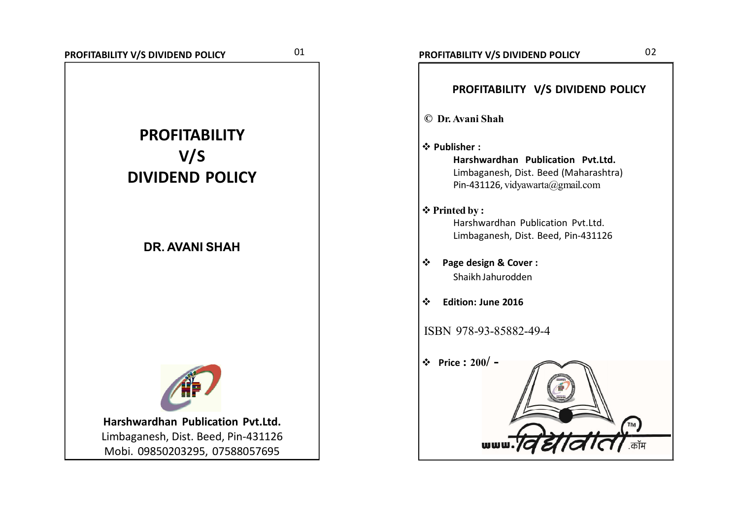

| PROFITABILITY V/S DIVIDEND POLICY                                                                                              |
|--------------------------------------------------------------------------------------------------------------------------------|
| © Dr. Avani Shah                                                                                                               |
| ❖ Publisher:<br>Harshwardhan Publication Pvt.Ltd.<br>Limbaganesh, Dist. Beed (Maharashtra)<br>Pin-431126, vidyawarta@gmail.com |
| ❖ Printed by:<br>Harshwardhan Publication Pyt.Ltd.<br>Limbaganesh, Dist. Beed, Pin-431126                                      |
| Page design & Cover:<br>Shaikh Jahurodden                                                                                      |
| <b>Edition: June 2016</b>                                                                                                      |
| ISBN 978-93-85882-49-4                                                                                                         |
| Price: $200/ -$<br>❖                                                                                                           |
| dia<br>wwu                                                                                                                     |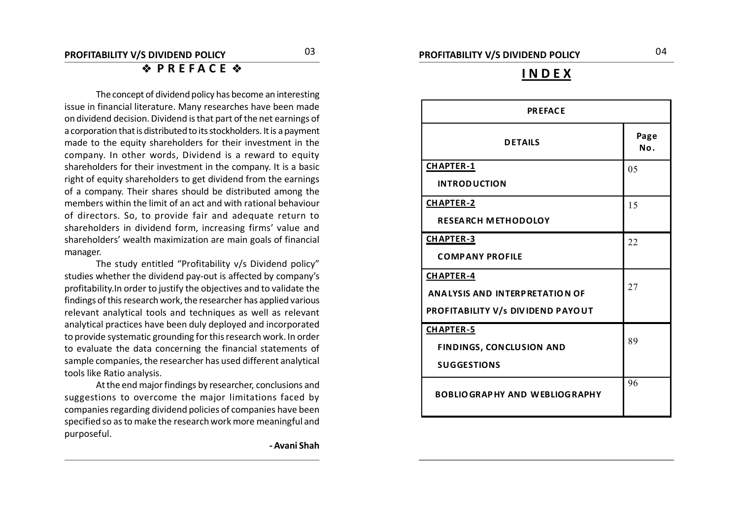### **I N D E X**

| <b>PREFACE</b>                           |             |  |  |  |  |  |
|------------------------------------------|-------------|--|--|--|--|--|
| <b>DETAILS</b>                           | Page<br>No. |  |  |  |  |  |
| <b>CHAPTER-1</b>                         | 05          |  |  |  |  |  |
| <b>INTRODUCTION</b>                      |             |  |  |  |  |  |
| <b>CHAPTER-2</b>                         | 15          |  |  |  |  |  |
| <b>RESEARCH METHODOLOY</b>               |             |  |  |  |  |  |
| CHAPTER-3                                | 22          |  |  |  |  |  |
| <b>COMPANY PROFILE</b>                   |             |  |  |  |  |  |
| <b>CHAPTER-4</b>                         |             |  |  |  |  |  |
| <b>ANALYSIS AND INTERPRETATION OF</b>    | 27          |  |  |  |  |  |
| <b>PROFITABILITY V/s DIVIDEND PAYOUT</b> |             |  |  |  |  |  |
| <b>CHAPTER-5</b>                         |             |  |  |  |  |  |
| <b>FINDINGS, CONCLUSION AND</b>          | 89          |  |  |  |  |  |
| <b>SUGGESTIONS</b>                       |             |  |  |  |  |  |
| <b>BOBLIOGRAPHY AND WEBLIOGRAPHY</b>     | 96          |  |  |  |  |  |

*<u><b>* PREFACE  $\circ$ </u>

**1** shareholders' wealth maximization are main goals of financial The concept of dividend policy has become an interesting issue in financial literature. Many researches have been made on dividend decision. Dividend is that part of the net earnings of a corporation that is distributed to its stockholders. It is a payment made to the equity shareholders for their investment in the company. In other words, Dividend is a reward to equity shareholders for their investment in the company. It is a basic right of equity shareholders to get dividend from the earnings of a company. Their shares should be distributed among the members within the limit of an act and with rational behaviour of directors. So, to provide fair and adequate return to shareholders in dividend form, increasing firms' value and manager.

The study entitled "Profitability v/s Dividend policy" studies whether the dividend pay-out is affected by company's profitability.In order to justify the objectives and to validate the findings of this research work, the researcher has applied various relevant analytical tools and techniques as well as relevant analytical practices have been duly deployed and incorporated to provide systematic grounding for this research work. In order to evaluate the data concerning the financial statements of sample companies, the researcher has used different analytical tools like Ratio analysis.

At the end major findings by researcher, conclusions and suggestions to overcome the major limitations faced by companies regarding dividend policies of companies have been specified so as to make the research work more meaningful and purposeful.

**- Avani Shah**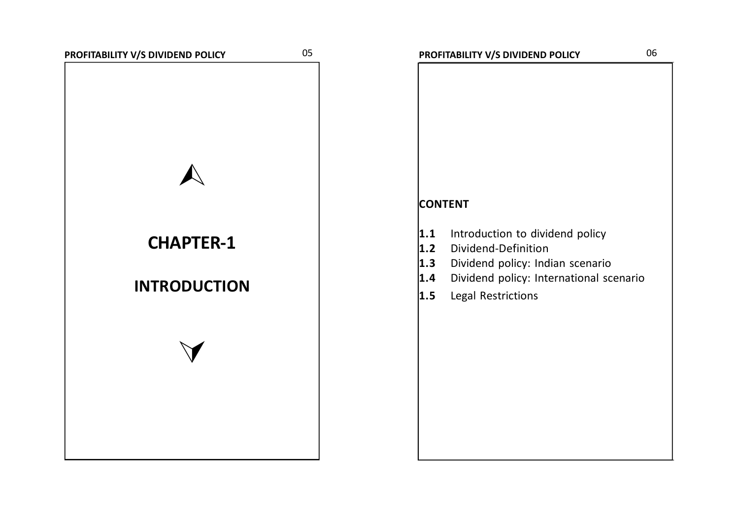# 

# **CHAPTER-1**

## **INTRODUCTION**

 $\vee$ 

# **CONTENT 1.1** Introduction to dividend policy **1.2** Dividend-Definition **1.3** Dividend policy: Indian scenario **1.4** Dividend policy: International scenario **1.5** Legal Restrictions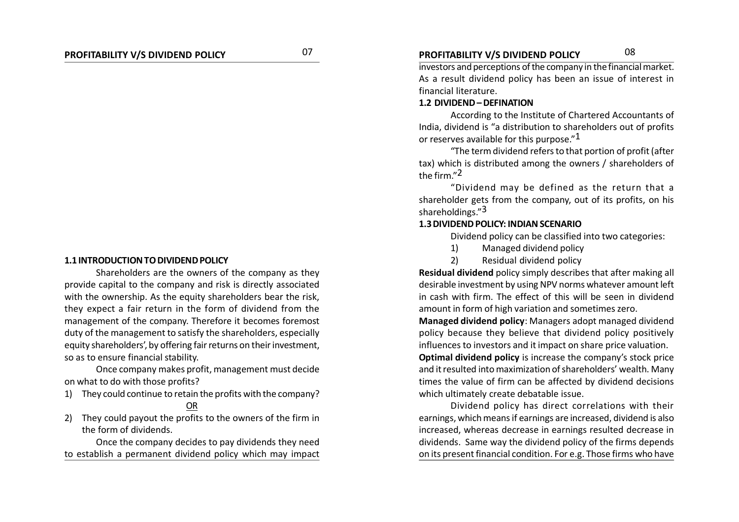#### **1.1 INTRODUCTION TO DIVIDEND POLICY**

Shareholders are the owners of the company as they provide capital to the company and risk is directly associated with the ownership. As the equity shareholders bear the risk, they expect a fair return in the form of dividend from the management of the company. Therefore it becomes foremost duty of the management to satisfy the shareholders, especially equity shareholders', by offering fair returns on their investment, so as to ensure financial stability.

Once company makes profit, management must decide on what to do with those profits?

1) They could continue to retain the profits with the company?

### OR

2) They could payout the profits to the owners of the firm in the form of dividends.

Once the company decides to pay dividends they need to establish a permanent dividend policy which may impact

### **PROFITABILITY V/S DIVIDEND POLICY PROFITABILITY V/S DIVIDEND POLICY** 0708

investors and perceptions of the company in the financial market. As a result dividend policy has been an issue of interest in financial literature.

#### **1.2 DIVIDEND – DEFINATION**

According to the Institute of Chartered Accountants of India, dividend is "a distribution to shareholders out of profits or reserves available for this purpose."<sup>1</sup>

"The term dividend refers to that portion of profit (after tax) which is distributed among the owners / shareholders of the firm."2

"Dividend may be defined as the return that a shareholder gets from the company, out of its profits, on his shareholdings."3

#### **1.3 DIVIDEND POLICY: INDIAN SCENARIO**

Dividend policy can be classified into two categories:

- 1) Managed dividend policy
- 2) Residual dividend policy

**Residual dividend** policy simply describes that after making all desirable investment by using NPV norms whatever amount left in cash with firm. The effect of this will be seen in dividend amount in form of high variation and sometimes zero.

**Managed dividend policy**: Managers adopt managed dividend policy because they believe that dividend policy positively influences to investors and it impact on share price valuation.

**Optimal dividend policy** is increase the company's stock price and it resulted into maximization of shareholders' wealth. Many times the value of firm can be affected by dividend decisions which ultimately create debatable issue.

Dividend policy has direct correlations with their earnings, which means if earnings are increased, dividend is also increased, whereas decrease in earnings resulted decrease in dividends. Same way the dividend policy of the firms depends on its present financial condition. For e.g. Those firms who have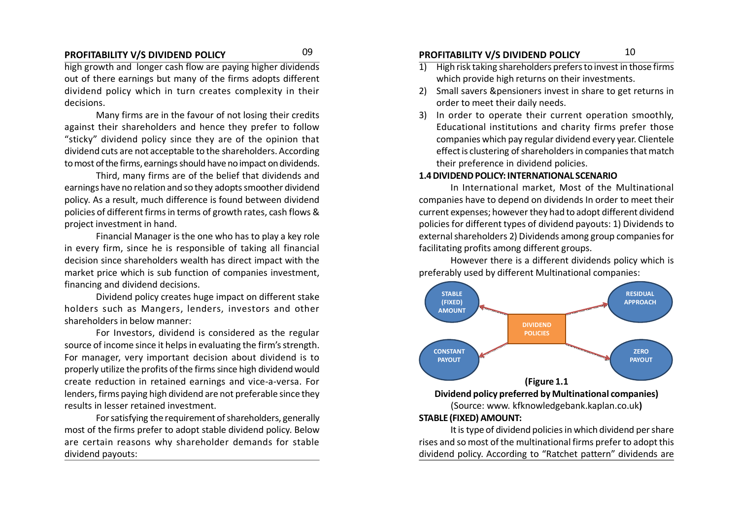high growth and longer cash flow are paying higher dividends out of there earnings but many of the firms adopts different dividend policy which in turn creates complexity in their decisions.

Many firms are in the favour of not losing their credits against their shareholders and hence they prefer to follow "sticky" dividend policy since they are of the opinion that dividend cuts are not acceptable to the shareholders. According to most of the firms, earnings should have no impact on dividends.

Third, many firms are of the belief that dividends and earnings have no relation and so they adopts smoother dividend policy. As a result, much difference is found between dividend policies of different firms in terms of growth rates, cash flows & project investment in hand.

Financial Manager is the one who has to play a key role in every firm, since he is responsible of taking all financial decision since shareholders wealth has direct impact with the market price which is sub function of companies investment, financing and dividend decisions.

Dividend policy creates huge impact on different stake holders such as Mangers, lenders, investors and other shareholders in below manner:

For Investors, dividend is considered as the regular source of income since it helps in evaluating the firm's strength. For manager, very important decision about dividend is to properly utilize the profits of the firms since high dividend would create reduction in retained earnings and vice-a-versa. For lenders, firms paying high dividend are not preferable since they results in lesser retained investment.

For satisfying the requirement of shareholders, generally most of the firms prefer to adopt stable dividend policy. Below are certain reasons why shareholder demands for stable dividend payouts:

### **PROFITABILITY V/S DIVIDEND POLICY PROFITABILITY V/S DIVIDEND POLICY** 0910

- $\overline{1}$  High risk taking shareholders prefers to invest in those firms which provide high returns on their investments.
- 2) Small savers &pensioners invest in share to get returns in order to meet their daily needs.
- 3) In order to operate their current operation smoothly, Educational institutions and charity firms prefer those companies which pay regular dividend every year. Clientele effect is clustering of shareholders in companies that match their preference in dividend policies.

#### **1.4 DIVIDEND POLICY: INTERNATIONAL SCENARIO**

In International market, Most of the Multinational companies have to depend on dividends In order to meet their current expenses; however they had to adopt different dividend policies for different types of dividend payouts: 1) Dividends to external shareholders 2) Dividends among group companies for facilitating profits among different groups.

However there is a different dividends policy which is preferably used by different Multinational companies:



(Source: www. kfknowledgebank.kaplan.co.uk**) STABLE (FIXED) AMOUNT:**

It is type of dividend policies in which dividend per share rises and so most of the multinational firms prefer to adopt this dividend policy. According to "Ratchet pattern" dividends are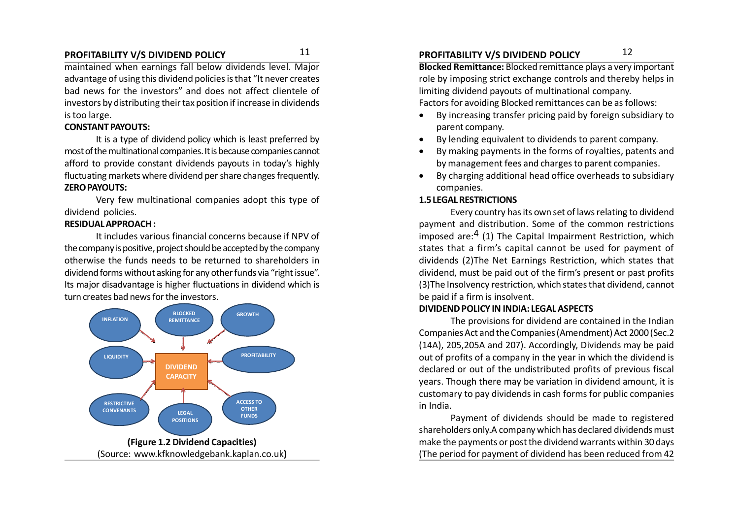maintained when earnings fall below dividends level. Major advantage of using this dividend policies is that "It never creates bad news for the investors" and does not affect clientele of investors by distributing their tax position if increase in dividends is too large.

#### **CONSTANT PAYOUTS:**

It is a type of dividend policy which is least preferred by most of the multinational companies. It is because companies cannot afford to provide constant dividends payouts in today's highly fluctuating markets where dividend per share changes frequently. **ZERO PAYOUTS:**

Very few multinational companies adopt this type of dividend policies.

#### **RESIDUAL APPROACH :**

It includes various financial concerns because if NPV of the company is positive, project should be accepted by the company otherwise the funds needs to be returned to shareholders in dividend forms without asking for any other funds via "right issue". Its major disadvantage is higher fluctuations in dividend which is turn creates bad news for the investors.



### **PROFITABILITY V/S DIVIDEND POLICY PROFITABILITY V/S DIVIDEND POLICY** 1112

**Blocked Remittance:** Blocked remittance plays a very important role by imposing strict exchange controls and thereby helps in limiting dividend payouts of multinational company. Factors for avoiding Blocked remittances can be as follows:

- By increasing transfer pricing paid by foreign subsidiary to parent company.
- By lending equivalent to dividends to parent company.
- By making payments in the forms of royalties, patents and by management fees and charges to parent companies.
- By charging additional head office overheads to subsidiary companies.

#### **1.5 LEGAL RESTRICTIONS**

Every country has its own set of laws relating to dividend payment and distribution. Some of the common restrictions imposed are:4 (1) The Capital Impairment Restriction, which states that a firm's capital cannot be used for payment of dividends (2)The Net Earnings Restriction, which states that dividend, must be paid out of the firm's present or past profits (3)The Insolvency restriction, which states that dividend, cannot be paid if a firm is insolvent.

#### **DIVIDEND POLICY IN INDIA: LEGAL ASPECTS**

The provisions for dividend are contained in the Indian Companies Act and the Companies (Amendment) Act 2000 (Sec.2 (14A), 205,205A and 207). Accordingly, Dividends may be paid out of profits of a company in the year in which the dividend is declared or out of the undistributed profits of previous fiscal years. Though there may be variation in dividend amount, it is customary to pay dividends in cash forms for public companies in India.

Payment of dividends should be made to registered shareholders only.A company which has declared dividends must make the payments or post the dividend warrants within 30 days (The period for payment of dividend has been reduced from 42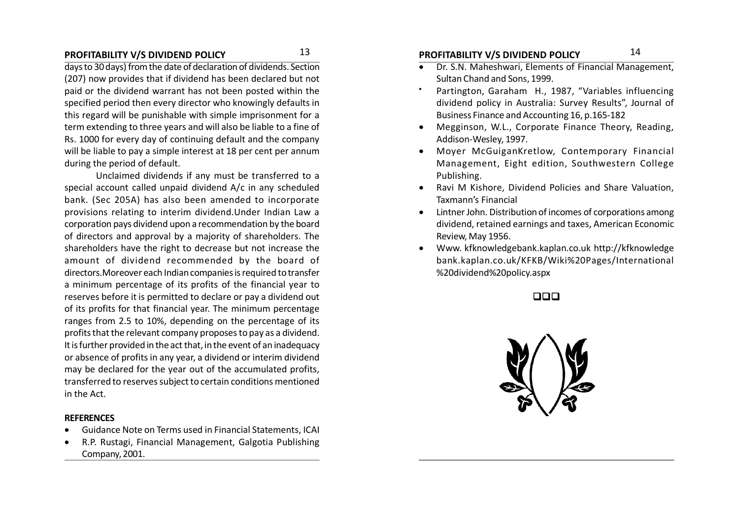days to 30 days) from the date of declaration of dividends. Section (207) now provides that if dividend has been declared but not paid or the dividend warrant has not been posted within the specified period then every director who knowingly defaults in this regard will be punishable with simple imprisonment for a term extending to three years and will also be liable to a fine of Rs. 1000 for every day of continuing default and the company will be liable to pay a simple interest at 18 per cent per annum during the period of default.

Unclaimed dividends if any must be transferred to a special account called unpaid dividend A/c in any scheduled bank. (Sec 205A) has also been amended to incorporate provisions relating to interim dividend.Under Indian Law a corporation pays dividend upon a recommendation by the board of directors and approval by a majority of shareholders. The shareholders have the right to decrease but not increase the amount of dividend recommended by the board of directors.Moreover each Indian companies is required to transfer a minimum percentage of its profits of the financial year to reserves before it is permitted to declare or pay a dividend out of its profits for that financial year. The minimum percentage ranges from 2.5 to 10%, depending on the percentage of its profits that the relevant company proposes to pay as a dividend. It is further provided in the act that, in the event of an inadequacy or absence of profits in any year, a dividend or interim dividend may be declared for the year out of the accumulated profits, transferred to reserves subject to certain conditions mentioned in the Act.

#### **REFERENCES**

- Guidance Note on Terms used in Financial Statements, ICAI
- R.P. Rustagi, Financial Management, Galgotia Publishing Company, 2001.

### **PROFITABILITY V/S DIVIDEND POLICY PROFITABILITY V/S DIVIDEND POLICY** 1314

- **Dr. S.N. Maheshwari, Elements of Financial Management,** Sultan Chand and Sons, 1999.
- Partington, Garaham H., 1987, "Variables influencing dividend policy in Australia: Survey Results", Journal of Business Finance and Accounting 16, p.165-182
- Megginson, W.L., Corporate Finance Theory, Reading, Addison-Wesley, 1997.
- Moyer McGuiganKretlow, Contemporary Financial Management, Eight edition, Southwestern College Publishing.
- Ravi M Kishore, Dividend Policies and Share Valuation, Taxmann's Financial
- Lintner John. Distribution of incomes of corporations among dividend, retained earnings and taxes, American Economic Review, May 1956.
- Www. kfknowledgebank.kaplan.co.uk http://kfknowledge bank.kaplan.co.uk/KFKB/Wiki%20Pages/International %20dividend%20policy.aspx

#### $\Box$

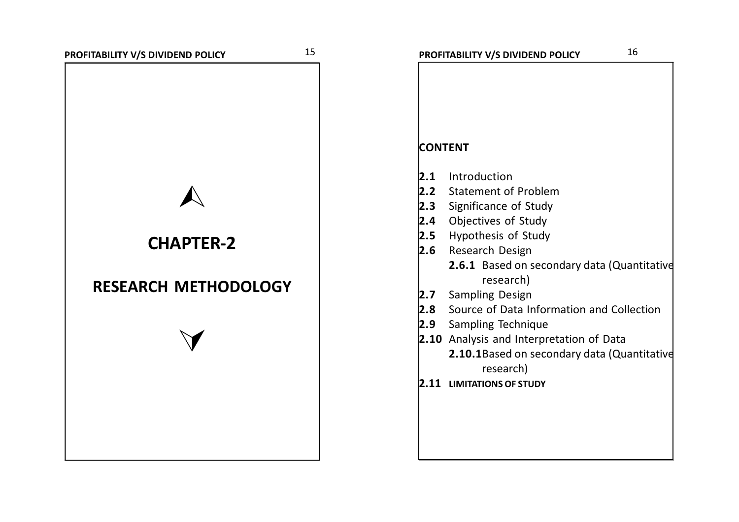**CHAPTER-2**

**RESEARCH METHODOLOGY**

 $\vee$ 

## **CONTENT**

- **2.1** Introduction
- **2.2** Statement of Problem
- **2.3** Significance of Study
- **2.4** Objectives of Study
- **2.5** Hypothesis of Study
- **2.6** Research Design
	- **2.6.1** Based on secondary data (Quantitative research)
- **2.7** Sampling Design
- **2.8** Source of Data Information and Collection
- **2.9** Sampling Technique
- **2.10** Analysis and Interpretation of Data
	- **2.10.1**Based on secondary data (Quantitative research)
- **2.11 LIMITATIONS OF STUDY**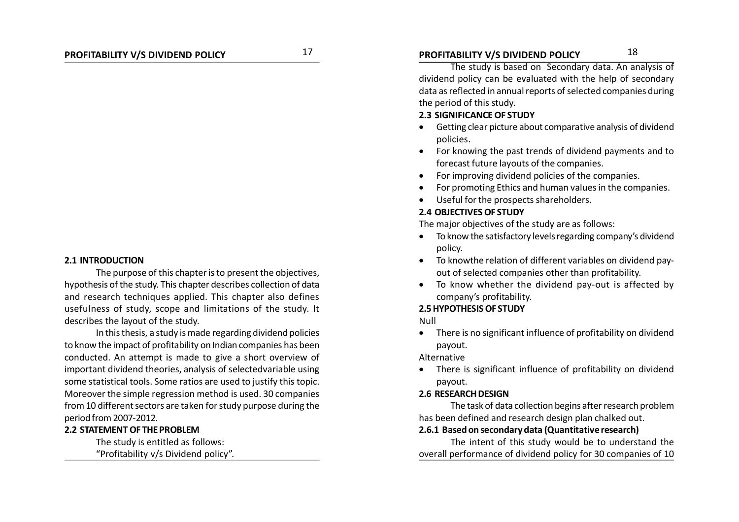### **PROFITABILITY V/S DIVIDEND POLICY PROFITABILITY V/S DIVIDEND POLICY** 1718

The study is based on Secondary data. An analysis of dividend policy can be evaluated with the help of secondary data as reflected in annual reports of selected companies during the period of this study.

#### **2.3 SIGNIFICANCE OF STUDY**

- Getting clear picture about comparative analysis of dividend policies.
- For knowing the past trends of dividend payments and to forecast future layouts of the companies.
- For improving dividend policies of the companies.
- For promoting Ethics and human values in the companies.
- Useful for the prospects shareholders.

#### **2.4 OBJECTIVES OF STUDY**

The major objectives of the study are as follows:

- To know the satisfactory levels regarding company's dividend policy.
- To knowthe relation of different variables on dividend payout of selected companies other than profitability.
- To know whether the dividend pay-out is affected by company's profitability.

#### **2.5 HYPOTHESIS OF STUDY**

Null

 There is no significant influence of profitability on dividend payout.

Alternative

 There is significant influence of profitability on dividend payout.

#### **2.6 RESEARCH DESIGN**

The task of data collection begins after research problem has been defined and research design plan chalked out.

#### **2.6.1 Based on secondary data (Quantitative research)**

The intent of this study would be to understand the overall performance of dividend policy for 30 companies of 10

#### **2.1 INTRODUCTION**

The purpose of this chapter is to present the objectives, hypothesis of the study. This chapter describes collection of data and research techniques applied. This chapter also defines usefulness of study, scope and limitations of the study. It describes the layout of the study.

In this thesis, a study is made regarding dividend policies to know the impact of profitability on Indian companies has been conducted. An attempt is made to give a short overview of important dividend theories, analysis of selectedvariable using some statistical tools. Some ratios are used to justify this topic. Moreover the simple regression method is used. 30 companies from 10 different sectors are taken for study purpose during the period from 2007-2012.

#### **2.2 STATEMENT OF THE PROBLEM**

The study is entitled as follows:

"Profitability v/s Dividend policy".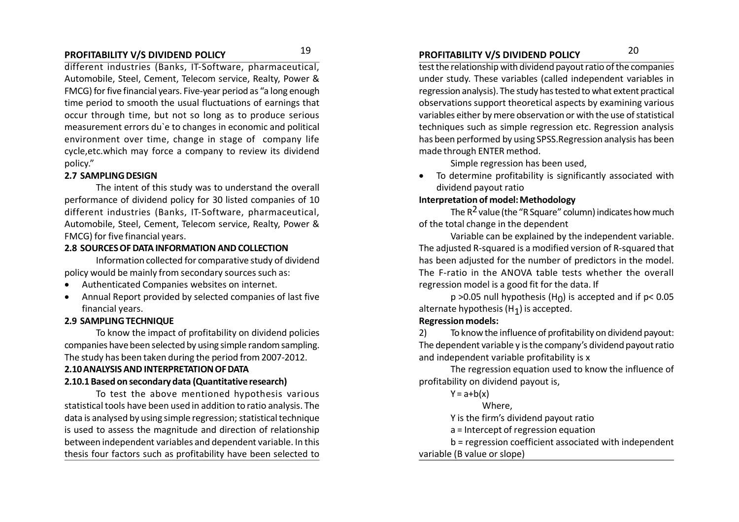### **PROFITABILITY V/S DIVIDEND POLICY PROFITABILITY V/S DIVIDEND POLICY** 1920

different industries (Banks, IT-Software, pharmaceutical, Automobile, Steel, Cement, Telecom service, Realty, Power & FMCG) for five financial years. Five-year period as "a long enough time period to smooth the usual fluctuations of earnings that occur through time, but not so long as to produce serious measurement errors du`e to changes in economic and political environment over time, change in stage of company life cycle,etc.which may force a company to review its dividend policy."

#### **2.7 SAMPLING DESIGN**

The intent of this study was to understand the overall performance of dividend policy for 30 listed companies of 10 different industries (Banks, IT-Software, pharmaceutical, Automobile, Steel, Cement, Telecom service, Realty, Power & FMCG) for five financial years.

#### **2.8 SOURCES OF DATA INFORMATION AND COLLECTION**

Information collected for comparative study of dividend policy would be mainly from secondary sources such as:

- Authenticated Companies websites on internet.
- Annual Report provided by selected companies of last five financial years.

#### **2.9 SAMPLING TECHNIQUE**

To know the impact of profitability on dividend policies companies have been selected by using simple random sampling. The study has been taken during the period from 2007-2012.

#### **2.10 ANALYSIS AND INTERPRETATION OF DATA**

#### **2.10.1 Based on secondary data (Quantitative research)**

To test the above mentioned hypothesis various statistical tools have been used in addition to ratio analysis. The data is analysed by using simple regression; statistical technique is used to assess the magnitude and direction of relationship between independent variables and dependent variable. In this thesis four factors such as profitability have been selected to

test the relationship with dividend payout ratio of the companies under study. These variables (called independent variables in regression analysis). The study has tested to what extent practical observations support theoretical aspects by examining various variables either by mere observation or with the use of statistical techniques such as simple regression etc. Regression analysis has been performed by using SPSS.Regression analysis has been made through ENTER method.

Simple regression has been used,

 To determine profitability is significantly associated with dividend payout ratio

#### **Interpretation of model: Methodology**

The  $R^2$  value (the "R Square" column) indicates how much of the total change in the dependent

Variable can be explained by the independent variable. The adjusted R-squared is a modified version of R-squared that has been adjusted for the number of predictors in the model. The F-ratio in the ANOVA table tests whether the overall regression model is a good fit for the data. If

p >0.05 null hypothesis (H<sub>0</sub>) is accepted and if p< 0.05 alternate hypothesis (H<sub>1</sub>) is accepted.

#### **Regression models:**

2) To know the influence of profitability on dividend payout: The dependent variable y is the company's dividend payout ratio and independent variable profitability is x

The regression equation used to know the influence of profitability on dividend payout is,

 $Y = a + b(x)$ 

#### Where,

Y is the firm's dividend payout ratio

a = Intercept of regression equation

b = regression coefficient associated with independent

#### variable (B value or slope)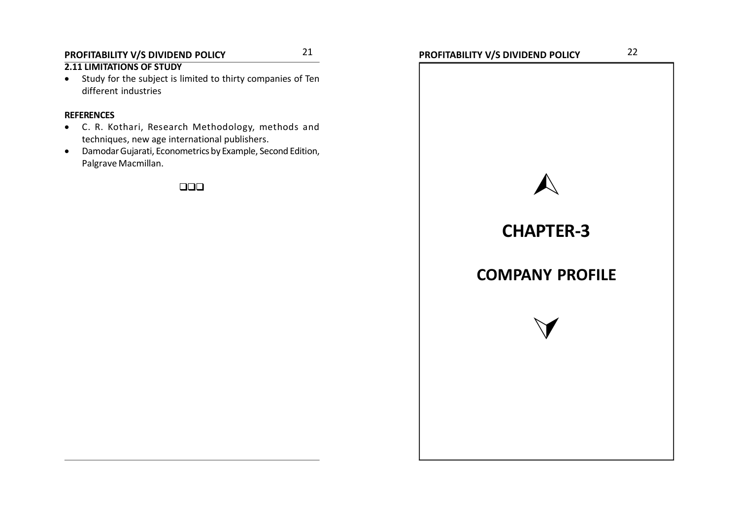### **PROFITABILITY V/S DIVIDEND POLICY PROFITABILITY V/S DIVIDEND POLICY** 2122

### **2.11 LIMITATIONS OF STUDY**

 Study for the subject is limited to thirty companies of Ten different industries

#### **REFERENCES**

- C. R. Kothari, Research Methodology, methods and techniques, new age international publishers.
- Damodar Gujarati, Econometrics by Example, Second Edition, Palgrave Macmillan.

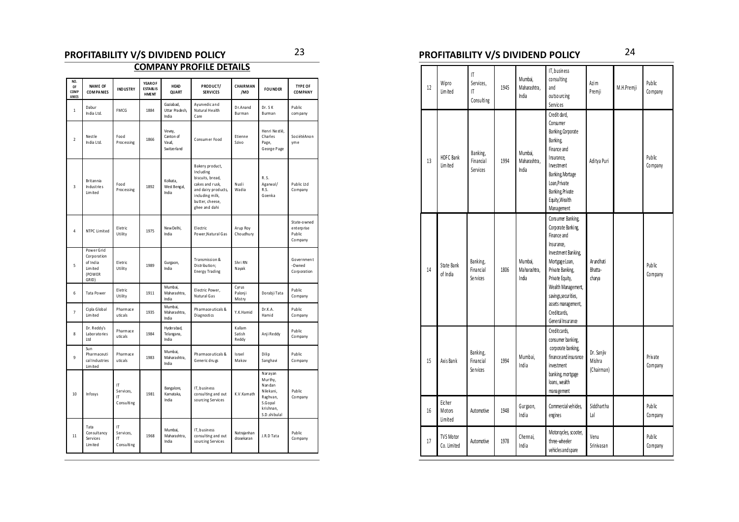### **PROFITABILITY V/S DIVIDEND POLICY PROFITABILITY V/S DIVIDEND POLICY** 2324

### **COMPANY PROFILE DETAILS**

| NO.<br>OF<br>COMP<br>ANIES | <b>NAME OF</b><br><b>COMPANIES</b>                                                                                                                                                                                                                                                    | <b>INDUSTRY</b>                     | <b>YEAROF</b><br><b>ESTABLIS</b><br><b>HMENT</b> | <b>HEAD</b><br>QUART                         | PRODUCT/<br><b>SERVICES</b>                              | CHAIRMAN<br>/MD            | <b>FOUNDER</b>                                                                                | <b>TYPE OF</b><br><b>COMPANY</b>               |
|----------------------------|---------------------------------------------------------------------------------------------------------------------------------------------------------------------------------------------------------------------------------------------------------------------------------------|-------------------------------------|--------------------------------------------------|----------------------------------------------|----------------------------------------------------------|----------------------------|-----------------------------------------------------------------------------------------------|------------------------------------------------|
| $\mathbf{1}$               | Dabur<br>India Ltd.                                                                                                                                                                                                                                                                   | FMCG                                | 1884                                             | Gaziabad,<br>Uttar Pradesh,<br>India         | Ayurvedic and<br>Natural Health<br>Care                  | Dr.Anand<br>Burman         | Dr. SK<br>Burman                                                                              | Public<br>com pany                             |
| $\overline{2}$             | Nest le<br>India Ltd.                                                                                                                                                                                                                                                                 | Food<br>P rocessing                 | 1866                                             | Vevey,<br>Canton of<br>Vaud.<br>Switze rland | Consum er Food                                           | Etienne<br>Szivo           | Henri Nestlé,<br>Charles<br>Page,<br>George Page                                              | SociétéAnon<br>yme                             |
| $\overline{3}$             | Bakery product,<br>Including<br>biscuits, bread,<br><b>Britannia</b><br>Kolkata.<br>Food<br>cakes and rusk,<br>Nusli<br>Industries<br>1892<br>West Bengal,<br>P rocessing<br>and dairy products,<br>Wadia<br>Lim ited<br>India<br>including milk,<br>butter, cheese,<br>ghee and dahi |                                     |                                                  | R.S.<br>Agarwal/<br>R.S.<br>Goenka           | Public Ltd<br>Company                                    |                            |                                                                                               |                                                |
| 4                          | <b>NTPC Limited</b>                                                                                                                                                                                                                                                                   | Eletric<br>Utility                  | 1975                                             | New Delhi,<br>India                          | Electric<br>Power, Natural Gas                           | Arup Roy<br>Choudhury      |                                                                                               | State-owned<br>enterprise<br>Public<br>Company |
| 5                          | Power Grid<br>Corporation<br>of India<br>Lim ited<br>(POWER<br>GRID)                                                                                                                                                                                                                  | Eletric<br>Utility                  | 1989                                             | Gurgaon,<br>India                            | Transmission &<br>Distribution;<br><b>Energy Trading</b> | Shri RN<br>Nayak           |                                                                                               | Government<br>-Owned<br>Corporation            |
| 6                          | Tata Power                                                                                                                                                                                                                                                                            | Eletric<br>Utility                  | 1911                                             | Mumbai,<br>Maharashtra.<br>India             | Electric Power,<br>Natural Gas                           | Cyrus<br>Palonji<br>Mistry | Dorabji Tata                                                                                  | Public<br>Company                              |
| $\overline{7}$             | Cipla Global<br>Lim ited                                                                                                                                                                                                                                                              | Pharmace<br>uticals                 | 1935                                             | Mumbai,<br>Maharashtra,<br>India             | Pharmace uticals &<br>Diagnostics                        | Y.K.Hamid                  | Dr.K.A.<br>Hamid                                                                              | Public<br>Company                              |
| $\mathbf{8}$               | Dr. Reddy's<br>Laboratories<br>Ltd                                                                                                                                                                                                                                                    | Pharmace<br>uticals                 | 1984                                             | Hyderabad,<br>Telangana,<br>India            |                                                          | Kallam<br>Satish<br>Reddy  | Anji Reddy                                                                                    | Public<br>Company                              |
| 9                          | Sun<br>Pharmaceuti<br>cal Industries<br>Lim ited                                                                                                                                                                                                                                      | Pharmace<br>uticals                 | 1983                                             | Mumbai.<br>Maharashtra,<br>India             | Pharmace uticals &<br>Generic drugs                      | Israel<br>Makov            | Dilip<br>Sanghavi                                                                             | Public<br>Company                              |
| 10                         | Infosys                                                                                                                                                                                                                                                                               | IT<br>Services.<br>IT<br>Consulting | 1981                                             | Bangalore,<br>Karnataka,<br>India            | IT, business<br>consulting and out<br>sourcing Services  | K.V.Kamath                 | Narayan<br>Murthy.<br>Nandan<br>Nilekani,<br>Raghvan,<br>S.Gopal<br>krishnan,<br>S.D.shibulal | Public<br>Company                              |
| 11                         | Tata<br>Consultancy<br>Services<br>Lim ited                                                                                                                                                                                                                                           | IT<br>Services,<br>IT<br>Consulting | 1968                                             | Mumbai,<br>Maharashtra,<br>India             | IT, business<br>consulting and out<br>sourcing Services  | Natrajanhan<br>drasekaran  | J.R.D Tata                                                                                    | Public<br>Company                              |

| 12 | Wipro<br>Lim ited               | IT<br>Services,<br>IT<br>Consulting | 1945 | Mumbai.<br>Maharashtra,<br>India | IT, business<br>consulting<br>and<br>outso urcing<br>Services                                                                                                                                                                                                 | Azim<br>Premji                     | M.H.Premji | Public<br>Company  |
|----|---------------------------------|-------------------------------------|------|----------------------------------|---------------------------------------------------------------------------------------------------------------------------------------------------------------------------------------------------------------------------------------------------------------|------------------------------------|------------|--------------------|
| 13 | HDFC Bank<br>I im ited          | Banking,<br>Financial<br>Services   | 1994 | Mumbai.<br>Maharashtra.<br>India | Credit dard,<br>Consumer<br>Banking, Corporate<br>Banking,<br>Finance and<br>Insurance.<br>Investment<br>Banking, Mortage<br>Loan, Private<br>Banking, Private<br>Equity, Wealth<br>Management                                                                | Aditya Puri                        |            | Public<br>Company  |
| 14 | State Bank<br>of India          | Banking,<br>Financial<br>Se rvices  | 1806 | Mumbai.<br>Maharashtra,<br>India | Consumer Banking,<br>Corporate Banking,<br>Finance and<br>Insurance.<br>Investment Banking,<br>Mortgage Loan,<br>Private Banking,<br>Private Equity,<br>Wealth Management,<br>savings, securities,<br>assets management,<br>Creditcards.<br>General Insurance | Arundhati<br>Bhatta-<br>charya     |            | Public<br>Company  |
| 15 | Axis Bank                       | Banking,<br>Financial<br>Se rvices  | 1994 | Mumbai,<br>India                 | Credit cards,<br>consumer banking,<br>corporate banking,<br>finance and insurance<br>investment<br>banking, mortgage<br>loans, wealth<br>management                                                                                                           | Dr. Sanjiv<br>Mishra<br>(Chairman) |            | Private<br>Company |
| 16 | Eicher<br>Motors<br>Limited     | Automotive                          | 1948 | Gurgaon,<br>India                | Commercial vehides,<br>engines                                                                                                                                                                                                                                | Siddhartha<br>Lal                  |            | Public<br>Company  |
| 17 | <b>TVS Motor</b><br>Co. Limited | Automotive                          | 1978 | Chennai.<br>India                | Motor cycles, scooter,<br>three-wheeler<br>vehicles and spare                                                                                                                                                                                                 | Venu<br>Srinivasan                 |            | Public<br>Company  |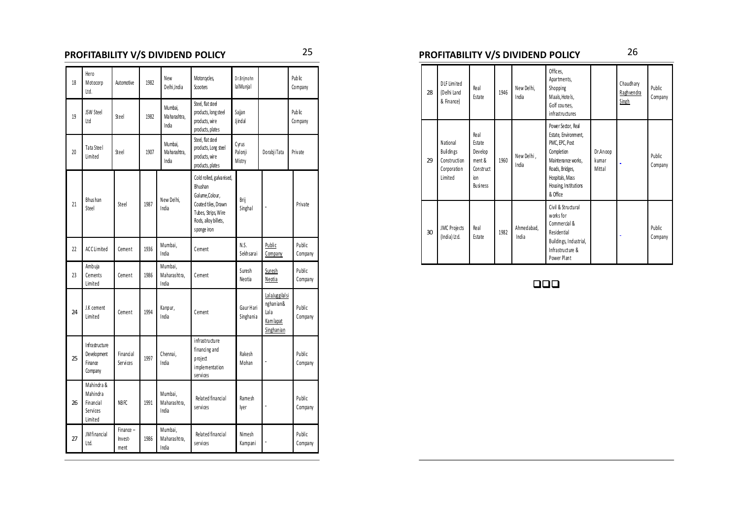| 18 | Hero<br>Motocorp<br>Ltd.                                   | Automotive                   | 1982 | <b>New</b><br>Delhi, India       | Motor cycles,<br>Scooters                                                                                                                   | Dr.Brijmohn<br>lalMunjal   |                                                                | Public<br>Company |
|----|------------------------------------------------------------|------------------------------|------|----------------------------------|---------------------------------------------------------------------------------------------------------------------------------------------|----------------------------|----------------------------------------------------------------|-------------------|
| 19 | <b>JSW Steel</b><br>Ltd                                    | Steel                        | 1982 | Mumbai,<br>Maharashtra,<br>India | Steel. flat steel<br>products, long steel<br>products, wire<br>products, plates                                                             | Sajjan<br>Jjindal          |                                                                | Public<br>Company |
| 20 | Tata Steel<br>Limited                                      | Steel                        | 1907 | Mumbai.<br>Maharashtra,<br>India | Steel, flat steel<br>products, Long steel<br>products, wire<br>products, plates                                                             | Cyrus<br>Palonji<br>Mistry | Dorabji Tata                                                   | Private           |
| 21 | Bhus han<br>Steel                                          | Steel                        | 1987 | New Delhi.<br>India              | Cold rolled, galvanised,<br>Bhushan<br>Galume, Colour,<br>Coated tiles, Drawn<br>Tubes, Strips, Wire<br>Rods, alloy billets,<br>sponge iron | Brij<br>Singhal            |                                                                | Private           |
| 22 | ACC Limited                                                | Cement                       | 1936 | Mumbai,<br>India                 | Cement                                                                                                                                      | N.S.<br>Sekhsarai          | Public<br>Company                                              | Public<br>Company |
| 23 | Ambuja<br>Cements<br>Limited                               | Cement                       | 1986 | Mumbai,<br>Maharashtra,<br>India | Cement                                                                                                                                      | Suresh<br>Neotia           | Suresh<br>Neotia                                               | Public<br>Company |
| 24 | J.K cement<br>Limited                                      | Cement                       | 1994 | Kanpur,<br>India                 | Cement                                                                                                                                      | Gaur Hari<br>Singhania     | LalaJuggilalsi<br>nghanian&<br>Lala<br>Kam lapat<br>Singhanian | Public<br>Company |
| 25 | Infrastructure<br>Development<br>Finance<br>Company        | Financial<br>Services        | 1997 | Chennai.<br>India                | i nfrast ru ctu re<br>financing and<br>project<br>implementation<br>services                                                                | Rakesh<br>Mohan            | ÷                                                              | Public<br>Company |
| 26 | Mahindra &<br>Mahindra<br>Financial<br>Services<br>Limited | <b>NBFC</b>                  | 1991 | Mumbai.<br>Maharashtra,<br>India | Related financial<br>Ramesh<br>services<br>lyer                                                                                             |                            | ÷                                                              | Public<br>Company |
| 27 | JM financial<br>Ltd.                                       | Finance -<br>Invest-<br>ment | 1986 | Mumbai,<br>Maharashtra,<br>India | Related financial<br>Nimesh<br>services<br>Kampani                                                                                          |                            |                                                                | Public<br>Company |

### **PROFITABILITY V/S DIVIDEND POLICY PROFITABILITY V/S DIVIDEND POLICY** 2526

| 28 | <b>DLF Limited</b><br>(Delhi Land<br>& Finance)                        | Real<br>Estate                                                             | 1946 | New Delhi,<br>India | Offices,<br>Apartments,<br>Shopping<br>Maals, Hotels,<br>Golf courses,<br>infrastructures                                                                                   |                             | Chaudhary<br>Raghvendra<br>Singh | Public<br>Company |
|----|------------------------------------------------------------------------|----------------------------------------------------------------------------|------|---------------------|-----------------------------------------------------------------------------------------------------------------------------------------------------------------------------|-----------------------------|----------------------------------|-------------------|
| 29 | National<br><b>Buildings</b><br>Construction<br>Corporation<br>Limited | Real<br>Estate<br>Develop<br>ment &<br>Construct<br>ion<br><b>Business</b> | 1960 | New Delhi,<br>India | Power Sector, Real<br>Estate, Environment,<br>PMC, EPC, Post<br>Completion<br>Mainterance works,<br>Roads, Bridges,<br>Hospitals, Mass<br>Housing, Institutions<br>& Office | Dr.Anoop<br>kumar<br>Mittal |                                  | Public<br>Company |
| 30 | JMC Projects<br>(India) Ltd.                                           | Real<br>Estate                                                             | 1982 | Ahmedabad,<br>India | Civil & Structural<br>works for<br>Commercial &<br>Residential<br>Buildings, Industrial,<br>Infrastructure &<br>Power Plant                                                 |                             |                                  | Public<br>Company |

 $\Box$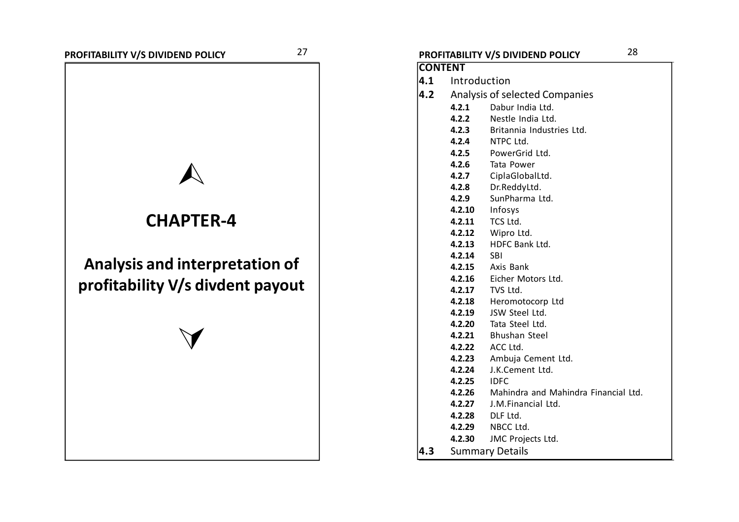# **CHAPTER-4**

# **Analysis and interpretation of profitability V/s divdent payout**

 $\vee$ 

### **PROFITABILITY V/S DIVIDEND POLICY PROFITABILITY V/S DIVIDEND POLICY** 2728 **CONTENT 4.1** Introduction **4.2** Analysis of selected Companies **4.2.1** Dabur India Ltd. **4.2.2** Nestle India Ltd. **4.2.3** Britannia Industries Ltd. **4.2.4** NTPC Ltd. **4.2.5** PowerGrid Ltd. **4.2.6** Tata Power **4.2.7** CiplaGlobalLtd. **4.2.8** Dr.ReddyLtd. **4.2.9** SunPharma Ltd. **4.2.10** Infosys **4.2.11** TCS Ltd. **4.2.12** Wipro Ltd. **4.2.13** HDFC Bank Ltd. **4.2.14** SBI **4.2.15** Axis Bank **4.2.16** Eicher Motors Ltd. **4.2.17** TVS Ltd. **4.2.18** Heromotocorp Ltd **4.2.19** JSW Steel Ltd. **4.2.20** Tata Steel Ltd. **4.2.21** Bhushan Steel **4.2.22** ACC Ltd. **4.2.23** Ambuja Cement Ltd. **4.2.24** J.K.Cement Ltd. **4.2.25** IDFC **4.2.26** Mahindra and Mahindra Financial Ltd. **4.2.27** J.M.Financial Ltd. **4.2.28** DLF Ltd. **4.2.29** NBCC Ltd. **4.2.30** JMC Projects Ltd. **4.3** Summary Details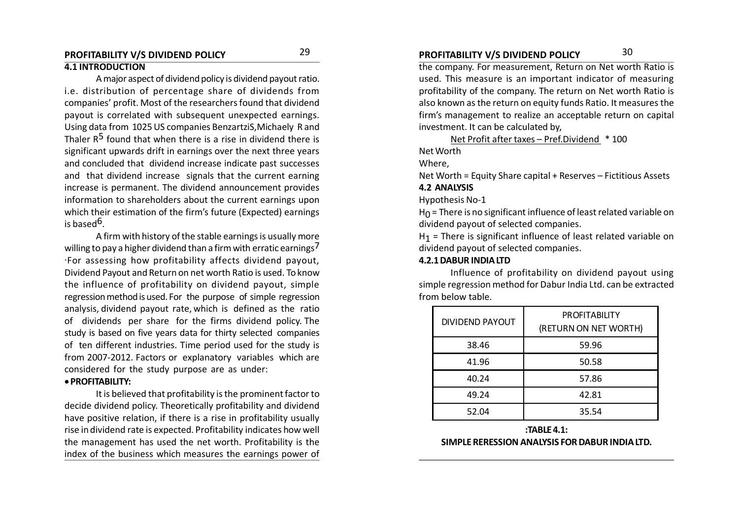#### **PROFITABILITY V/S DIVIDEND POLICY PROFITABILITY V/S DIVIDEND POLICY** 2930 **4.1 INTRODUCTION**

A major aspect of dividend policy is dividend payout ratio. i.e. distribution of percentage share of dividends from companies' profit. Most of the researchers found that dividend payout is correlated with subsequent unexpected earnings. Using data from 1025 US companies BenzartziS,Michaely R and Thaler  $R^5$  found that when there is a rise in dividend there is significant upwards drift in earnings over the next three years and concluded that dividend increase indicate past successes and that dividend increase signals that the current earning increase is permanent. The dividend announcement provides information to shareholders about the current earnings upon which their estimation of the firm's future (Expected) earnings is based<sup>6</sup>.

A firm with history of the stable earnings is usually more willing to pay a higher dividend than a firm with erratic earnings<sup>7</sup> .For assessing how profitability affects dividend payout, Dividend Payout and Return on net worth Ratio is used. To know the influence of profitability on dividend payout, simple regression method is used. For the purpose of simple regression analysis, dividend payout rate, which is defined as the ratio of dividends per share for the firms dividend policy. The study is based on five years data for thirty selected companies of ten different industries. Time period used for the study is from 2007-2012. Factors or explanatory variables which are considered for the study purpose are as under:

#### **PROFITABILITY:**

It is believed that profitability is the prominent factor to decide dividend policy. Theoretically profitability and dividend have positive relation, if there is a rise in profitability usually rise in dividend rate is expected. Profitability indicates how well the management has used the net worth. Profitability is the index of the business which measures the earnings power of

the company. For measurement, Return on Net worth Ratio is used. This measure is an important indicator of measuring profitability of the company. The return on Net worth Ratio is also known as the return on equity funds Ratio. It measures the firm's management to realize an acceptable return on capital investment. It can be calculated by,

Net Profit after taxes – Pref.Dividend \* 100

Net Worth

Where,

Net Worth = Equity Share capital + Reserves – Fictitious Assets **4.2 ANALYSIS**

Hypothesis No-1

H $_0$  = There is no significant influence of least related variable on dividend payout of selected companies.

 $H_1$  = There is significant influence of least related variable on dividend payout of selected companies.

#### **4.2.1 DABUR INDIA LTD**

Influence of profitability on dividend payout using simple regression method for Dabur India Ltd. can be extracted from below table.

| <b>DIVIDEND PAYOUT</b> | <b>PROFITABILITY</b><br>(RETURN ON NET WORTH) |
|------------------------|-----------------------------------------------|
| 38.46                  | 59.96                                         |
| 41.96                  | 50.58                                         |
| 40.24                  | 57.86                                         |
| 49.24                  | 42.81                                         |
| 52.04                  | 35.54                                         |

#### **:TABLE 4.1: SIMPLE RERESSION ANALYSIS FOR DABUR INDIA LTD.**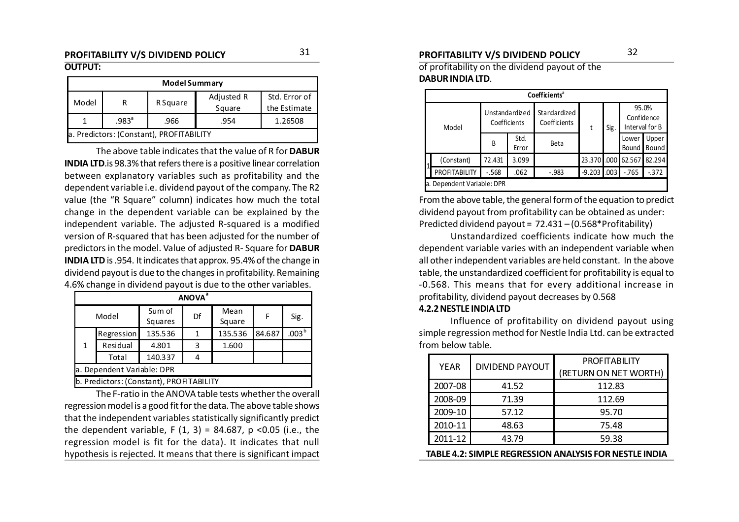#### **PROFITABILITY V/S DIVIDEND POLICY PROFITABILITY V/S DIVIDEND POLICY** 3132 **OUTPUT:**

| <b>Model Summary</b>                                                       |                                          |  |  |  |  |  |  |  |  |
|----------------------------------------------------------------------------|------------------------------------------|--|--|--|--|--|--|--|--|
| Adjusted R<br>Std. Error of<br>Model<br>R Square<br>Square<br>the Estimate |                                          |  |  |  |  |  |  |  |  |
|                                                                            | $.983^a$<br>1.26508<br>.966<br>.954      |  |  |  |  |  |  |  |  |
|                                                                            | a. Predictors: (Constant), PROFITABILITY |  |  |  |  |  |  |  |  |

The above table indicates that the value of R for **DABUR INDIA LTD**.is 98.3% that refers there is a positive linear correlation between explanatory variables such as profitability and the dependent variable i.e. dividend payout of the company. The R2 value (the "R Square" column) indicates how much the total change in the dependent variable can be explained by the independent variable. The adjusted R-squared is a modified version of R-squared that has been adjusted for the number of predictors in the model. Value of adjusted R- Square for **DABUR INDIA LTD** is .954. It indicates that approx. 95.4% of the change in dividend payout is due to the changes in profitability. Remaining 4.6% change in dividend payout is due to the other variables.

|                            | <b>ANOVA</b> <sup>a</sup>                |                   |    |                |        |                   |  |  |  |  |  |
|----------------------------|------------------------------------------|-------------------|----|----------------|--------|-------------------|--|--|--|--|--|
| Model                      |                                          | Sum of<br>Squares | Df | Mean<br>Square | F      | Sig.              |  |  |  |  |  |
|                            | Regression                               | 135.536           |    | 135.536        | 84.687 | .003 <sup>b</sup> |  |  |  |  |  |
| 1                          | Residual                                 | 4.801             | 3  | 1.600          |        |                   |  |  |  |  |  |
|                            | Total                                    | 140.337           |    |                |        |                   |  |  |  |  |  |
| a. Dependent Variable: DPR |                                          |                   |    |                |        |                   |  |  |  |  |  |
|                            | b. Predictors: (Constant), PROFITABILITY |                   |    |                |        |                   |  |  |  |  |  |

The F-ratio in the ANOVA table tests whether the overall regression model is a good fit for the data. The above table shows that the independent variables statistically significantly predict the dependent variable, F  $(1, 3) = 84.687$ , p <0.05 (i.e., the regression model is fit for the data). It indicates that null hypothesis is rejected. It means that there is significant impact

of profitability on the dividend payout of the **DABUR INDIA LTD**.

| Coefficients <sup>a</sup>  |                                |               |                              |             |      |                                       |                |  |  |  |
|----------------------------|--------------------------------|---------------|------------------------------|-------------|------|---------------------------------------|----------------|--|--|--|
| Model                      | Unstandardized<br>Coefficients |               | Standardized<br>Coefficients | t           | Sig. | 95.0%<br>Confidence<br>Interval for B |                |  |  |  |
|                            | B                              | Std.<br>Error | Beta                         |             |      | Lower<br>Bound                        | Upper<br>Bound |  |  |  |
| (Constant)                 | 72.431                         | 3.099         |                              | 23.370 .000 |      | 62.567                                | 82.294         |  |  |  |
| PROFITABILITY              | $-.568$                        | .062          | $-.983$                      | $-9.203$    | .003 | $-765$                                | $-372$         |  |  |  |
| a. Dependent Variable: DPR |                                |               |                              |             |      |                                       |                |  |  |  |

From the above table, the general form of the equation to predict dividend payout from profitability can be obtained as under: Predicted dividend payout = 72.431 – (0.568\*Profitability)

Unstandardized coefficients indicate how much the dependent variable varies with an independent variable when all other independent variables are held constant. In the above table, the unstandardized coefficient for profitability is equal to -0.568. This means that for every additional increase in profitability, dividend payout decreases by 0.568

#### **4.2.2 NESTLE INDIA LTD**

Influence of profitability on dividend payout using simple regression method for Nestle India Ltd. can be extracted from below table.

| <b>YEAR</b>                                            | <b>DIVIDEND PAYOUT</b> | <b>PROFITABILITY</b>  |  |  |  |  |  |  |
|--------------------------------------------------------|------------------------|-----------------------|--|--|--|--|--|--|
|                                                        |                        | (RETURN ON NET WORTH) |  |  |  |  |  |  |
| 2007-08                                                | 41.52                  | 112.83                |  |  |  |  |  |  |
| 2008-09                                                | 71.39                  | 112.69                |  |  |  |  |  |  |
| 2009-10                                                | 57.12                  | 95.70                 |  |  |  |  |  |  |
| 2010-11                                                | 48.63                  | 75.48                 |  |  |  |  |  |  |
| 2011-12                                                | 43.79                  | 59.38                 |  |  |  |  |  |  |
| TABLE 4.2: SIMPLE REGRESSION ANALYSIS FOR NESTLE INDIA |                        |                       |  |  |  |  |  |  |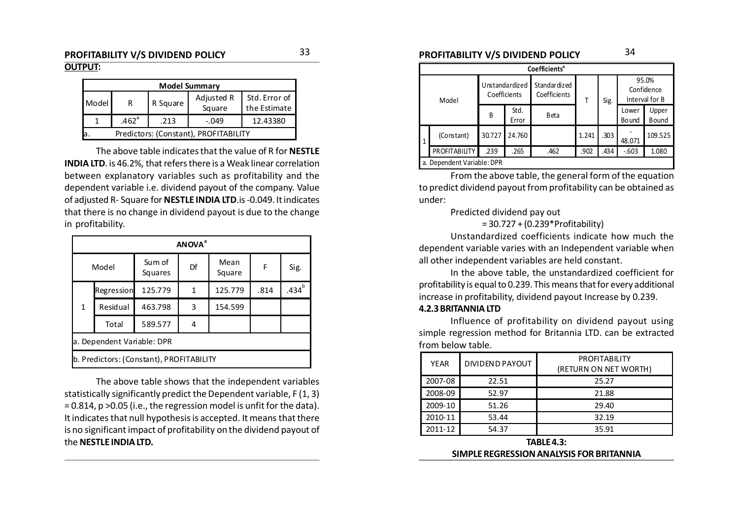#### **PROFITABILITY V/S DIVIDEND POLICY PROFITABILITY V/S DIVIDEND POLICY** 3334 **OUTPUT:**

| <b>Model Summary</b> |                                       |      |         |          |  |  |  |  |  |
|----------------------|---------------------------------------|------|---------|----------|--|--|--|--|--|
| Model                | Std. Error of<br>the Estimate         |      |         |          |  |  |  |  |  |
|                      | .462 <sup>a</sup>                     | .213 | $-.049$ | 12.43380 |  |  |  |  |  |
| a.                   | Predictors: (Constant), PROFITABILITY |      |         |          |  |  |  |  |  |

The above table indicates that the value of R for **NESTLE INDIA LTD**. is 46.2%, that refers there is a Weak linear correlation between explanatory variables such as profitability and the dependent variable i.e. dividend payout of the company. Value of adjusted R- Square for **NESTLE INDIA LTD**.is -0.049. It indicates that there is no change in dividend payout is due to the change in profitability.

| ANOVA <sup>a</sup> |                                     |                                          |    |                |      |                                                                                                                  |  |
|--------------------|-------------------------------------|------------------------------------------|----|----------------|------|------------------------------------------------------------------------------------------------------------------|--|
|                    | Model                               | Sum of<br>Squares                        | Df | Mean<br>Square |      | dependent variable varies with an Independent vari<br>all other independent variables are held constant.<br>Sig. |  |
|                    | Regression                          | 125.779                                  |    | 125.779        | .814 | .434 <sup>b</sup>                                                                                                |  |
|                    | 463.798<br>Residual<br>3<br>154.599 |                                          |    |                |      |                                                                                                                  |  |
|                    | Total                               | 589.577                                  | 4  |                |      |                                                                                                                  |  |
|                    | a. Dependent Variable: DPR          |                                          |    |                |      |                                                                                                                  |  |
|                    |                                     | b. Predictors: (Constant), PROFITABILITY |    |                |      |                                                                                                                  |  |

The above table shows that the independent variables statistically significantly predict the Dependent variable, F (1, 3) = 0.814, p >0.05 (i.e., the regression model is unfit for the data). It indicates that null hypothesis is accepted. It means that there is no significant impact of profitability on the dividend payout of the **NESTLE INDIA LTD.**

|                            | Coefficients <sup>a</sup>  |                                |               |                               |       |      |                                       |                       |  |  |  |  |  |
|----------------------------|----------------------------|--------------------------------|---------------|-------------------------------|-------|------|---------------------------------------|-----------------------|--|--|--|--|--|
| Model                      |                            | Unstandardized<br>Coefficients |               | Standar dized<br>Coefficients | т     | Sig. | 95.0%<br>Confidence<br>Interval for B |                       |  |  |  |  |  |
|                            |                            | B                              | Std.<br>Error | <b>B</b> eta                  |       |      | Lower<br>Bo und                       | Upper<br><b>Bound</b> |  |  |  |  |  |
| (Constant)<br>$\mathbf{1}$ |                            | 30.727                         | 24.760        |                               | 1.241 | .303 | 48.071                                | 109.525               |  |  |  |  |  |
|                            | PROFITABILITY              | .239                           | .265          | .462                          | .902  | .434 | $-603$                                | 1.080                 |  |  |  |  |  |
|                            | a. Dependent Variable: DPR |                                |               |                               |       |      |                                       |                       |  |  |  |  |  |

From the above table, the general form of the equation to predict dividend payout from profitability can be obtained as under:

#### Predicted dividend pay out

#### = 30.727 + (0.239\*Profitability)

Unstandardized coefficients indicate how much the dependent variable varies with an Independent variable when all other independent variables are held constant.

In the above table, the unstandardized coefficient for profitability is equal to 0.239. This means that for every additional increase in profitability, dividend payout Increase by 0.239.

#### **4.2.3 BRITANNIA LTD**

Influence of profitability on dividend payout using simple regression method for Britannia LTD. can be extracted from below table.

| <b>YEAR</b> | <b>DIVIDEND PAYOUT</b> | <b>PROFITABILITY</b><br>(RETURN ON NET WORTH) |
|-------------|------------------------|-----------------------------------------------|
| 2007-08     | 22.51                  | 25.27                                         |
| 2008-09     | 52.97                  | 21.88                                         |
| 2009-10     | 51.26                  | 29.40                                         |
| 2010-11     | 53.44                  | 32.19                                         |
| 2011-12     | 54.37                  | 35.91                                         |

**TABLE 4.3: SIMPLE REGRESSION ANALYSIS FOR BRITANNIA**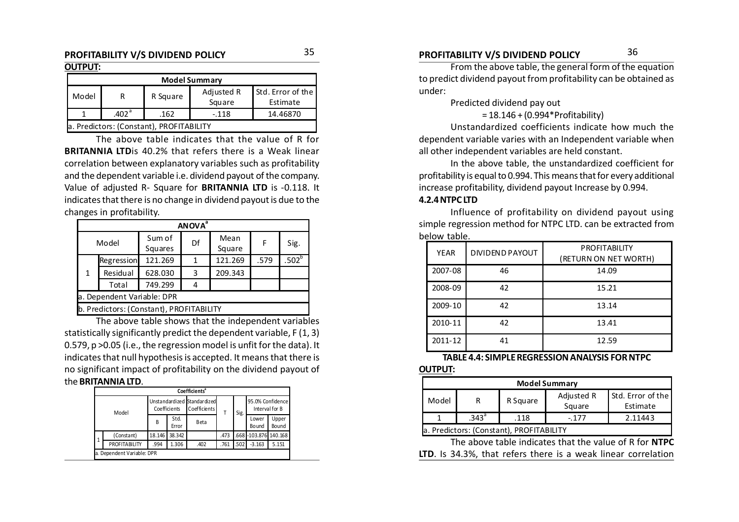#### **OUTPUT:**

|       | <b>Model Summary</b>                     |          |                      |                               |  |  |  |  |  |  |  |
|-------|------------------------------------------|----------|----------------------|-------------------------------|--|--|--|--|--|--|--|
| Model | R                                        | R Square | Adjusted R<br>Square | Std. Error of the<br>Estimate |  |  |  |  |  |  |  |
|       | 14.46870                                 |          |                      |                               |  |  |  |  |  |  |  |
|       | a. Predictors: (Constant), PROFITABILITY |          |                      |                               |  |  |  |  |  |  |  |

The above table indicates that the value of R for **BRITANNIA LTD**is 40.2% that refers there is a Weak linear correlation between explanatory variables such as profitability and the dependent variable i.e. dividend payout of the company. Value of adjusted R- Square for **BRITANNIA LTD** is -0.118. It indicates that there is no change in dividend payout is due to the changes in profitability.

|       | <b>ANOVA</b> <sup>a</sup>  |                   |    |                |      |          |  |  |  |  |  |  |
|-------|----------------------------|-------------------|----|----------------|------|----------|--|--|--|--|--|--|
| Model |                            | Sum of<br>Squares | Df | Mean<br>Square | F    | Sig.     |  |  |  |  |  |  |
|       | Regression                 | 121.269           |    | 121.269        | .579 | $.502^b$ |  |  |  |  |  |  |
| 1     | Residual                   | 628.030           | 3  | 209.343        |      |          |  |  |  |  |  |  |
|       | Total                      | 749.299           |    |                |      |          |  |  |  |  |  |  |
|       | a. Dependent Variable: DPR |                   |    |                |      |          |  |  |  |  |  |  |
|       |                            |                   |    |                |      |          |  |  |  |  |  |  |

b. Predictors: (Constant), PROFITABILITY

The above table shows that the independent variables statistically significantly predict the dependent variable, F (1, 3) 0.579, p >0.05 (i.e., the regression model is unfit for the data). It indicates that null hypothesis is accepted. It means that there is no significant impact of profitability on the dividend payout of the **BRITANNIA LTD**.

|       | Coefficients <sup>a</sup>  |                                             |               |              |      |      |                                    |                |  |  |  |
|-------|----------------------------|---------------------------------------------|---------------|--------------|------|------|------------------------------------|----------------|--|--|--|
| Model |                            | Unstandardized Standardized<br>Coefficients |               | Coefficients |      | Sig. | 95.0% Confidence<br>Interval for B |                |  |  |  |
|       |                            | B                                           | Std.<br>Error | Beta         |      |      | Lower<br>Bo und                    | Upper<br>Bound |  |  |  |
|       | (Constant)                 | 18.146                                      | 38.342        |              | .473 |      | .668 -103.876 140.168              |                |  |  |  |
|       | PROFITABILITY              | .994                                        | 1.306         | .402         | .761 | .502 | $-3.163$                           | 5.151          |  |  |  |
|       | a. Dependent Variable: DPR |                                             |               |              |      |      |                                    |                |  |  |  |

### **PROFITABILITY V/S DIVIDEND POLICY PROFITABILITY V/S DIVIDEND POLICY** 3536

From the above table, the general form of the equation to predict dividend payout from profitability can be obtained as under:

Predicted dividend pay out

= 18.146 + (0.994\*Profitability)

Unstandardized coefficients indicate how much the dependent variable varies with an Independent variable when all other independent variables are held constant.

In the above table, the unstandardized coefficient for profitability is equal to 0.994. This means that for every additional increase profitability, dividend payout Increase by 0.994.

#### **4.2.4 NTPC LTD**

Influence of profitability on dividend payout using simple regression method for NTPC LTD. can be extracted from below table.

| <b>YEAR</b> | <b>DIVIDEND PAYOUT</b> | <b>PROFITABILITY</b><br>(RETURN ON NET WORTH) |
|-------------|------------------------|-----------------------------------------------|
| 2007-08     | 46                     | 14.09                                         |
| 2008-09     | 42                     | 15.21                                         |
| 2009-10     | 42                     | 13.14                                         |
| 2010-11     | 42                     | 13.41                                         |
| 2011-12     | 41                     | 12.59                                         |

#### **TABLE 4.4: SIMPLE REGRESSION ANALYSIS FOR NTPC**

#### **OUTPUT:**

| <b>Model Summary</b>                                                            |                                                |                                          |  |  |  |  |  |  |  |  |
|---------------------------------------------------------------------------------|------------------------------------------------|------------------------------------------|--|--|--|--|--|--|--|--|
| Std. Error of the<br>Adjusted R<br>Model<br>R Square<br>R<br>Square<br>Estimate |                                                |                                          |  |  |  |  |  |  |  |  |
|                                                                                 | .343 <sup>a</sup><br>2.11443<br>.118<br>$-177$ |                                          |  |  |  |  |  |  |  |  |
|                                                                                 |                                                | a. Predictors: (Constant), PROFITABILITY |  |  |  |  |  |  |  |  |

The above table indicates that the value of R for **NTPC LTD**. Is 34.3%, that refers there is a weak linear correlation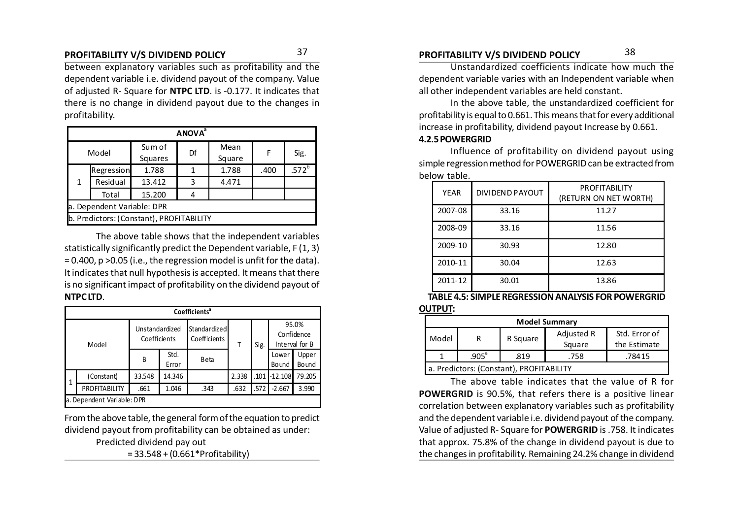between explanatory variables such as profitability and the dependent variable i.e. dividend payout of the company. Value of adjusted R- Square for **NTPC LTD**. is -0.177. It indicates that there is no change in dividend payout due to the changes in profitability.

|       | <b>ANOVA</b> <sup>ª</sup>  |                                          |    |                |      |                   |  |  |  |  |  |
|-------|----------------------------|------------------------------------------|----|----------------|------|-------------------|--|--|--|--|--|
| Model |                            | Sum of<br>Squares                        | Df | Mean<br>Square | F    | Sig.              |  |  |  |  |  |
|       | Regression                 | 1.788                                    |    | 1.788          | .400 | .572 <sup>b</sup> |  |  |  |  |  |
| 1     | Residual                   | 13.412                                   | 3  | 4.471          |      |                   |  |  |  |  |  |
|       | Total                      | 15.200                                   |    |                |      |                   |  |  |  |  |  |
|       | a. Dependent Variable: DPR |                                          |    |                |      |                   |  |  |  |  |  |
|       |                            | b. Predictors: (Constant), PROFITABILITY |    |                |      |                   |  |  |  |  |  |

The above table shows that the independent variables statistically significantly predict the Dependent variable, F (1, 3) = 0.400, p >0.05 (i.e., the regression model is unfit for the data). It indicates that null hypothesis is accepted. It means that there is no significant impact of profitability on the dividend payout of **NTPC LTD**.

|   | Coefficients <sup>a</sup>  |                                |               |                              |       |      |                                       |                |  |  |  |  |
|---|----------------------------|--------------------------------|---------------|------------------------------|-------|------|---------------------------------------|----------------|--|--|--|--|
|   | Model                      | Unstandardized<br>Coefficients |               | Standardized<br>Coefficients | т     | Sig. | 95.0%<br>Confidence<br>Interval for B |                |  |  |  |  |
|   |                            | B                              | Std.<br>Error | <b>Beta</b>                  |       |      | Lower<br>Bound                        | Upper<br>Bound |  |  |  |  |
| 1 | (Constant)                 | 33.548                         | 14.346        |                              | 2.338 | .101 | $-12.108$                             | 79.205         |  |  |  |  |
|   | PROFITABILITY              | .661                           | 1.046         | .343                         | .632  | .572 | $-2.667$                              | 3.990          |  |  |  |  |
|   | a. Dependent Variable: DPR |                                |               |                              |       |      |                                       |                |  |  |  |  |

From the above table, the general form of the equation to predict dividend payout from profitability can be obtained as under: Predicted dividend pay out

= 33.548 + (0.661\*Profitability)

### **PROFITABILITY V/S DIVIDEND POLICY PROFITABILITY V/S DIVIDEND POLICY** 3738

Unstandardized coefficients indicate how much the dependent variable varies with an Independent variable when all other independent variables are held constant.

In the above table, the unstandardized coefficient for profitability is equal to 0.661. This means that for every additional increase in profitability, dividend payout Increase by 0.661.

#### **4.2.5 POWERGRID**

Influence of profitability on dividend payout using simple regression method for POWERGRID can be extracted from below table.

| <b>YEAR</b> | <b>DIVIDEND PAYOUT</b> | <b>PROFITABILITY</b><br>(RETURN ON NET WORTH) |  |  |
|-------------|------------------------|-----------------------------------------------|--|--|
| 2007-08     | 33.16                  | 11.27                                         |  |  |
| 2008-09     | 33.16                  | 11.56                                         |  |  |
| 2009-10     | 30.93                  | 12.80                                         |  |  |
| 2010-11     | 30.04                  | 12.63                                         |  |  |
| 2011-12     | 30.01                  | 13.86                                         |  |  |

**TABLE 4.5: SIMPLE REGRESSION ANALYSIS FOR POWERGRID OUTPUT:**

|       | <b>Model Summary</b>                     |          |            |               |  |  |  |  |  |  |  |
|-------|------------------------------------------|----------|------------|---------------|--|--|--|--|--|--|--|
| Model |                                          | R Square | Adjusted R | Std. Error of |  |  |  |  |  |  |  |
|       |                                          |          | Square     | the Estimate  |  |  |  |  |  |  |  |
|       | .905 <sup>a</sup>                        | .819     | .758       | .78415        |  |  |  |  |  |  |  |
|       | a. Predictors: (Constant), PROFITABILITY |          |            |               |  |  |  |  |  |  |  |

The above table indicates that the value of R for **POWERGRID** is 90.5%, that refers there is a positive linear correlation between explanatory variables such as profitability and the dependent variable i.e. dividend payout of the company. Value of adjusted R- Square for **POWERGRID** is .758. It indicates that approx. 75.8% of the change in dividend payout is due to the changes in profitability. Remaining 24.2% change in dividend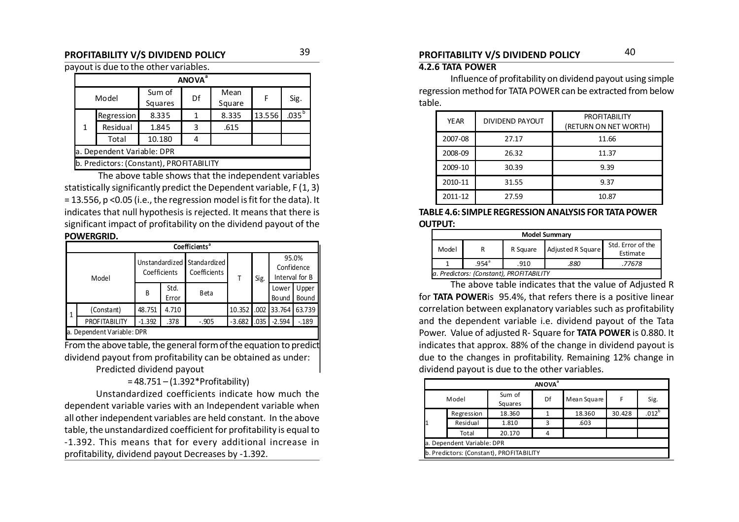payout is due to the other variables.

|                            | <b>ANOVA</b> <sup>a</sup>                |         |    |        |        |                |  |  |  |  |  |
|----------------------------|------------------------------------------|---------|----|--------|--------|----------------|--|--|--|--|--|
| Model                      |                                          | Sum of  | Df | Mean   | F      | Sig.           |  |  |  |  |  |
|                            |                                          | Squares |    | Square |        |                |  |  |  |  |  |
|                            | Regression                               | 8.335   | 1  | 8.335  | 13.556 | $.035^{\rm b}$ |  |  |  |  |  |
| 1                          | Residual                                 | 1.845   | 3  | .615   |        |                |  |  |  |  |  |
|                            | Total                                    | 10.180  |    |        |        |                |  |  |  |  |  |
| a. Dependent Variable: DPR |                                          |         |    |        |        |                |  |  |  |  |  |
|                            | b. Predictors: (Constant), PROFITABILITY |         |    |        |        |                |  |  |  |  |  |

 The above table shows that the independent variables statistically significantly predict the Dependent variable, F (1, 3) = 13.556, p <0.05 (i.e., the regression model is fit for the data). It indicates that null hypothesis is rejected. It means that there is significant impact of profitability on the dividend payout of the **POWERGRID.**

|              | Coefficients <sup>a</sup>  |                                |               |                              |          |      |                       |                                       |  |  |  |
|--------------|----------------------------|--------------------------------|---------------|------------------------------|----------|------|-----------------------|---------------------------------------|--|--|--|
|              | Model                      | Unstandardized<br>Coefficients |               | Standardized<br>Coefficients |          | Sig. |                       | 95.0%<br>Confidence<br>Interval for B |  |  |  |
|              |                            | B                              | Std.<br>Error | <b>B</b> eta                 |          |      | Lower<br><b>Bound</b> | Upper<br>Bound                        |  |  |  |
| $\mathbf{1}$ | (Constant)                 | 48.751                         | 4.710         |                              | 10.352   | .002 | 33.764                | 63.739                                |  |  |  |
|              | <b>PROFITABILITY</b>       | $-1.392$                       | .378          | $-.905$                      | $-3.682$ | .035 | $-2.594$              | $-189$                                |  |  |  |
|              | a. Dependent Variable: DPR |                                |               |                              |          |      |                       |                                       |  |  |  |

From the above table, the general form of the equation to predict dividend payout from profitability can be obtained as under: Predicted dividend payout

= 48.751 – (1.392\*Profitability)

Unstandardized coefficients indicate how much the dependent variable varies with an Independent variable when all other independent variables are held constant. In the above table, the unstandardized coefficient for profitability is equal to -1.392. This means that for every additional increase in profitability, dividend payout Decreases by -1.392.

### **PROFITABILITY V/S DIVIDEND POLICY PROFITABILITY V/S DIVIDEND POLICY** 3940

#### **4.2.6 TATA POWER**

Influence of profitability on dividend payout using simple regression method for TATA POWER can be extracted from below table.

| <b>YEAR</b> | DIVIDEND PAYOUT | <b>PROFITABILITY</b><br>(RETURN ON NET WORTH) |
|-------------|-----------------|-----------------------------------------------|
| 2007-08     | 27.17           | 11.66                                         |
| 2008-09     | 26.32           | 11.37                                         |
| 2009-10     | 30.39           | 9.39                                          |
| 2010-11     | 31.55           | 9.37                                          |
| 2011-12     | 27.59           | 10.87                                         |

**TABLE 4.6: SIMPLE REGRESSION ANALYSIS FOR TATA POWER OUTPUT:**

| <b>Model Summary</b> |                                          |          |                   |                               |  |  |  |  |  |
|----------------------|------------------------------------------|----------|-------------------|-------------------------------|--|--|--|--|--|
| Model                | R                                        | R Square | Adjusted R Square | Std. Error of the<br>Estimate |  |  |  |  |  |
|                      | $.954^{\circ}$                           | .910     | 880               | .77678                        |  |  |  |  |  |
|                      | a. Predictors: (Constant), PROFITABILITY |          |                   |                               |  |  |  |  |  |

The above table indicates that the value of Adjusted R for **TATA POWER**is 95.4%, that refers there is a positive linear correlation between explanatory variables such as profitability and the dependent variable i.e. dividend payout of the Tata Power. Value of adjusted R- Square for **TATA POWER** is 0.880. It indicates that approx. 88% of the change in dividend payout is due to the changes in profitability. Remaining 12% change in dividend payout is due to the other variables.

| <b>ANOVA</b> <sup>a</sup> |                                          |                   |    |             |        |            |  |  |  |  |
|---------------------------|------------------------------------------|-------------------|----|-------------|--------|------------|--|--|--|--|
|                           | Model                                    | Sum of<br>Squares | Df | Mean Square | F      | Sig.       |  |  |  |  |
|                           | Regression                               | 18.360            |    | 18.360      | 30.428 | $.012^{b}$ |  |  |  |  |
|                           | Residual                                 | 1.810             | 3  | .603        |        |            |  |  |  |  |
|                           | Total                                    | 20.170            | 4  |             |        |            |  |  |  |  |
|                           | a. Dependent Variable: DPR               |                   |    |             |        |            |  |  |  |  |
|                           | b. Predictors: (Constant), PROFITABILITY |                   |    |             |        |            |  |  |  |  |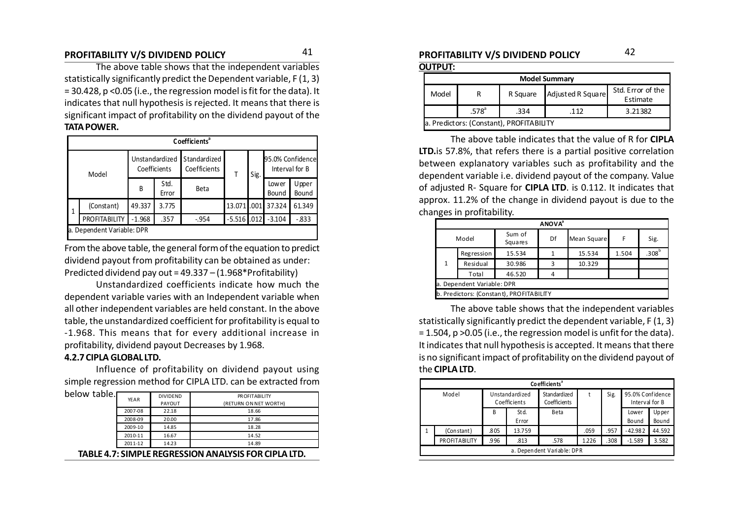### **PROFITABILITY V/S DIVIDEND POLICY PROFITABILITY V/S DIVIDEND POLICY** 4142

The above table shows that the independent variables statistically significantly predict the Dependent variable, F (1, 3) = 30.428, p <0.05 (i.e., the regression model is fit for the data). It indicates that null hypothesis is rejected. It means that there is significant impact of profitability on the dividend payout of the **TATA POWER.**

|   | Coefficients <sup>a</sup>  |              |                |                              |               |      |                 |                                    |  |  |  |  |
|---|----------------------------|--------------|----------------|------------------------------|---------------|------|-----------------|------------------------------------|--|--|--|--|
|   | Model                      | Coefficients | Unstandardized | Standardized<br>Coefficients |               | Sig. |                 | 95.0% Confidence<br>Interval for B |  |  |  |  |
|   |                            | B            | Std.<br>Error  | Beta                         |               |      | Low er<br>Bound | Upper<br>Bound                     |  |  |  |  |
| 1 | (Constant)                 | 49.337       | 3.775          |                              | 13.071.001    |      | 37.324          | 61.349                             |  |  |  |  |
|   | PROFITABILITY              | $-1.968$     | .357           | $-0.954$                     | $-5.516$ .012 |      | $-3.104$        | $-0.833$                           |  |  |  |  |
|   | a. Dependent Variable: DPR |              |                |                              |               |      |                 |                                    |  |  |  |  |

From the above table, the general form of the equation to predict dividend payout from profitability can be obtained as under: Predicted dividend pay out = 49.337 – (1.968\*Profitability)

Unstandardized coefficients indicate how much the dependent variable varies with an Independent variable when all other independent variables are held constant. In the above table, the unstandardized coefficient for profitability is equal to -1.968. This means that for every additional increase in profitability, dividend payout Decreases by 1.968.

#### **4.2.7 CIPLA GLOBAL LTD.**

Influence of profitability on dividend payout using simple regression method for CIPLA LTD. can be extracted from

| below table. | YEAR    | <b>DIVIDEND</b> | PR OFITABILITY                                       |
|--------------|---------|-----------------|------------------------------------------------------|
|              |         | PAYOUT          | (RETURN ON NET WORTH)                                |
|              | 2007-08 | 22.18           | 18.66                                                |
|              | 2008-09 | 20.00           | 17.86                                                |
|              | 2009-10 | 14.85           | 18.28                                                |
|              | 2010-11 | 16.67           | 14.52                                                |
|              | 2011-12 | 14.23           | 14.89                                                |
|              |         |                 | TABLE 4.7: SIMPLE REGRESSION ANALYSIS FOR CIPLA LTD. |

**OUTPUT:**

| <b>Model Summary</b>                                                         |                                          |      |     |         |  |  |  |  |  |  |
|------------------------------------------------------------------------------|------------------------------------------|------|-----|---------|--|--|--|--|--|--|
| Std. Error of the<br>Adjusted R Square<br>R Square<br>Model<br>R<br>Estimate |                                          |      |     |         |  |  |  |  |  |  |
|                                                                              | $.578^{\circ}$                           | .334 | 112 | 3.21382 |  |  |  |  |  |  |
|                                                                              | a. Predictors: (Constant), PROFITABILITY |      |     |         |  |  |  |  |  |  |

The above table indicates that the value of R for **CIPLA LTD.**is 57.8%, that refers there is a partial positive correlation between explanatory variables such as profitability and the dependent variable i.e. dividend payout of the company. Value of adjusted R- Square for **CIPLA LTD**. is 0.112. It indicates that approx. 11.2% of the change in dividend payout is due to the changes in profitability.

|                            | <b>ANOVA</b> <sup>a</sup> |                                          |    |             |       |                   |  |  |  |  |  |
|----------------------------|---------------------------|------------------------------------------|----|-------------|-------|-------------------|--|--|--|--|--|
|                            | Model                     | Sum of<br><b>Squares</b>                 | Df | Mean Square | F     | Sig.              |  |  |  |  |  |
|                            | Regression                | 15.534                                   |    | 15.534      | 1.504 | .308 <sup>b</sup> |  |  |  |  |  |
| 1                          | Residual                  | 30.986                                   | ς  | 10.329      |       |                   |  |  |  |  |  |
|                            | Total                     | 46.520                                   |    |             |       |                   |  |  |  |  |  |
| a. Dependent Variable: DPR |                           |                                          |    |             |       |                   |  |  |  |  |  |
|                            |                           | b. Predictors: (Constant), PROFITABILITY |    |             |       |                   |  |  |  |  |  |

The above table shows that the independent variables statistically significantly predict the dependent variable, F (1, 3) = 1.504, p >0.05 (i.e., the regression model is unfit for the data). It indicates that null hypothesis is accepted. It means that there is no significant impact of profitability on the dividend payout of the **CIPLA LTD**.

|       | Co efficients <sup>ª</sup> |      |                                |                              |       |      |                                    |                |  |  |  |
|-------|----------------------------|------|--------------------------------|------------------------------|-------|------|------------------------------------|----------------|--|--|--|
| Model |                            |      | Unstandardized<br>Coefficients | Standardized<br>Coefficients | t     | Sig. | 95.0% Confidence<br>Interval for B |                |  |  |  |
|       |                            | B    | Std.<br>Error                  | Beta                         |       |      | Lower<br>Bound                     | Upper<br>Bound |  |  |  |
| 1     | (Constant)                 | .805 | 13.759                         |                              | .059  | .957 | $-42.982$                          | 44.592         |  |  |  |
|       | <b>PROFITABILITY</b>       | .996 | .813                           | .578                         | 1.226 | .308 | $-1.589$                           | 3.582          |  |  |  |
|       | a. Dependent Variable: DPR |      |                                |                              |       |      |                                    |                |  |  |  |
|       |                            |      |                                |                              |       |      |                                    |                |  |  |  |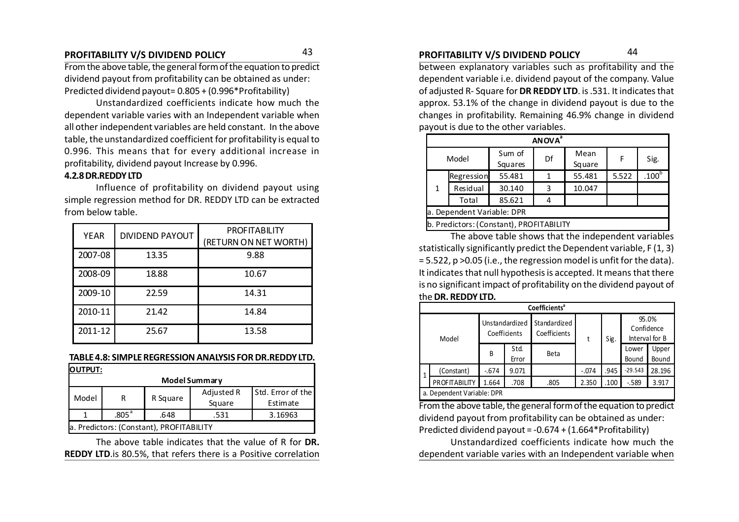From the above table, the general form of the equation to predict dividend payout from profitability can be obtained as under: Predicted dividend payout= 0.805 + (0.996\*Profitability)

Unstandardized coefficients indicate how much the dependent variable varies with an Independent variable when all other independent variables are held constant. In the above table, the unstandardized coefficient for profitability is equal to 0.996. This means that for every additional increase in profitability, dividend payout Increase by 0.996.

#### **4.2.8 DR.REDDY LTD**

Influence of profitability on dividend payout using simple regression method for DR. REDDY LTD can be extracted from below table.

| <b>YEAR</b> | <b>DIVIDEND PAYOUT</b> | <b>PROFITABILITY</b><br>(RETURN ON NET WORTH) |
|-------------|------------------------|-----------------------------------------------|
| 2007-08     | 13.35                  | 9.88                                          |
| 2008-09     | 18.88                  | 10.67                                         |
| 2009-10     | 22.59                  | 14.31                                         |
| 2010-11     | 21.42                  | 14.84                                         |
| 2011-12     | 25.67                  | 13.58                                         |

#### **TABLE 4.8: SIMPLE REGRESSION ANALYSIS FOR DR.REDDY LTD.**

| <b>OUTPUT:</b>                           |                   |          |                      |                               |  |  |  |  |
|------------------------------------------|-------------------|----------|----------------------|-------------------------------|--|--|--|--|
|                                          |                   |          | Model Summary        |                               |  |  |  |  |
| Model                                    | R                 | R Square | Adjusted R<br>Square | Std. Error of the<br>Estimate |  |  |  |  |
|                                          | .805 <sup>a</sup> | .648     | .531                 | 3.16963                       |  |  |  |  |
| a. Predictors: (Constant), PROFITABILITY |                   |          |                      |                               |  |  |  |  |

The above table indicates that the value of R for **DR. REDDY LTD**.is 80.5%, that refers there is a Positive correlation

### **PROFITABILITY V/S DIVIDEND POLICY PROFITABILITY V/S DIVIDEND POLICY** 4344

between explanatory variables such as profitability and the dependent variable i.e. dividend payout of the company. Value of adjusted R- Square for **DR REDDY LTD**. is .531. It indicates that approx. 53.1% of the change in dividend payout is due to the changes in profitability. Remaining 46.9% change in dividend payout is due to the other variables.

|                            | <b>ANOVA</b> <sup>a</sup> |                                          |    |                |       |                   |  |  |  |  |  |
|----------------------------|---------------------------|------------------------------------------|----|----------------|-------|-------------------|--|--|--|--|--|
|                            | Model                     | Sum of<br>Squares                        | Df | Mean<br>Square | F     | Sig.              |  |  |  |  |  |
| Regression                 |                           | 55.481                                   |    | 55.481         | 5.522 | .100 <sup>b</sup> |  |  |  |  |  |
| 1                          | Residual                  | 30.140                                   | 3  | 10.047         |       |                   |  |  |  |  |  |
|                            | Total                     | 85.621                                   |    |                |       |                   |  |  |  |  |  |
| a. Dependent Variable: DPR |                           |                                          |    |                |       |                   |  |  |  |  |  |
|                            |                           | b. Predictors: (Constant), PROFITABILITY |    |                |       |                   |  |  |  |  |  |

The above table shows that the independent variables statistically significantly predict the Dependent variable, F (1, 3) = 5.522, p >0.05 (i.e., the regression model is unfit for the data). It indicates that null hypothesis is accepted. It means that there is no significant impact of profitability on the dividend payout of the **DR. REDDY LTD.**

|       | <b>Coefficients<sup>a</sup></b> |        |                                |                              |         |      |                |                         |  |  |  |  |
|-------|---------------------------------|--------|--------------------------------|------------------------------|---------|------|----------------|-------------------------|--|--|--|--|
| Model |                                 |        | Unstandardized<br>Coefficients | Standardized<br>Coefficients | t       | Sig. | Confidence     | 95.0%<br>Interval for B |  |  |  |  |
|       |                                 | B      | Std.<br>Error                  | Beta                         |         |      | Lower<br>Bound | Upper<br>Bound          |  |  |  |  |
| 1     | (Constant)                      | $-674$ | 9.071                          |                              | $-.074$ | .945 | $-29.543$      | 28.196                  |  |  |  |  |
|       | <b>PROFITABILITY</b>            | 1.664  | .708                           | .805                         | 2.350   | .100 | $-589$         | 3.917                   |  |  |  |  |
|       | a. Dependent Variable: DPR      |        |                                |                              |         |      |                |                         |  |  |  |  |

From the above table, the general form of the equation to predict dividend payout from profitability can be obtained as under: Predicted dividend payout = -0.674 + (1.664\*Profitability)

Unstandardized coefficients indicate how much the dependent variable varies with an Independent variable when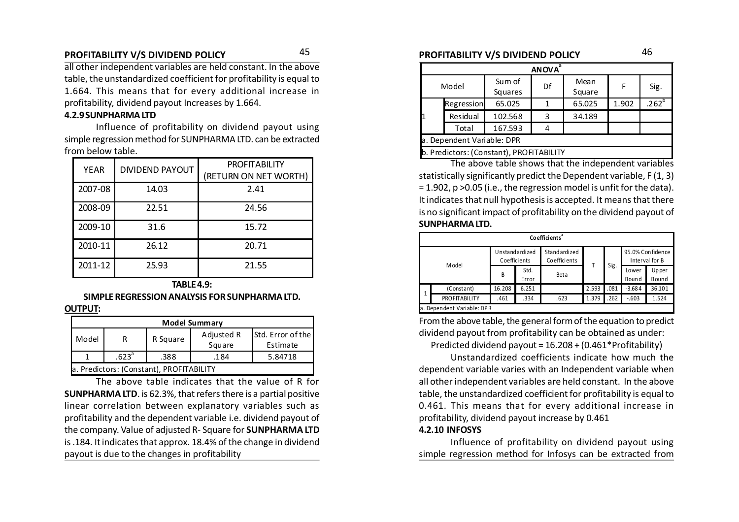### **PROFITABILITY V/S DIVIDEND POLICY PROFITABILITY V/S DIVIDEND POLICY** 45 46

all other independent variables are held constant. In the above table, the unstandardized coefficient for profitability is equal to 1.664. This means that for every additional increase in profitability, dividend payout Increases by 1.664.

#### **4.2.9 SUNPHARMA LTD**

Influence of profitability on dividend payout using simple regression method for SUNPHARMA LTD. can be extracted from below table.

| <b>YEAR</b> | <b>DIVIDEND PAYOUT</b> | <b>PROFITABILITY</b><br>(RETURN ON NET WORTH) |
|-------------|------------------------|-----------------------------------------------|
| 2007-08     | 14.03                  | 2.41                                          |
| 2008-09     | 22.51                  | 24.56                                         |
| 2009-10     | 31.6                   | 15.72                                         |
| 2010-11     | 26.12                  | 20.71                                         |
| 2011-12     | 25.93                  | 21.55                                         |

### **TABLE 4.9: SIMPLE REGRESSION ANALYSIS FOR SUNPHARMA LTD.**

**OUTPUT:**

| <b>Model Summary</b>                                                                   |                                              |  |  |  |  |  |  |  |  |  |
|----------------------------------------------------------------------------------------|----------------------------------------------|--|--|--|--|--|--|--|--|--|
| <b>Std. Error of the</b><br>Adjusted R<br>R Square<br>Model<br>R<br>Square<br>Estimate |                                              |  |  |  |  |  |  |  |  |  |
|                                                                                        | .623 <sup>a</sup><br>.388<br>5.84718<br>.184 |  |  |  |  |  |  |  |  |  |
|                                                                                        | a. Predictors: (Constant), PROFITABILITY     |  |  |  |  |  |  |  |  |  |

The above table indicates that the value of R for **SUNPHARMA LTD**. is 62.3%, that refers there is a partial positive linear correlation between explanatory variables such as profitability and the dependent variable i.e. dividend payout of the company. Value of adjusted R- Square for **SUNPHARMA LTD** is .184. It indicates that approx. 18.4% of the change in dividend payout is due to the changes in profitability

| <b>ANOVA</b> <sup>a</sup>  |            |                                          |    |                |       |                   |  |  |  |  |
|----------------------------|------------|------------------------------------------|----|----------------|-------|-------------------|--|--|--|--|
|                            | Model      | Sum of<br>Squares                        | Df | Mean<br>Square | F     | Sig.              |  |  |  |  |
|                            | Regression | 65.025                                   |    | 65.025         | 1.902 | .262 <sup>b</sup> |  |  |  |  |
| 1                          | Residual   | 102.568                                  | 3  | 34.189         |       |                   |  |  |  |  |
|                            | Total      | 167.593                                  |    |                |       |                   |  |  |  |  |
| a. Dependent Variable: DPR |            |                                          |    |                |       |                   |  |  |  |  |
|                            |            | b. Predictors: (Constant), PROFITABILITY |    |                |       |                   |  |  |  |  |

The above table shows that the independent variables statistically significantly predict the Dependent variable, F (1, 3) = 1.902, p >0.05 (i.e., the regression model is unfit for the data). It indicates that null hypothesis is accepted. It means that there is no significant impact of profitability on the dividend payout of **SUNPHARMA LTD.**

|                      | Co efficients <sup>ª</sup> |              |                |                              |       |      |                |                                    |  |  |  |  |
|----------------------|----------------------------|--------------|----------------|------------------------------|-------|------|----------------|------------------------------------|--|--|--|--|
| Model                |                            | Coefficients | Unstandardized | Standardized<br>Coefficients |       | Sig. |                | 95.0% Confidence<br>Interval for B |  |  |  |  |
|                      |                            | B            | Std.<br>Error  | <b>Beta</b>                  |       |      | Lower<br>Bound | Upper<br>Bound                     |  |  |  |  |
| -1                   | (Constant)                 | 16.208       | 6.251          |                              | 2.593 | .081 | $-3.684$       | 36.101                             |  |  |  |  |
| <b>PROFITABILITY</b> |                            | .461         | .334           | .623                         | 1.379 | .262 | $-.603$        | 1.524                              |  |  |  |  |
|                      | a. Dependent Variable: DPR |              |                |                              |       |      |                |                                    |  |  |  |  |

From the above table, the general form of the equation to predict dividend payout from profitability can be obtained as under:

Predicted dividend payout = 16.208 + (0.461\*Profitability)

Unstandardized coefficients indicate how much the dependent variable varies with an Independent variable when all other independent variables are held constant. In the above table, the unstandardized coefficient for profitability is equal to 0.461. This means that for every additional increase in profitability, dividend payout increase by 0.461

#### **4.2.10 INFOSYS**

Influence of profitability on dividend payout using simple regression method for Infosys can be extracted from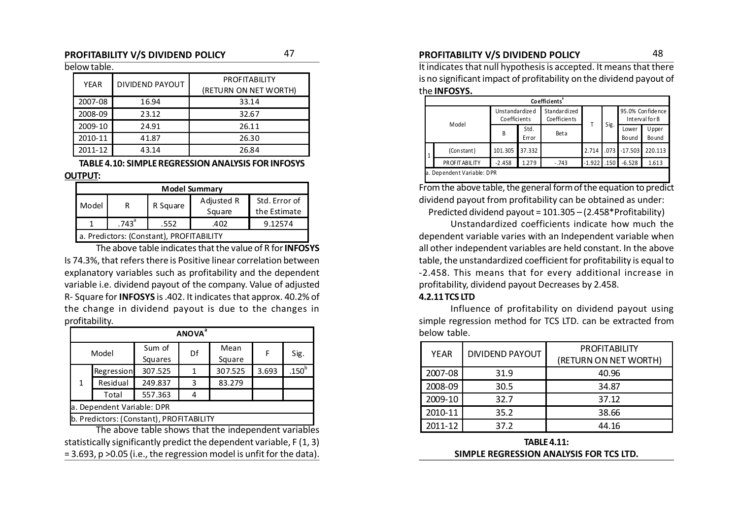#### **PROFITABILITY V/S DIVIDEND POLICY** 47 **PROFITABILITY V/S DIVIDEND POLICY** 48

#### below table.

| YEAR    | DIVIDEND PAYOUT | <b>PROFITABILITY</b><br>(RETURN ON NET WORTH) |
|---------|-----------------|-----------------------------------------------|
| 2007-08 | 16.94           | 33.14                                         |
| 2008-09 | 23.12           | 32.67                                         |
| 2009-10 | 24.91           | 26.11                                         |
| 2010-11 | 41.87           | 26.30                                         |
| 2011-12 | 43.14           | 26.84                                         |

#### **TABLE 4.10: SIMPLE REGRESSION ANALYSIS FOR INFOSYS**

#### **OUTPUT:**

| <b>Model Summary</b>                                                            |          |      |      |         |  |  |  |  |  |
|---------------------------------------------------------------------------------|----------|------|------|---------|--|--|--|--|--|
| Adjusted R<br>Std. Error of<br>Model<br>R Square<br>R<br>Square<br>the Estimate |          |      |      |         |  |  |  |  |  |
|                                                                                 | $.743^a$ | .552 | .402 | 9.12574 |  |  |  |  |  |
| a. Predictors: (Constant), PROFITABILITY                                        |          |      |      |         |  |  |  |  |  |

The above table indicates that the value of R for **INFOSYS** Is 74.3%, that refers there is Positive linear correlation between explanatory variables such as profitability and the dependent variable i.e. dividend payout of the company. Value of adjusted R- Square for **INFOSYS** is .402. It indicates that approx. 40.2% of the change in dividend payout is due to the changes in profitability.

|              |                                          |                                                    | <b>ANOVA</b> <sup>a</sup> |                |       |                   |  |  |  |  |  |
|--------------|------------------------------------------|----------------------------------------------------|---------------------------|----------------|-------|-------------------|--|--|--|--|--|
|              | Model                                    | Sum of<br>Squares                                  | Df                        | Mean<br>Square | F     | Sig.              |  |  |  |  |  |
|              | Regression                               | 307.525                                            |                           | 307.525        | 3.693 | .150 <sup>b</sup> |  |  |  |  |  |
| $\mathbf{1}$ | Residual                                 | 249.837                                            | 3                         | 83.279         |       |                   |  |  |  |  |  |
|              | Total                                    | 557.363                                            |                           |                |       |                   |  |  |  |  |  |
|              | a. Dependent Variable: DPR               |                                                    |                           |                |       |                   |  |  |  |  |  |
|              | b. Predictors: (Constant), PROFITABILITY |                                                    |                           |                |       |                   |  |  |  |  |  |
|              |                                          | The above table shows that the independent variabl |                           |                |       |                   |  |  |  |  |  |

The above table shows that the independent variables statistically significantly predict the dependent variable, F (1, 3) = 3.693, p >0.05 (i.e., the regression model is unfit for the data).

It indicates that null hypothesis is accepted. It means that there is no significant impact of profitability on the dividend payout of the **INFOSYS.**

| Co efficients <sup>a</sup> |                                 |               |                                     |          |      |                                    |                         |  |  |  |
|----------------------------|---------------------------------|---------------|-------------------------------------|----------|------|------------------------------------|-------------------------|--|--|--|
| Model                      | Unstandardize d<br>Coefficients |               | Standardized<br><b>Coefficients</b> |          |      | 95.0% Confidence<br>Interval for B |                         |  |  |  |
|                            | B                               | Std.<br>Error | Beta                                |          | Sig. | Lower<br><b>Bound</b>              | <b>U</b> pper<br>Bo und |  |  |  |
| (Constant)                 | 101.305                         | 37.332        |                                     | 2.714    | .073 | $-17.503$                          | 220.113                 |  |  |  |
| <b>PROFITABILITY</b>       | $-2.458$                        | 1.279         | $-.743$                             | $-1.922$ | .150 | $-6.528$                           | 1.613                   |  |  |  |
| a. Dependent Variable: DPR |                                 |               |                                     |          |      |                                    |                         |  |  |  |

From the above table, the general form of the equation to predict dividend payout from profitability can be obtained as under:

Predicted dividend payout = 101.305 – (2.458\*Profitability)

Unstandardized coefficients indicate how much the dependent variable varies with an Independent variable when all other independent variables are held constant. In the above table, the unstandardized coefficient for profitability is equal to -2.458. This means that for every additional increase in profitability, dividend payout Decreases by 2.458.

#### **4.2.11 TCS LTD**

Influence of profitability on dividend payout using simple regression method for TCS LTD. can be extracted from below table.

| <b>YEAR</b> | <b>DIVIDEND PAYOUT</b> | <b>PROFITABILITY</b><br>(RETURN ON NET WORTH) |
|-------------|------------------------|-----------------------------------------------|
| 2007-08     | 31.9                   | 40.96                                         |
| 2008-09     | 30.5                   | 34.87                                         |
| 2009-10     | 32.7                   | 37.12                                         |
| 2010-11     | 35.2                   | 38.66                                         |
| 2011-12     | 37.2                   | 44.16                                         |

**TABLE 4.11: SIMPLE REGRESSION ANALYSIS FOR TCS LTD.**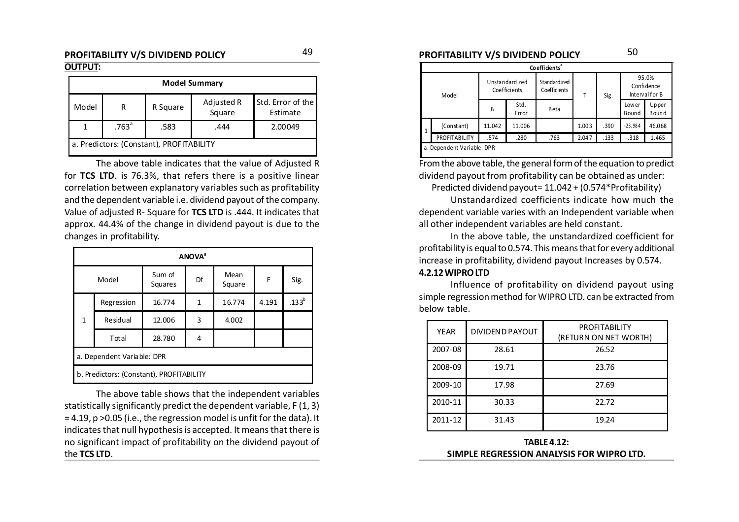#### **PROFITABILITY V/S DIVIDEND POLICY PROFITABILITY V/S DIVIDEND POLICY** 4950 **OUTPUT:**

| <b>Model Summary</b>                                                            |                                              |  |  |  |  |  |  |  |  |  |
|---------------------------------------------------------------------------------|----------------------------------------------|--|--|--|--|--|--|--|--|--|
| Std. Error of the<br>Adjusted R<br>Model<br>R Square<br>R<br>Square<br>Estimate |                                              |  |  |  |  |  |  |  |  |  |
|                                                                                 | .763 <sup>a</sup><br>.583<br>.444<br>2.00049 |  |  |  |  |  |  |  |  |  |
| a. Predictors: (Constant), PROFITABILITY                                        |                                              |  |  |  |  |  |  |  |  |  |

The above table indicates that the value of Adjusted R for **TCS LTD**. is 76.3%, that refers there is a positive linear correlation between explanatory variables such as profitability and the dependent variable i.e. dividend payout of the company. Value of adjusted R- Square for **TCS LTD** is .444. It indicates that approx. 44.4% of the change in dividend payout is due to the changes in profitability.

|              | <b>ANOVA</b> <sup>a</sup>                |                   |    |                |       |          |  |  |  |  |
|--------------|------------------------------------------|-------------------|----|----------------|-------|----------|--|--|--|--|
| Model        |                                          | Sum of<br>Squares | Df | Mean<br>Square | F     | Sig.     |  |  |  |  |
|              | Regression                               | 16.774            | 1  | 16.774         | 4.191 | $.133^b$ |  |  |  |  |
| $\mathbf{1}$ | Residual                                 | 12.006            | 3  | 4.002          |       |          |  |  |  |  |
|              | Total                                    | 28.780            | 4  |                |       |          |  |  |  |  |
|              | a. Dependent Variable: DPR               |                   |    |                |       |          |  |  |  |  |
|              | b. Predictors: (Constant), PROFITABILITY |                   |    |                |       |          |  |  |  |  |

The above table shows that the independent variables statistically significantly predict the dependent variable, F (1, 3) = 4.19, p >0.05 (i.e., the regression model is unfit for the data). It indicates that null hypothesis is accepted. It means that there is no significant impact of profitability on the dividend payout of the **TCS LTD**.

|           | Co efficients <sup>ª</sup> |                                |               |                              |       |      |                                       |                |  |  |  |
|-----------|----------------------------|--------------------------------|---------------|------------------------------|-------|------|---------------------------------------|----------------|--|--|--|
| Model     |                            | Unstandardized<br>Coefficients |               | Standardized<br>Coefficients | Т     | Sig. | 95.0%<br>Confidence<br>Interval for B |                |  |  |  |
|           |                            | B                              | Std.<br>Error | Beta                         |       |      | Lower<br>Bound                        | Upper<br>Bound |  |  |  |
| $\vert$ 1 | (Constant)                 | 11.042                         | 11.006        |                              | 1.003 | .390 | $-23.984$                             | 46.068         |  |  |  |
|           | PROFITABILITY              | .574                           | .280          | .763                         | 2.047 | .133 | $-318$                                | 1.465          |  |  |  |
|           | a. Dependent Variable: DPR |                                |               |                              |       |      |                                       |                |  |  |  |

From the above table, the general form of the equation to predict dividend payout from profitability can be obtained as under:

Predicted dividend payout= 11.042 + (0.574\*Profitability)

Unstandardized coefficients indicate how much the dependent variable varies with an Independent variable when all other independent variables are held constant.

In the above table, the unstandardized coefficient for profitability is equal to 0.574. This means that for every additional increase in profitability, dividend payout Increases by 0.574.

#### **4.2.12 WIPRO LTD**

Influence of profitability on dividend payout using simple regression method for WIPRO LTD. can be extracted from below table.

| <b>YEAR</b> | <b>DIVIDEND PAYOUT</b> | <b>PROFITABILITY</b><br>(RETURN ON NET WORTH) |
|-------------|------------------------|-----------------------------------------------|
| 2007-08     | 28.61                  | 26.52                                         |
| 2008-09     | 19.71                  | 23.76                                         |
| 2009-10     | 17.98                  | 27.69                                         |
| 2010-11     | 30.33                  | 22.72                                         |
| 2011-12     | 31.43                  | 19.24                                         |

**TABLE 4.12: SIMPLE REGRESSION ANALYSIS FOR WIPRO LTD.**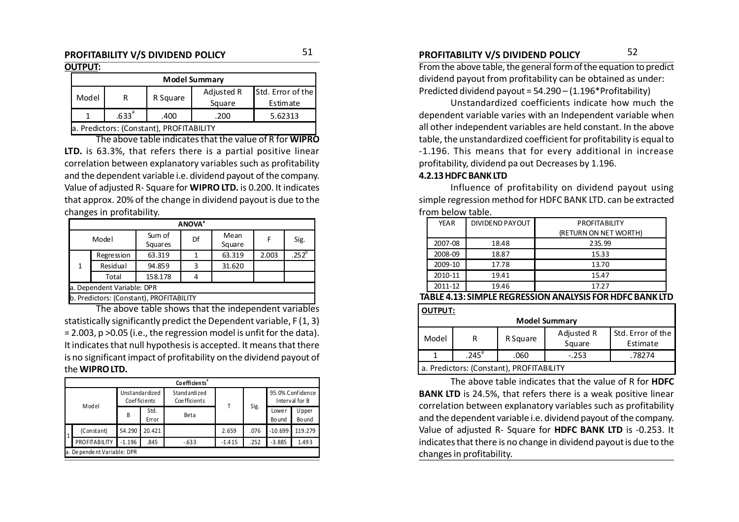#### **OUTPUT:**

|                                              | <b>Model Summary</b>                     |          |            |                   |  |  |  |  |  |  |
|----------------------------------------------|------------------------------------------|----------|------------|-------------------|--|--|--|--|--|--|
|                                              |                                          |          | Adjusted R | Std. Error of the |  |  |  |  |  |  |
| Model                                        |                                          | R Square | Square     | Estimate          |  |  |  |  |  |  |
| .633 <sup>a</sup><br>5.62313<br>.200<br>.400 |                                          |          |            |                   |  |  |  |  |  |  |
|                                              | a. Predictors: (Constant), PROFITABILITY |          |            |                   |  |  |  |  |  |  |

The above table indicates that the value of R for **WIPRO LTD.** is 63.3%, that refers there is a partial positive linear correlation between explanatory variables such as profitability and the dependent variable i.e. dividend payout of the company. Value of adjusted R- Square for **WIPRO LTD.** is 0.200. It indicates that approx. 20% of the change in dividend payout is due to the changes in profitability.

|                            | <b>ANOVA</b> <sup>a</sup>                |                   |    |                |       |                   |  |  |  |  |  |
|----------------------------|------------------------------------------|-------------------|----|----------------|-------|-------------------|--|--|--|--|--|
| Model                      |                                          | Sum of<br>Squares | Df | Mean<br>Square | F     | Sig.              |  |  |  |  |  |
|                            | <b>Regression</b>                        | 63.319            |    | 63.319         | 2.003 | .252 <sup>b</sup> |  |  |  |  |  |
| 1                          | Residual                                 | 94.859            | 3  | 31.620         |       |                   |  |  |  |  |  |
|                            | Total                                    | 158.178           |    |                |       |                   |  |  |  |  |  |
| a. Dependent Variable: DPR |                                          |                   |    |                |       |                   |  |  |  |  |  |
|                            | b. Predictors: (Constant), PROFITABILITY |                   |    |                |       |                   |  |  |  |  |  |

The above table shows that the independent variables statistically significantly predict the Dependent variable, F (1, 3) = 2.003, p >0.05 (i.e., the regression model is unfit for the data). It indicates that null hypothesis is accepted. It means that there is no significant impact of profitability on the dividend payout of the **WIPRO LTD.**

|       |                             |          |                                | Co efficients <sup>ª</sup>    |          |      |                  |                                    |  |  |
|-------|-----------------------------|----------|--------------------------------|-------------------------------|----------|------|------------------|------------------------------------|--|--|
| Model |                             |          | Unstandardized<br>Coefficients | Standardized<br>Coe fficients |          | Sig. |                  | 95.0% Confidence<br>Interval for B |  |  |
|       |                             | B        | Std.<br>Error                  | Beta                          |          |      | Lowe r<br>Bo und | Upper<br>Bo und                    |  |  |
| 1     | (Constant)                  | 54.290   | 20.421                         |                               | 2.659    | .076 | $-10.699$        | 119.279                            |  |  |
|       | PROFITABILITY               | $-1.196$ | .845                           | $-0.633$                      | $-1.415$ | .252 | $-3.885$         | 1.493                              |  |  |
|       | a. De pendent Variable: DPR |          |                                |                               |          |      |                  |                                    |  |  |

From the above table, the general form of the equation to predict dividend payout from profitability can be obtained as under: Predicted dividend payout = 54.290 – (1.196\*Profitability)

Unstandardized coefficients indicate how much the dependent variable varies with an Independent variable when all other independent variables are held constant. In the above table, the unstandardized coefficient for profitability is equal to -1.196. This means that for every additional in increase profitability, dividend pa out Decreases by 1.196.

#### **4.2.13 HDFC BANK LTD**

Influence of profitability on dividend payout using simple regression method for HDFC BANK LTD. can be extracted from below table.

| DIVIDEND PAYOUT | <b>PROFITABILITY</b>  |
|-----------------|-----------------------|
|                 | (RETURN ON NET WORTH) |
| 18.48           | 235.99                |
| 18.87           | 15.33                 |
| 17.78           | 13.70                 |
| 19.41           | 15.47                 |
| 19.46           | 17.27                 |
|                 |                       |

#### **TABLE 4.13: SIMPLE REGRESSION ANALYSIS FOR HDFC BANK LTD**

| <b>OUTPUT:</b>                           |                     |          |                      |                               |  |  |  |  |  |
|------------------------------------------|---------------------|----------|----------------------|-------------------------------|--|--|--|--|--|
| <b>Model Summary</b>                     |                     |          |                      |                               |  |  |  |  |  |
| Model                                    | R                   | R Square | Adjusted R<br>Square | Std. Error of the<br>Estimate |  |  |  |  |  |
|                                          | $.245$ <sup>a</sup> | .060     | $-.253$              | .78274                        |  |  |  |  |  |
| a. Predictors: (Constant), PROFITABILITY |                     |          |                      |                               |  |  |  |  |  |

The above table indicates that the value of R for **HDFC BANK LTD** is 24.5%, that refers there is a weak positive linear correlation between explanatory variables such as profitability and the dependent variable i.e. dividend payout of the company. Value of adjusted R- Square for **HDFC BANK LTD** is -0.253. It indicates that there is no change in dividend payout is due to the changes in profitability.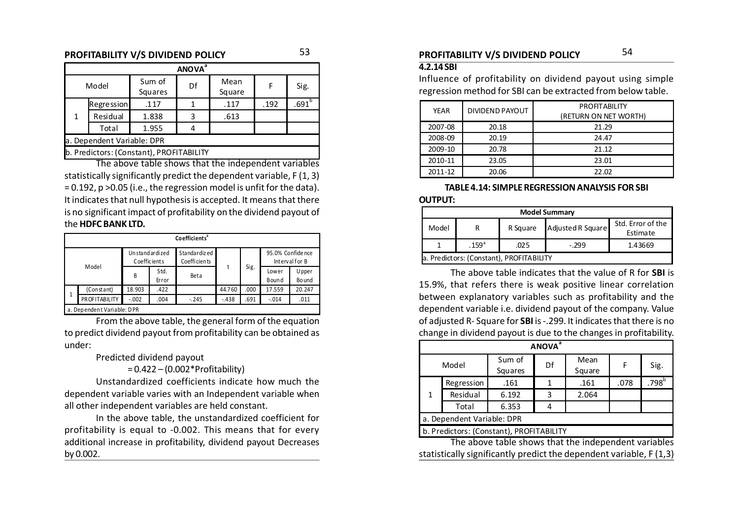### **PROFITABILITY V/S DIVIDEND POLICY PROFITABILITY V/S DIVIDEND POLICY** 5354

|                            | <b>ANOVA</b> <sup>a</sup> |                                          |    |                |      |            |  |  |  |  |
|----------------------------|---------------------------|------------------------------------------|----|----------------|------|------------|--|--|--|--|
|                            | Model                     | Sum of<br>Squares                        | Df | Mean<br>Square | F    | Sig.       |  |  |  |  |
|                            | Regression                | .117                                     |    | .117           | .192 | $.691^{b}$ |  |  |  |  |
| 1                          | Residual                  | 1.838                                    | 3  | .613           |      |            |  |  |  |  |
|                            | Total                     | 1.955                                    |    |                |      |            |  |  |  |  |
| a. Dependent Variable: DPR |                           |                                          |    |                |      |            |  |  |  |  |
|                            |                           | b. Predictors: (Constant), PROFITABILITY |    |                |      |            |  |  |  |  |

The above table shows that the independent variables statistically significantly predict the dependent variable, F (1, 3) = 0.192, p >0.05 (i.e., the regression model is unfit for the data). It indicates that null hypothesis is accepted. It means that there is no significant impact of profitability on the dividend payout of the **HDFC BANK LTD.**

|   | Co efficients <sup>ª</sup> |                                        |      |                              |         |       |                                     |        |  |  |  |
|---|----------------------------|----------------------------------------|------|------------------------------|---------|-------|-------------------------------------|--------|--|--|--|
|   |                            | Unstand ardized<br><b>Coefficients</b> |      | Standardized<br>Coefficients |         |       | 95.0% Confide nce<br>Interval for B |        |  |  |  |
|   | Model                      | Std.<br>B<br>Error                     | Beta |                              | Sig.    | Lower | Upper                               |        |  |  |  |
|   |                            |                                        |      |                              |         |       | Bound                               | Bo und |  |  |  |
|   | (Constant)                 | 18.903                                 | .422 |                              | 44.760  | .000  | 17.559                              | 20.247 |  |  |  |
| 1 | PROFITABILITY              | $-.002$                                | .004 | $-.245$                      | $-.438$ | .691  | $-.014$                             | .011   |  |  |  |
|   | a. Dependent Variable: DPR |                                        |      |                              |         |       |                                     |        |  |  |  |

From the above table, the general form of the equation to predict dividend payout from profitability can be obtained as under:

Predicted dividend payout

= 0.422 – (0.002\*Profitability)

Unstandardized coefficients indicate how much the dependent variable varies with an Independent variable when all other independent variables are held constant.

In the above table, the unstandardized coefficient for profitability is equal to -0.002. This means that for every additional increase in profitability, dividend payout Decreases by 0.002.

#### **4.2.14 SBI**

Influence of profitability on dividend payout using simple regression method for SBI can be extracted from below table.

| <b>DIVIDEND PAYOUT</b><br><b>YEAR</b> |       | PROFITABILITY<br>(RETURN ON NET WORTH) |
|---------------------------------------|-------|----------------------------------------|
| 2007-08                               | 20.18 | 21.29                                  |
| 2008-09                               | 20.19 | 24.47                                  |
| 2009-10                               | 20.78 | 21.12                                  |
| 2010-11                               | 23.05 | 23.01                                  |
| 2011-12                               | 20.06 | 22.02                                  |

#### **TABLE 4.14: SIMPLE REGRESSION ANALYSIS FOR SBI OUTPUT:**

|       | <b>Model Summary</b>                     |          |                   |                               |  |  |  |  |  |
|-------|------------------------------------------|----------|-------------------|-------------------------------|--|--|--|--|--|
| Model | R                                        | R Square | Adjusted R Square | Std. Error of the<br>Estimate |  |  |  |  |  |
|       | 1.43669                                  |          |                   |                               |  |  |  |  |  |
|       | a. Predictors: (Constant), PROFITABILITY |          |                   |                               |  |  |  |  |  |

The above table indicates that the value of R for **SBI** is 15.9%, that refers there is weak positive linear correlation between explanatory variables such as profitability and the dependent variable i.e. dividend payout of the company. Value of adjusted R- Square for **SBI** is -.299. It indicates that there is no change in dividend payout is due to the changes in profitability.

| <b>ANOVA</b> <sup>ª</sup>                |                            |                                                                                                                             |    |                |      |            |  |  |  |  |
|------------------------------------------|----------------------------|-----------------------------------------------------------------------------------------------------------------------------|----|----------------|------|------------|--|--|--|--|
|                                          | Model                      | Sum of<br>Squares                                                                                                           | Df | Mean<br>Square | F    | Sig.       |  |  |  |  |
|                                          | Regression                 | .161                                                                                                                        | 1  | .161           | .078 | $.798^{b}$ |  |  |  |  |
| 1                                        | Residual                   | 6.192                                                                                                                       | 3  | 2.064          |      |            |  |  |  |  |
|                                          | Total                      | 6.353                                                                                                                       | 4  |                |      |            |  |  |  |  |
|                                          | a. Dependent Variable: DPR |                                                                                                                             |    |                |      |            |  |  |  |  |
| b. Predictors: (Constant), PROFITABILITY |                            |                                                                                                                             |    |                |      |            |  |  |  |  |
|                                          |                            | The above table shows that the independent variables<br>$\mathbf{u}$ is the state of the state of the state of $\mathbf{u}$ |    |                |      |            |  |  |  |  |

statistically significantly predict the dependent variable, F (1,3)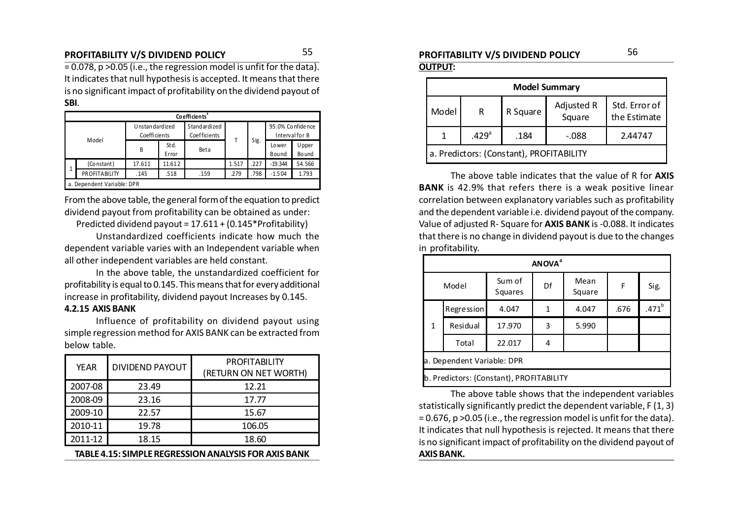### **PROFITABILITY V/S DIVIDEND POLICY PROFITABILITY V/S DIVIDEND POLICY** 5556

 $= 0.078$ , p  $> 0.05$  (i.e., the regression model is unfit for the data). It indicates that null hypothesis is accepted. It means that there is no significant impact of profitability on the dividend payout of **SBI**.

|   | Co efficients <sup>ª</sup> |                                |                |                                     |       |      |                   |                  |  |  |
|---|----------------------------|--------------------------------|----------------|-------------------------------------|-------|------|-------------------|------------------|--|--|
|   | Model                      | Unstandardized<br>Coefficients |                | <b>Standardized</b><br>Coefficients |       |      | 95.0% Confide nce | Interval for B   |  |  |
|   |                            | B                              | St d.<br>Error | Beta                                |       | Sig. | Lower<br>Bound    | U pper<br>Bo und |  |  |
|   | (Constant)                 | 17.611                         | 11.612         |                                     | 1.517 | .227 | $-19.344$         | 54.566           |  |  |
| 1 | PROFITABILITY              | .145                           | .518           | .159                                | .279  | .798 | $-1.504$          | 1.793            |  |  |
|   | a. Dependent Variable: DPR |                                |                |                                     |       |      |                   |                  |  |  |

From the above table, the general form of the equation to predict dividend payout from profitability can be obtained as under:

Predicted dividend payout = 17.611 + (0.145\*Profitability)

Unstandardized coefficients indicate how much the dependent variable varies with an Independent variable when all other independent variables are held constant.

In the above table, the unstandardized coefficient for profitability is equal to 0.145. This means that for every additional increase in profitability, dividend payout Increases by 0.145.

#### **4.2.15 AXIS BANK**

Influence of profitability on dividend payout using simple regression method for AXIS BANK can be extracted from below table.

| <b>YEAR</b> | <b>DIVIDEND PAYOUT</b> | <b>PROFITABILITY</b><br>(RETURN ON NET WORTH) |
|-------------|------------------------|-----------------------------------------------|
| 2007-08     | 23.49                  | 12.21                                         |
| 2008-09     | 23.16                  | 17.77                                         |
| 2009-10     | 22.57                  | 15.67                                         |
| 2010-11     | 19.78                  | 106.05                                        |
| 2011-12     | 18.15                  | 18.60                                         |

**TABLE 4.15: SIMPLE REGRESSION ANALYSIS FOR AXIS BANK**

# **OUTPUT:**

| <b>Model Summary</b>                     |                                                  |          |                      |                               |  |  |  |  |  |
|------------------------------------------|--------------------------------------------------|----------|----------------------|-------------------------------|--|--|--|--|--|
| Model                                    | R                                                | R Square | Adjusted R<br>Square | Std. Error of<br>the Estimate |  |  |  |  |  |
|                                          | .429 <sup>a</sup><br>$-0.088$<br>.184<br>2.44747 |          |                      |                               |  |  |  |  |  |
| a. Predictors: (Constant), PROFITABILITY |                                                  |          |                      |                               |  |  |  |  |  |

The above table indicates that the value of R for **AXIS BANK** is 42.9% that refers there is a weak positive linear correlation between explanatory variables such as profitability and the dependent variable i.e. dividend payout of the company. Value of adjusted R- Square for **AXIS BANK** is -0.088. It indicates that there is no change in dividend payout is due to the changes in profitability.

|              | <b>ANOVA</b> <sup>ª</sup>  |                                          |                      |       |      |         |  |  |  |  |  |  |
|--------------|----------------------------|------------------------------------------|----------------------|-------|------|---------|--|--|--|--|--|--|
|              | Model                      | Sum of<br>Squares                        | Mean<br>Df<br>Square |       | F    | Sig.    |  |  |  |  |  |  |
|              | <b>Regression</b>          | 4.047                                    | 1                    | 4.047 | .676 | $471^b$ |  |  |  |  |  |  |
| $\mathbf{1}$ | Residual                   | 17.970                                   | 3                    | 5.990 |      |         |  |  |  |  |  |  |
|              | Total                      | 22.017                                   | 4                    |       |      |         |  |  |  |  |  |  |
|              | a. Dependent Variable: DPR |                                          |                      |       |      |         |  |  |  |  |  |  |
|              |                            | b. Predictors: (Constant), PROFITABILITY |                      |       |      |         |  |  |  |  |  |  |

The above table shows that the independent variables statistically significantly predict the dependent variable, F (1, 3) = 0.676, p >0.05 (i.e., the regression model is unfit for the data). It indicates that null hypothesis is rejected. It means that there is no significant impact of profitability on the dividend payout of **AXIS BANK.**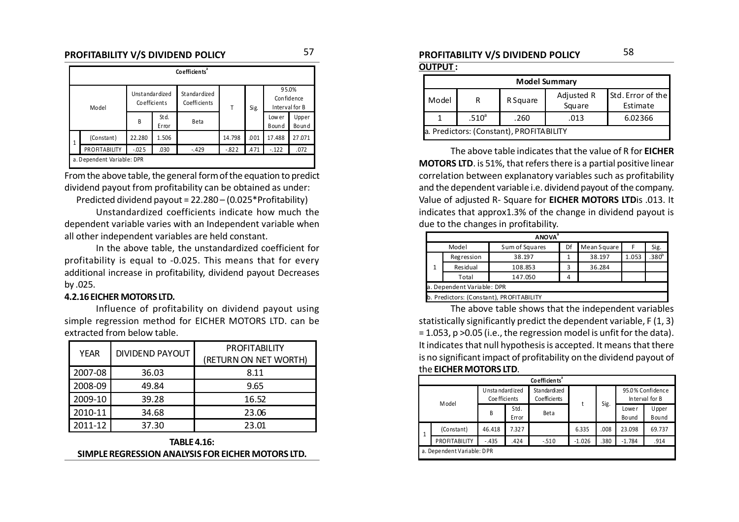#### **PROFITABILITY V/S DIVIDEND POLICY PROFITABILITY V/S DIVIDEND POLICY** 5758

|              | Co efficients <sup>®</sup> |                                |                |                              |          |      |                         |                |  |  |  |  |
|--------------|----------------------------|--------------------------------|----------------|------------------------------|----------|------|-------------------------|----------------|--|--|--|--|
| Model        |                            | Unstandardized<br>Coefficients |                | Standardized<br>Coefficients | Т        | Sig. | 95.0%<br>Interval for B | Confidence     |  |  |  |  |
|              |                            | B                              | St d.<br>Error | <b>Beta</b>                  |          |      | Low er<br>Bound         | Upper<br>Bound |  |  |  |  |
| $\mathbf{1}$ | (Constant)                 | 22.280                         | 1.506          |                              | 14.798   | .001 | 17.488                  | 27.071         |  |  |  |  |
|              | PROFITABILITY              | $-0.025$                       | .030           | $-.429$                      | $-0.822$ | .471 | $-.122$                 | .072           |  |  |  |  |
|              | a. Dependent Variable: DPR |                                |                |                              |          |      |                         |                |  |  |  |  |

From the above table, the general form of the equation to predict dividend payout from profitability can be obtained as under:

Predicted dividend payout = 22.280 – (0.025\*Profitability)

Unstandardized coefficients indicate how much the dependent variable varies with an Independent variable when all other independent variables are held constant.

In the above table, the unstandardized coefficient for profitability is equal to -0.025. This means that for every additional increase in profitability, dividend payout Decreases by .025.

#### **4.2.16 EICHER MOTORS LTD.**

Influence of profitability on dividend payout using simple regression method for EICHER MOTORS LTD. can be extracted from below table.

| <b>YEAR</b> | <b>DIVIDEND PAYOUT</b> | <b>PROFITABILITY</b>  |
|-------------|------------------------|-----------------------|
|             |                        | (RETURN ON NET WORTH) |
| 2007-08     | 36.03                  | 8.11                  |
| 2008-09     | 49.84                  | 9.65                  |
| 2009-10     | 39.28                  | 16.52                 |
| 2010-11     | 34.68                  | 23.06                 |
| 2011-12     | 37.30                  | 23.01                 |

**TABLE 4.16: SIMPLE REGRESSION ANALYSIS FOR EICHER MOTORS LTD.**

#### **OUTPUT :**

|                                           | <b>Model Summary</b>                         |          |                      |                               |  |  |  |  |  |  |
|-------------------------------------------|----------------------------------------------|----------|----------------------|-------------------------------|--|--|--|--|--|--|
| Model                                     |                                              | R Square | Adjusted R<br>Square | Std. Error of the<br>Estimate |  |  |  |  |  |  |
|                                           | .510 <sup>a</sup><br>.013<br>6.02366<br>.260 |          |                      |                               |  |  |  |  |  |  |
| a. Predictors: (Constant), PROFITA BILITY |                                              |          |                      |                               |  |  |  |  |  |  |

The above table indicates that the value of R for **EICHER MOTORS LTD**. is 51%, that refers there is a partial positive linear correlation between explanatory variables such as profitability and the dependent variable i.e. dividend payout of the company. Value of adjusted R- Square for **EICHER MOTORS LTD**is .013. It indicates that approx1.3% of the change in dividend payout is due to the changes in profitability.

|   | <b>ANOVA</b> <sup>a</sup>  |                                          |    |             |       |          |  |  |  |  |  |  |
|---|----------------------------|------------------------------------------|----|-------------|-------|----------|--|--|--|--|--|--|
|   | Model                      | Sum of Squares                           | Df | Mean Square | F     | Sig.     |  |  |  |  |  |  |
|   | Regression                 | 38.197                                   |    | 38.197      | 1.053 | $.380^b$ |  |  |  |  |  |  |
| 1 | Residual                   | 108.853                                  | 3  | 36.284      |       |          |  |  |  |  |  |  |
|   | Total                      | 147.050                                  |    |             |       |          |  |  |  |  |  |  |
|   | a. Dependent Variable: DPR |                                          |    |             |       |          |  |  |  |  |  |  |
|   |                            | b. Predictors: (Constant), PROFITABILITY |    |             |       |          |  |  |  |  |  |  |

The above table shows that the independent variables statistically significantly predict the dependent variable, F (1, 3) = 1.053, p >0.05 (i.e., the regression model is unfit for the data). It indicates that null hypothesis is accepted. It means that there is no significant impact of profitability on the dividend payout of the **EICHER MOTORS LTD**.

|       | Co efficients <sup>®</sup> |                                    |               |                              |          |      |                        |                                    |  |  |  |  |
|-------|----------------------------|------------------------------------|---------------|------------------------------|----------|------|------------------------|------------------------------------|--|--|--|--|
| Model |                            | U nsta ndard ized<br>Coe fficients |               | Standardized<br>Coefficients |          | Sig. |                        | 95.0% Confidence<br>Interval for B |  |  |  |  |
|       |                            | B                                  | Std.<br>Error | Beta                         |          |      | Lowe r<br><b>Bound</b> | Upper<br><b>Bound</b>              |  |  |  |  |
| 1     | (Constant)                 | 46.418                             | 7.327         |                              | 6.335    | .008 | 23.098                 | 69.737                             |  |  |  |  |
|       | PROFITABILITY              | $-.435$                            | .424          | $-510$                       | $-1.026$ | .380 | $-1.784$               | .914                               |  |  |  |  |
|       | a. Dependent Variable: DPR |                                    |               |                              |          |      |                        |                                    |  |  |  |  |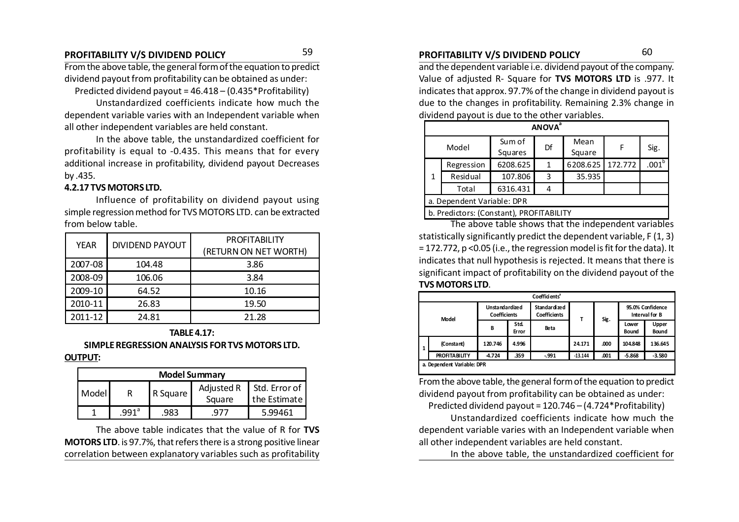### **PROFITABILITY V/S DIVIDEND POLICY PROFITABILITY V/S DIVIDEND POLICY** 59 60

From the above table, the general form of the equation to predict dividend payout from profitability can be obtained as under:

Predicted dividend payout = 46.418 – (0.435\*Profitability)

Unstandardized coefficients indicate how much the dependent variable varies with an Independent variable when all other independent variables are held constant.

In the above table, the unstandardized coefficient for profitability is equal to -0.435. This means that for every additional increase in profitability, dividend payout Decreases by .435.

#### **4.2.17 TVS MOTORS LTD.**

Influence of profitability on dividend payout using simple regression method for TVS MOTORS LTD. can be extracted from below table.

| <b>YEAR</b> | <b>DIVIDEND PAYOUT</b> | <b>PROFITABILITY</b>  |
|-------------|------------------------|-----------------------|
|             |                        | (RETURN ON NET WORTH) |
| 2007-08     | 104.48                 | 3.86                  |
| 2008-09     | 106.06                 | 3.84                  |
| 2009-10     | 64.52                  | 10.16                 |
| 2010-11     | 26.83                  | 19.50                 |
| 2011-12     | 24.81                  | 21.28                 |

### **TABLE 4.17:**

#### **SIMPLE REGRESSION ANALYSIS FOR TVS MOTORS LTD. OUTPUT:**

| <b>Model Summary</b> |                  |          |            |                 |  |  |  |  |  |
|----------------------|------------------|----------|------------|-----------------|--|--|--|--|--|
| Model                |                  | R Square | Adjusted R | l Std. Error of |  |  |  |  |  |
|                      |                  |          | Square     | the Estimate    |  |  |  |  |  |
|                      | 991 <sup>a</sup> | 983.     |            | 5.99461         |  |  |  |  |  |

The above table indicates that the value of R for **TVS MOTORS LTD**. is 97.7%, that refers there is a strong positive linear correlation between explanatory variables such as profitability

and the dependent variable i.e. dividend payout of the company. Value of adjusted R- Square for **TVS MOTORS LTD** is .977. It indicates that approx. 97.7% of the change in dividend payout is due to the changes in profitability. Remaining 2.3% change in dividend payout is due to the other variables.

|                            | <b>ANOVA</b> <sup>a</sup>                |                   |    |                |         |                   |  |  |  |  |  |
|----------------------------|------------------------------------------|-------------------|----|----------------|---------|-------------------|--|--|--|--|--|
|                            | Model                                    | Sum of<br>Squares | Df | Mean<br>Square | F       | Sig.              |  |  |  |  |  |
|                            | Regression                               | 6208.625          | 1  | 6208.625       | 172.772 | .001 <sup>b</sup> |  |  |  |  |  |
| 1                          | Residual                                 | 107.806           | 3  | 35.935         |         |                   |  |  |  |  |  |
|                            | Total                                    | 6316.431          | 4  |                |         |                   |  |  |  |  |  |
| a. Dependent Variable: DPR |                                          |                   |    |                |         |                   |  |  |  |  |  |
|                            | b. Predictors: (Constant), PROFITABILITY |                   |    |                |         |                   |  |  |  |  |  |

The above table shows that the independent variables statistically significantly predict the dependent variable, F (1, 3) = 172.772, p <0.05 (i.e., the regression model is fit for the data). It indicates that null hypothesis is rejected. It means that there is significant impact of profitability on the dividend payout of the **TVS MOTORS LTD**.

|   | Coefficients <sup>a</sup>  |                                              |               |                                      |           |      |                                    |                       |  |  |  |
|---|----------------------------|----------------------------------------------|---------------|--------------------------------------|-----------|------|------------------------------------|-----------------------|--|--|--|
|   | <b>Model</b>               | <b>Unstandardized</b><br><b>Coefficients</b> |               | Standar dized<br><b>Coefficients</b> | т         | Sig. | 95.0% Confidence<br>Interval for B |                       |  |  |  |
|   |                            | В                                            | Std.<br>Error | Beta                                 |           |      | Lower<br>Bound                     | Upper<br><b>Bound</b> |  |  |  |
| 1 | (Constant)                 | 120.746                                      | 4.996         |                                      | 24.171    | .000 | 104.848                            | 136.645               |  |  |  |
|   | <b>PROFITA BILITY</b>      | -4.724                                       | .359          | $-991$                               | $-13.144$ | .001 | $-5.868$                           | $-3.580$              |  |  |  |
|   | a. Dependent Variable: DPR |                                              |               |                                      |           |      |                                    |                       |  |  |  |

From the above table, the general form of the equation to predict dividend payout from profitability can be obtained as under:

Predicted dividend payout = 120.746 – (4.724\*Profitability)

Unstandardized coefficients indicate how much the dependent variable varies with an Independent variable when all other independent variables are held constant.

In the above table, the unstandardized coefficient for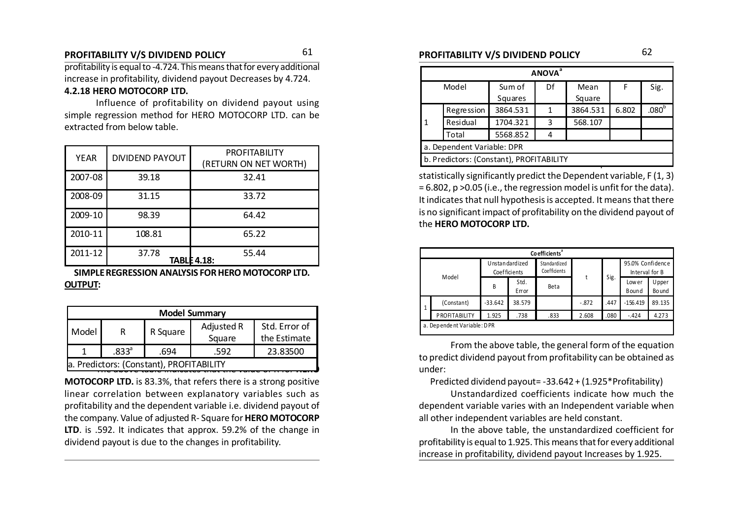### **PROFITABILITY V/S DIVIDEND POLICY PROFITABILITY V/S DIVIDEND POLICY** 61 62

profitability is equal to -4.724. This means that for every additional increase in profitability, dividend payout Decreases by 4.724. **4.2.18 HERO MOTOCORP LTD.**

Influence of profitability on dividend payout using simple regression method for HERO MOTOCORP LTD. can be extracted from below table.

| <b>YEAR</b> | <b>DIVIDEND PAYOUT</b> | <b>PROFITABILITY</b><br>(RETURN ON NET WORTH) |
|-------------|------------------------|-----------------------------------------------|
| 2007-08     | 39.18                  | 32.41                                         |
| 2008-09     | 31.15                  | 33.72                                         |
| 2009-10     | 98.39                  | 64.42                                         |
| 2010-11     | 108.81                 | 65.22                                         |
| 2011-12     | 37.78                  | 55.44<br>TABLE 4.18:                          |

**SIMPLE REGRESSION ANALYSIS FOR HERO MOTOCORP LTD. OUTPUT:**

| <b>Model Summary</b>                                                            |          |      |      |          |  |  |  |  |  |
|---------------------------------------------------------------------------------|----------|------|------|----------|--|--|--|--|--|
| Std. Error of<br>Adjusted R<br>Model<br>R Square<br>R<br>the Estimate<br>Square |          |      |      |          |  |  |  |  |  |
|                                                                                 | $.833^a$ | .694 | .592 | 23.83500 |  |  |  |  |  |
| a. Predictors: (Constant), PROFITABILITY                                        |          |      |      |          |  |  |  |  |  |

**MOTOCORP LTD.** is 83.3%, that refers there is a strong positive linear correlation between explanatory variables such as profitability and the dependent variable i.e. dividend payout of the company. Value of adjusted R- Square for **HERO MOTOCORP LTD**. is .592. It indicates that approx. 59.2% of the change in dividend payout is due to the changes in profitability.

| <b>ANOVA</b> <sup>ª</sup>  |                                          |          |            |          |       |                     |  |  |  |  |  |
|----------------------------|------------------------------------------|----------|------------|----------|-------|---------------------|--|--|--|--|--|
|                            | Model                                    | Sum of   | Df<br>Mean |          | F     | Sig.                |  |  |  |  |  |
|                            |                                          | Squares  |            | Square   |       |                     |  |  |  |  |  |
|                            | Regression                               | 3864.531 | 1          | 3864.531 | 6.802 | $.080^{\mathrm{b}}$ |  |  |  |  |  |
| $\mathbf{1}$               | Residual                                 | 1704.321 | 3          | 568.107  |       |                     |  |  |  |  |  |
|                            | Total                                    | 5568.852 | 4          |          |       |                     |  |  |  |  |  |
| a. Dependent Variable: DPR |                                          |          |            |          |       |                     |  |  |  |  |  |
|                            | b. Predictors: (Constant), PROFITABILITY |          |            |          |       |                     |  |  |  |  |  |
|                            |                                          |          |            |          |       |                     |  |  |  |  |  |

statistically significantly predict the Dependent variable, F (1, 3) = 6.802, p >0.05 (i.e., the regression model is unfit for the data). It indicates that null hypothesis is accepted. It means that there is no significant impact of profitability on the dividend payout of the **HERO MOTOCORP LTD.**

|           | Co efficients <sup>ª</sup> |                                |                    |                              |       |            |                                    |                  |  |  |  |  |
|-----------|----------------------------|--------------------------------|--------------------|------------------------------|-------|------------|------------------------------------|------------------|--|--|--|--|
| Model     |                            | Unstandardized<br>Coefficients |                    | Standardized<br>Coefficients |       |            | 95.0% Confidence<br>Interval for B |                  |  |  |  |  |
|           |                            | B                              | Std.<br>Error      | Beta                         |       | Sig.       | Low er<br>Bound                    | U pper<br>Bo und |  |  |  |  |
| $\vert$ 1 | (Constant)                 | $-33.642$                      | 38.579<br>$-0.872$ |                              | .447  | $-156.419$ | 89.135                             |                  |  |  |  |  |
|           | PROFITABILITY              | 1.925                          | .738               | .833                         | 2.608 | .080       | $-.424$                            | 4.273            |  |  |  |  |
|           | a. Dependent Variable: DPR |                                |                    |                              |       |            |                                    |                  |  |  |  |  |

From the above table, the general form of the equation to predict dividend payout from profitability can be obtained as under:

Predicted dividend payout= -33.642 + (1.925\*Profitability)

Unstandardized coefficients indicate how much the dependent variable varies with an Independent variable when all other independent variables are held constant.

In the above table, the unstandardized coefficient for profitability is equal to 1.925. This means that for every additional increase in profitability, dividend payout Increases by 1.925.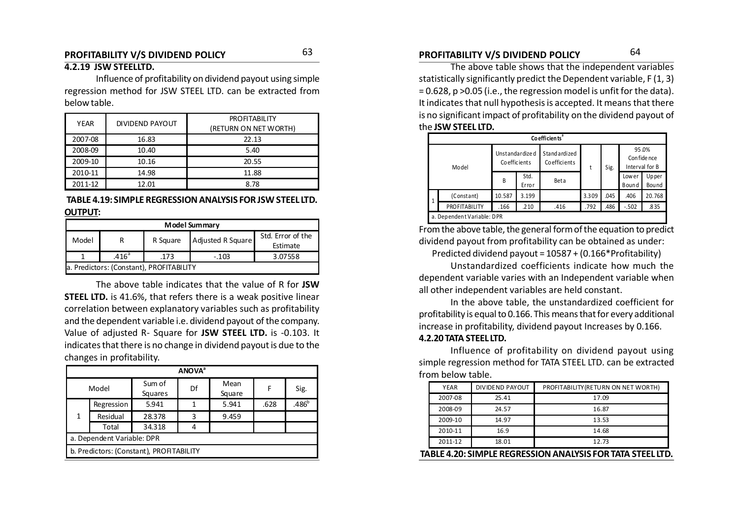### **PROFITABILITY V/S DIVIDEND POLICY PROFITABILITY V/S DIVIDEND POLICY** 6364

#### **4.2.19 JSW STEELLTD.**

Influence of profitability on dividend payout using simple regression method for JSW STEEL LTD. can be extracted from below table.

| <b>YEAR</b> | DIVIDEND PAYOUT | <b>PROFITABILITY</b><br>(RETURN ON NET WORTH) |
|-------------|-----------------|-----------------------------------------------|
| 2007-08     | 16.83           | 22.13                                         |
| 2008-09     | 10.40           | 5.40                                          |
| 2009-10     | 10.16           | 20.55                                         |
| 2010-11     | 14.98           | 11.88                                         |
| 2011-12     | 12.01           | 8.78                                          |

#### **TABLE 4.19: SIMPLE REGRESSION ANALYSIS FOR JSW STEEL LTD. OUTPUT:**

|                                                                         | <b>Model Summary</b>                            |  |  |  |  |  |  |  |  |  |  |
|-------------------------------------------------------------------------|-------------------------------------------------|--|--|--|--|--|--|--|--|--|--|
| Std. Error of the<br>Adjusted R Square<br>Model<br>R Square<br>Estimate |                                                 |  |  |  |  |  |  |  |  |  |  |
|                                                                         | .416 <sup>a</sup><br>.173<br>3.07558<br>$-.103$ |  |  |  |  |  |  |  |  |  |  |
|                                                                         | a. Predictors: (Constant), PROFITABILITY        |  |  |  |  |  |  |  |  |  |  |

The above table indicates that the value of R for **JSW STEEL LTD.** is 41.6%, that refers there is a weak positive linear correlation between explanatory variables such as profitability and the dependent variable i.e. dividend payout of the company. Value of adjusted R- Square for **JSW STEEL LTD.** is -0.103. It indicates that there is no change in dividend payout is due to the changes in profitability.

| <b>ANOVA</b> <sup>a</sup>  |            |                                          |    |                |      |          |  |  |  |  |
|----------------------------|------------|------------------------------------------|----|----------------|------|----------|--|--|--|--|
| Model                      |            | Sum of<br>Squares                        | Df | Mean<br>Square | F    | Sig.     |  |  |  |  |
|                            | Regression | 5.941                                    | 1  | 5.941          | .628 | $.486^b$ |  |  |  |  |
| 1                          | Residual   | 28.378                                   | 3  | 9.459          |      |          |  |  |  |  |
|                            | Total      | 34.318                                   |    |                |      |          |  |  |  |  |
| a. Dependent Variable: DPR |            |                                          |    |                |      |          |  |  |  |  |
|                            |            | b. Predictors: (Constant), PROFITABILITY |    |                |      |          |  |  |  |  |

The above table shows that the independent variables statistically significantly predict the Dependent variable, F (1, 3) = 0.628, p >0.05 (i.e., the regression model is unfit for the data).

It indicates that null hypothesis is accepted. It means that there is no significant impact of profitability on the dividend payout of the **JSW STEEL LTD.**

|        | Co efficients <sup>ª</sup> |                                |               |                              |       |      |                 |                                         |  |  |  |  |
|--------|----------------------------|--------------------------------|---------------|------------------------------|-------|------|-----------------|-----------------------------------------|--|--|--|--|
| Mo del |                            | Unstandardized<br>Coefficients |               | Standardized<br>Coefficients | t     | Sig. |                 | 95.0%<br>Con fide nce<br>Interval for B |  |  |  |  |
|        |                            | B                              | Std.<br>Error | Beta                         |       |      | Low er<br>Bound | Upper<br>Bound                          |  |  |  |  |
| 1      | (Constant)                 | 10.587                         | 3.199         |                              | 3.309 | .045 | .406            | 20.768                                  |  |  |  |  |
|        | PROFITABILITY              | .166                           | .210          | .416                         | .792  | .486 | $-.502$         | .835                                    |  |  |  |  |
|        | a. Dependent Variable: DPR |                                |               |                              |       |      |                 |                                         |  |  |  |  |

From the above table, the general form of the equation to predict dividend payout from profitability can be obtained as under:

Predicted dividend payout = 10587 + (0.166\*Profitability)

Unstandardized coefficients indicate how much the dependent variable varies with an Independent variable when all other independent variables are held constant.

In the above table, the unstandardized coefficient for profitability is equal to 0.166. This means that for every additional increase in profitability, dividend payout Increases by 0.166.

#### **4.2.20 TATA STEEL LTD.**

Influence of profitability on dividend payout using simple regression method for TATA STEEL LTD. can be extracted from below table.

| YEAR                                                       | DIVIDEND PAYOUT | PROFITABILITY (RETURN ON NET WORTH) |  |  |  |  |  |  |
|------------------------------------------------------------|-----------------|-------------------------------------|--|--|--|--|--|--|
| 2007-08                                                    | 25.41           | 17.09                               |  |  |  |  |  |  |
| 2008-09                                                    | 24.57           | 16.87                               |  |  |  |  |  |  |
| 2009-10                                                    | 14.97           | 13.53                               |  |  |  |  |  |  |
| 2010-11                                                    | 16.9            | 14.68                               |  |  |  |  |  |  |
| 2011-12                                                    | 18.01           | 12.73                               |  |  |  |  |  |  |
| TABLE 4.20: SIMPLE REGRESSION ANALYSIS FOR TATA STEEL LTD. |                 |                                     |  |  |  |  |  |  |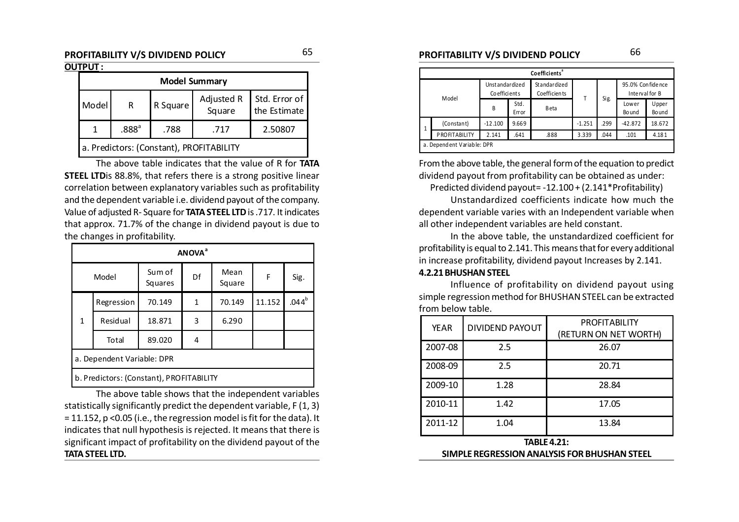### **PROFITABILITY V/S DIVIDEND POLICY PROFITABILITY V/S DIVIDEND POLICY** 6566

#### **OUTPUT :**

|       | <b>Model Summary</b>                         |          |                      |                               |  |  |  |  |  |  |  |
|-------|----------------------------------------------|----------|----------------------|-------------------------------|--|--|--|--|--|--|--|
| Model | R                                            | R Square | Adjusted R<br>Square | Std. Error of<br>the Estimate |  |  |  |  |  |  |  |
|       | .888 <sup>a</sup><br>2.50807<br>.788<br>.717 |          |                      |                               |  |  |  |  |  |  |  |
|       | a. Predictors: (Constant), PROFITABILITY     |          |                      |                               |  |  |  |  |  |  |  |

The above table indicates that the value of R for **TATA STEEL LTD**is 88.8%, that refers there is a strong positive linear correlation between explanatory variables such as profitability and the dependent variable i.e. dividend payout of the company. Value of adjusted R- Square for **TATA STEEL LTD** is .717. It indicates that approx. 71.7% of the change in dividend payout is due to the changes in profitability.

|                            | <b>ANOVA</b> <sup>a</sup>                |                   |    |                |        |                   |  |  |  |  |  |  |
|----------------------------|------------------------------------------|-------------------|----|----------------|--------|-------------------|--|--|--|--|--|--|
| Model                      |                                          | Sum of<br>Squares | Df | Mean<br>Square | F      | Sig.              |  |  |  |  |  |  |
|                            | Regression                               | 70.149            | 1  | 70.149         | 11.152 | .044 <sup>b</sup> |  |  |  |  |  |  |
| $\mathbf{1}$               | Residual                                 | 18.871            | 3  | 6.290          |        |                   |  |  |  |  |  |  |
|                            | Total                                    | 89.020            | 4  |                |        |                   |  |  |  |  |  |  |
| a. Dependent Variable: DPR |                                          |                   |    |                |        |                   |  |  |  |  |  |  |
|                            | b. Predictors: (Constant), PROFITABILITY |                   |    |                |        |                   |  |  |  |  |  |  |

The above table shows that the independent variables statistically significantly predict the dependent variable, F (1, 3) = 11.152, p <0.05 (i.e., the regression model is fit for the data). It indicates that null hypothesis is rejected. It means that there is significant impact of profitability on the dividend payout of the **TATA STEEL LTD.**

|              | Coefficients <sup>®</sup> |                                |               |                                     |          |      |                                      |                 |  |  |  |  |  |  |
|--------------|---------------------------|--------------------------------|---------------|-------------------------------------|----------|------|--------------------------------------|-----------------|--|--|--|--|--|--|
| Model        |                           | Unstandardized<br>Coefficients |               | Standardized<br><b>Coefficients</b> | т        | Sig. | 95.0% Con fide nce<br>Interval for B |                 |  |  |  |  |  |  |
|              |                           | B                              | Std.<br>Error | Beta                                |          |      | Lower<br>Bo und                      | Upper<br>Bo und |  |  |  |  |  |  |
| $\mathbf{1}$ | (Constant)                | $-12.100$                      | 9.669         |                                     | $-1.251$ | .299 | $-42.872$                            | 18.672          |  |  |  |  |  |  |
|              | <b>PROFITABILITY</b>      | 2.141                          | .641          | .888                                | 3.339    | .044 | .101                                 | 4.181           |  |  |  |  |  |  |
|              | a Denendent Variable: DPR |                                |               |                                     |          |      |                                      |                 |  |  |  |  |  |  |

From the above table, the general form of the equation to predict dividend payout from profitability can be obtained as under:

Predicted dividend payout= -12.100 + (2.141\*Profitability)

Unstandardized coefficients indicate how much the dependent variable varies with an Independent variable when all other independent variables are held constant.

In the above table, the unstandardized coefficient for profitability is equal to 2.141. This means that for every additional in increase profitability, dividend payout Increases by 2.141.

#### **4.2.21 BHUSHAN STEEL**

Influence of profitability on dividend payout using simple regression method for BHUSHAN STEEL can be extracted from below table.

| <b>YEAR</b> | <b>DIVIDEND PAYOUT</b> | <b>PROFITABILITY</b><br>(RETURN ON NET WORTH) |
|-------------|------------------------|-----------------------------------------------|
| 2007-08     | 2.5                    | 26.07                                         |
| 2008-09     | 2.5                    | 20.71                                         |
| 2009-10     | 1.28                   | 28.84                                         |
| 2010-11     | 1.42                   | 17.05                                         |
| 2011-12     | 1.04                   | 13.84                                         |
|             | <b>TABLE 4.21:</b>     |                                               |

**SIMPLE REGRESSION ANALYSIS FOR BHUSHAN STEEL**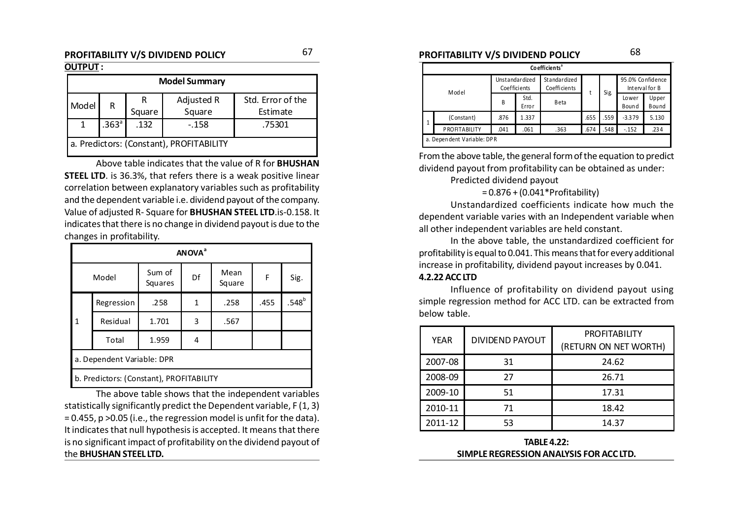### **PROFITABILITY V/S DIVIDEND POLICY PROFITABILITY V/S DIVIDEND POLICY** 6768

#### **OUTPUT :**

| <b>Model Summary</b>                     |                   |        |            |                   |  |  |  |  |  |
|------------------------------------------|-------------------|--------|------------|-------------------|--|--|--|--|--|
| Model                                    | R                 |        | Adjusted R | Std. Error of the |  |  |  |  |  |
|                                          |                   | Square | Square     | Estimate          |  |  |  |  |  |
|                                          | .363 <sup>a</sup> | .132   | $-.158$    | .75301            |  |  |  |  |  |
| a. Predictors: (Constant), PROFITABILITY |                   |        |            |                   |  |  |  |  |  |

Above table indicates that the value of R for **BHUSHAN STEEL LTD**. is 36.3%, that refers there is a weak positive linear correlation between explanatory variables such as profitability and the dependent variable i.e. dividend payout of the company. Value of adjusted R- Square for **BHUSHAN STEEL LTD**.is-0.158. It indicates that there is no change in dividend payout is due to the changes in profitability.

|                            | <b>ANOVA</b> <sup>a</sup>                |                         |   |                |      |          |  |  |  |  |  |
|----------------------------|------------------------------------------|-------------------------|---|----------------|------|----------|--|--|--|--|--|
| Model                      |                                          | Sum of<br>Df<br>Squares |   | Mean<br>Square | F    | Sig.     |  |  |  |  |  |
|                            | Regression                               | .258                    | 1 | .258           | .455 | $.548^b$ |  |  |  |  |  |
| 1                          | Residual                                 | 1.701                   | 3 | .567           |      |          |  |  |  |  |  |
|                            | Total                                    | 1.959                   | 4 |                |      |          |  |  |  |  |  |
| a. Dependent Variable: DPR |                                          |                         |   |                |      |          |  |  |  |  |  |
|                            | b. Predictors: (Constant), PROFITABILITY |                         |   |                |      |          |  |  |  |  |  |

The above table shows that the independent variables statistically significantly predict the Dependent variable, F (1, 3) = 0.455, p >0.05 (i.e., the regression model is unfit for the data). It indicates that null hypothesis is accepted. It means that there is no significant impact of profitability on the dividend payout of the **BHUSHAN STEEL LTD.**

|              | Co efficients <sup>ª</sup> |                                |               |                              |      |      |                                    |                       |  |  |  |  |
|--------------|----------------------------|--------------------------------|---------------|------------------------------|------|------|------------------------------------|-----------------------|--|--|--|--|
| Model        |                            | Unstandardized<br>Coefficients |               | Standardized<br>Coefficients | Sig. |      | 95.0% Confidence<br>Interval for B |                       |  |  |  |  |
|              |                            | B                              | Std.<br>Error | <b>Beta</b>                  |      |      | Lower<br>Bound                     | Upper<br><b>Bound</b> |  |  |  |  |
| $\mathbf{1}$ | (Constant)                 | .876                           | 1.337         |                              | .655 | .559 | $-3.379$                           | 5.130                 |  |  |  |  |
|              | <b>PROFITABILITY</b>       | .041                           | .061          | .363                         | .674 | .548 | $-152$                             | .234                  |  |  |  |  |
|              | a. Dependent Variable: DPR |                                |               |                              |      |      |                                    |                       |  |  |  |  |

From the above table, the general form of the equation to predict dividend payout from profitability can be obtained as under:

Predicted dividend payout

#### = 0.876 + (0.041\*Profitability)

Unstandardized coefficients indicate how much the dependent variable varies with an Independent variable when all other independent variables are held constant.

In the above table, the unstandardized coefficient for profitability is equal to 0.041. This means that for every additional increase in profitability, dividend payout increases by 0.041.

#### **4.2.22 ACC LTD**

Influence of profitability on dividend payout using simple regression method for ACC LTD. can be extracted from below table.

| YEAR    | <b>DIVIDEND PAYOUT</b> | <b>PROFITABILITY</b>  |
|---------|------------------------|-----------------------|
|         |                        | (RETURN ON NET WORTH) |
| 2007-08 | 31                     | 24.62                 |
| 2008-09 | 27                     | 26.71                 |
| 2009-10 | 51                     | 17.31                 |
| 2010-11 | 71                     | 18.42                 |
| 2011-12 | 53                     | 14.37                 |

**TABLE 4.22: SIMPLE REGRESSION ANALYSIS FOR ACC LTD.**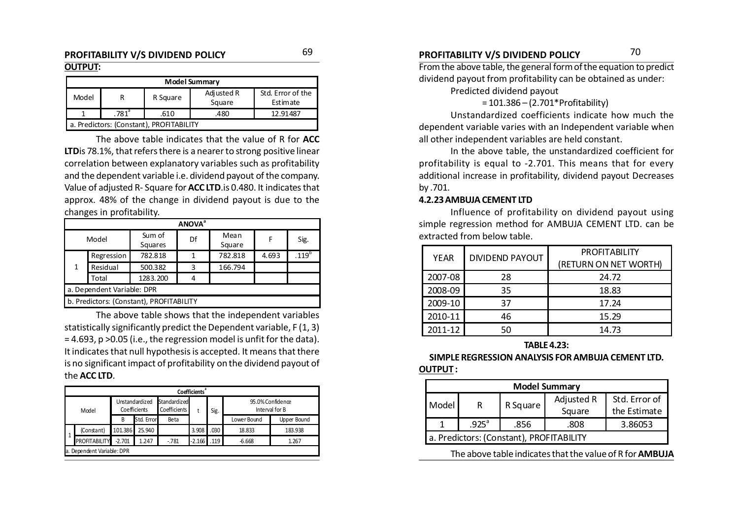# **OUTPUT:**

| <b>Model Summary</b>                            |  |          |                      |                               |  |  |  |  |  |  |
|-------------------------------------------------|--|----------|----------------------|-------------------------------|--|--|--|--|--|--|
| Model                                           |  | R Square | Adjusted R<br>Square | Std. Error of the<br>Estimate |  |  |  |  |  |  |
| $.781$ <sup>a</sup><br>12.91487<br>.480<br>.610 |  |          |                      |                               |  |  |  |  |  |  |
| a. Predictors: (Constant), PROFITABILITY        |  |          |                      |                               |  |  |  |  |  |  |

The above table indicates that the value of R for **ACC LTD**is 78.1%, that refers there is a nearer to strong positive linear correlation between explanatory variables such as profitability and the dependent variable i.e. dividend payout of the company. Value of adjusted R- Square for **ACC LTD**.is 0.480. It indicates that approx. 48% of the change in dividend payout is due to the changes in profitability.

|       | <b>ANOVA</b> <sup>a</sup>  |                                          |    |         |       |                |  |  |  |  |  |
|-------|----------------------------|------------------------------------------|----|---------|-------|----------------|--|--|--|--|--|
| Model |                            | Sum of                                   | Df | Mean    | F     | Sig.           |  |  |  |  |  |
|       |                            | Squares                                  |    | Square  |       |                |  |  |  |  |  |
|       | Regression                 | 782.818                                  | 1  | 782.818 | 4.693 | $.119^{\rm b}$ |  |  |  |  |  |
| 1     | Residual                   | 500.382                                  | 3  | 166.794 |       |                |  |  |  |  |  |
|       | Total                      | 1283.200                                 | 4  |         |       |                |  |  |  |  |  |
|       | a. Dependent Variable: DPR |                                          |    |         |       |                |  |  |  |  |  |
|       |                            | b. Predictors: (Constant), PROFITABILITY |    |         |       |                |  |  |  |  |  |

The above table shows that the independent variables statistically significantly predict the Dependent variable, F (1, 3) = 4.693, p >0.05 (i.e., the regression model is unfit for the data). It indicates that null hypothesis is accepted. It means that there is no significant impact of profitability on the dividend payout of the **ACC LTD**.

|       | <b>Coefficients</b> <sup>®</sup> |          |                                |                              |          |      |             |             |  |      |  |                                    |
|-------|----------------------------------|----------|--------------------------------|------------------------------|----------|------|-------------|-------------|--|------|--|------------------------------------|
| Model |                                  |          | Unstandardized<br>Coefficients | Standardized<br>Coefficients |          |      |             |             |  | Sig. |  | 95.0% Confidence<br>Interval for B |
|       |                                  | B        | Std. Error                     | Beta                         |          |      | Lower Bound | Upper Bound |  |      |  |                                    |
| l 1   | (Constant)                       | 101.386  | 25.940                         |                              | 3.908    | 030  | 18.833      | 183.938     |  |      |  |                                    |
|       | <b>PROFITABILITY</b>             | $-2.701$ | 1.247                          | $-781$                       | $-2.166$ | .119 | $-6.668$    | 1.267       |  |      |  |                                    |
|       | a. Dependent Variable: DPR       |          |                                |                              |          |      |             |             |  |      |  |                                    |

### **PROFITABILITY V/S DIVIDEND POLICY PROFITABILITY V/S DIVIDEND POLICY** 6970

From the above table, the general form of the equation to predict

dividend payout from profitability can be obtained as under:

Predicted dividend payout

= 101.386 – (2.701\*Profitability)

Unstandardized coefficients indicate how much the dependent variable varies with an Independent variable when all other independent variables are held constant.

In the above table, the unstandardized coefficient for profitability is equal to -2.701. This means that for every additional increase in profitability, dividend payout Decreases by .701.

#### **4.2.23 AMBUJA CEMENT LTD**

Influence of profitability on dividend payout using simple regression method for AMBUJA CEMENT LTD. can be extracted from below table.

| YEAR    | DIVIDEND PAYOUT | <b>PROFITABILITY</b><br>(RETURN ON NET WORTH) |
|---------|-----------------|-----------------------------------------------|
|         |                 |                                               |
| 2007-08 | 28              | 24.72                                         |
| 2008-09 | 35              | 18.83                                         |
| 2009-10 | 37              | 17.24                                         |
| 2010-11 | 46              | 15.29                                         |
| 2011-12 | 50              | 14.73                                         |

#### **TABLE 4.23:**

#### **SIMPLE REGRESSION ANALYSIS FOR AMBUJA CEMENT LTD. OUTPUT :**

|       | <b>Model Summary</b>                     |          |            |               |  |  |  |  |  |  |  |
|-------|------------------------------------------|----------|------------|---------------|--|--|--|--|--|--|--|
| Model | R                                        | R Square | Adjusted R | Std. Error of |  |  |  |  |  |  |  |
|       |                                          |          | Square     | the Estimate  |  |  |  |  |  |  |  |
|       | $.925$ <sup>a</sup>                      | .856     | .808       | 3.86053       |  |  |  |  |  |  |  |
|       | a. Predictors: (Constant), PROFITABILITY |          |            |               |  |  |  |  |  |  |  |

The above table indicates that the value of R for **AMBUJA**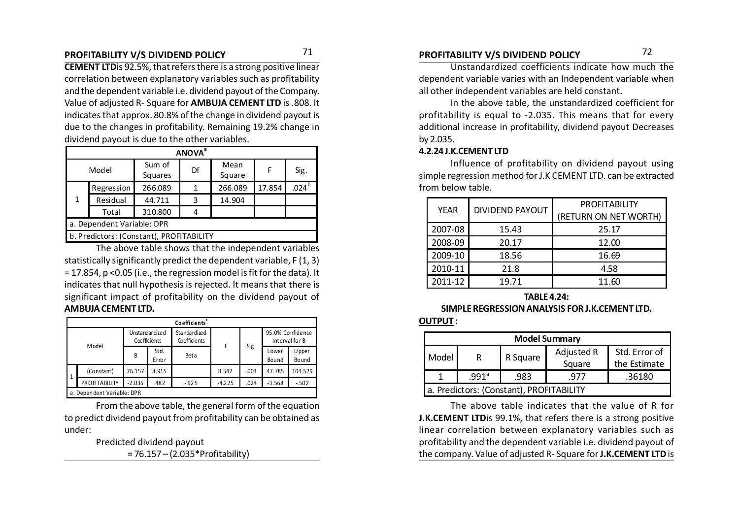**CEMENT LTD**is 92.5%, that refers there is a strong positive linear correlation between explanatory variables such as profitability and the dependent variable i.e. dividend payout of the Company. Value of adjusted R- Square for **AMBUJA CEMENT LTD** is .808. It indicates that approx. 80.8% of the change in dividend payout is due to the changes in profitability. Remaining 19.2% change in dividend payout is due to the other variables.

|       | <b>ANOVA</b> <sup>a</sup>                |                         |   |                |        |                     |  |  |  |  |  |  |
|-------|------------------------------------------|-------------------------|---|----------------|--------|---------------------|--|--|--|--|--|--|
| Model |                                          | Sum of<br>Df<br>Squares |   | Mean<br>Square | F      | Sig.                |  |  |  |  |  |  |
|       | Regression                               | 266.089                 |   | 266.089        | 17.854 | $.024^{\mathrm{b}}$ |  |  |  |  |  |  |
| 1     | Residual                                 | 44.711                  | 3 | 14.904         |        |                     |  |  |  |  |  |  |
|       | Total                                    | 310.800                 |   |                |        |                     |  |  |  |  |  |  |
|       | a. Dependent Variable: DPR               |                         |   |                |        |                     |  |  |  |  |  |  |
|       | b. Predictors: (Constant), PROFITABILITY |                         |   |                |        |                     |  |  |  |  |  |  |

The above table shows that the independent variables statistically significantly predict the dependent variable, F (1, 3) = 17.854, p <0.05 (i.e., the regression model is fit for the data). It indicates that null hypothesis is rejected. It means that there is significant impact of profitability on the dividend payout of **AMBUJA CEMENT LTD.**

|              | Co efficients <sup>ª</sup> |                                         |               |                              |          |      |                                    |                 |  |  |  |  |  |
|--------------|----------------------------|-----------------------------------------|---------------|------------------------------|----------|------|------------------------------------|-----------------|--|--|--|--|--|
|              |                            | Unstandardized<br>Coefficients<br>Model |               | Standardized<br>Coefficients |          |      | 95.0% Confidence<br>Interval for B |                 |  |  |  |  |  |
|              |                            | B                                       | Std.<br>Error | Beta                         |          | Sig. | Lower<br>Bound                     | Upper<br>Bo und |  |  |  |  |  |
| $\mathbf{1}$ | (Constant)                 | 76.157                                  | 8.915         |                              | 8.542    | .003 | 47.785                             | 104.529         |  |  |  |  |  |
|              | PROFITABILITY              | $-2.035$                                | .482          | $-0.925$                     | $-4.225$ | .024 | $-3.568$                           | $-502$          |  |  |  |  |  |
|              | a. Dependent Variable: DPR |                                         |               |                              |          |      |                                    |                 |  |  |  |  |  |

From the above table, the general form of the equation to predict dividend payout from profitability can be obtained as under:

Predicted dividend payout

= 76.157 – (2.035\*Profitability)

Unstandardized coefficients indicate how much the dependent variable varies with an Independent variable when all other independent variables are held constant.

In the above table, the unstandardized coefficient for profitability is equal to -2.035. This means that for every additional increase in profitability, dividend payout Decreases by 2.035.

#### **4.2.24 J.K.CEMENT LTD**

Influence of profitability on dividend payout using simple regression method for J.K CEMENT LTD. can be extracted from below table.

| <b>YEAR</b> | <b>DIVIDEND PAYOUT</b> | <b>PROFITABILITY</b>  |
|-------------|------------------------|-----------------------|
|             |                        | (RETURN ON NET WORTH) |
| 2007-08     | 15.43                  | 25.17                 |
| 2008-09     | 20.17                  | 12.00                 |
| 2009-10     | 18.56                  | 16.69                 |
| 2010-11     | 21.8                   | 4.58                  |
| 2011-12     | 19.71                  | 11.60                 |

**TABLE 4.24:**

#### **SIMPLE REGRESSION ANALYSIS FOR J.K.CEMENT LTD.**

#### **OUTPUT :**

| <b>Model Summary</b>                     |                                           |          |            |               |  |  |  |  |  |  |
|------------------------------------------|-------------------------------------------|----------|------------|---------------|--|--|--|--|--|--|
| Model                                    | R                                         | R Square | Adjusted R | Std. Error of |  |  |  |  |  |  |
|                                          |                                           |          | Square     | the Estimate  |  |  |  |  |  |  |
|                                          | .991 $^{\circ}$<br>.36180<br>.983<br>.977 |          |            |               |  |  |  |  |  |  |
| a. Predictors: (Constant), PROFITABILITY |                                           |          |            |               |  |  |  |  |  |  |

The above table indicates that the value of R for **J.K.CEMENT LTD**is 99.1%, that refers there is a strong positive linear correlation between explanatory variables such as profitability and the dependent variable i.e. dividend payout of the company. Value of adjusted R- Square for **J.K.CEMENT LTD** is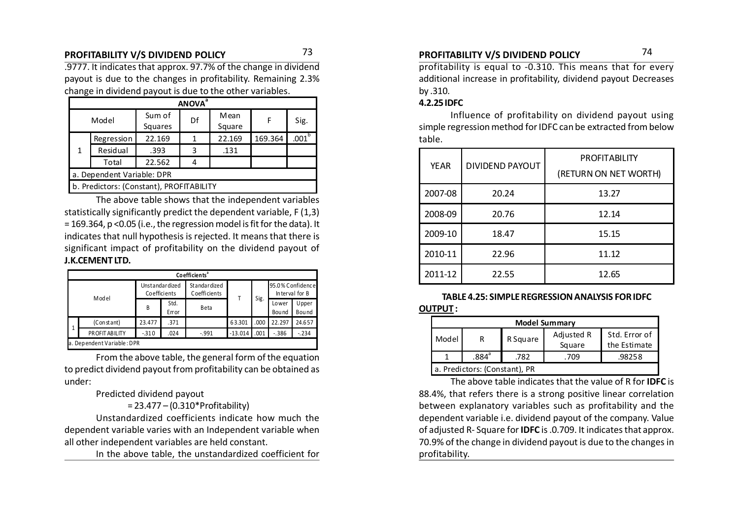.9777. It indicates that approx. 97.7% of the change in dividend payout is due to the changes in profitability. Remaining 2.3% change in dividend payout is due to the other variables.

| <b>ANOVA</b> <sup>a</sup>                |            |                   |    |                |         |                   |  |  |  |  |  |
|------------------------------------------|------------|-------------------|----|----------------|---------|-------------------|--|--|--|--|--|
| Model                                    |            | Sum of<br>Squares | Df | Mean<br>Square | F       | Sig.              |  |  |  |  |  |
|                                          | Regression | 22.169            |    | 22.169         | 169.364 | $.001^\mathrm{b}$ |  |  |  |  |  |
| 1                                        | Residual   | .393              | ੨  | .131           |         |                   |  |  |  |  |  |
|                                          | Total      | 22.562            |    |                |         |                   |  |  |  |  |  |
| a. Dependent Variable: DPR               |            |                   |    |                |         |                   |  |  |  |  |  |
| b. Predictors: (Constant), PROFITABILITY |            |                   |    |                |         |                   |  |  |  |  |  |

The above table shows that the independent variables statistically significantly predict the dependent variable, F (1,3) = 169.364, p <0.05 (i.e., the regression model is fit for the data). It indicates that null hypothesis is rejected. It means that there is significant impact of profitability on the dividend payout of **J.K.CEMENT LTD.**

|   | Co efficients <sup>ª</sup> |        |                                |                              |           |      |                                    |                       |  |  |  |  |
|---|----------------------------|--------|--------------------------------|------------------------------|-----------|------|------------------------------------|-----------------------|--|--|--|--|
|   | Model                      |        | Unstandardized<br>Coefficients | Standardized<br>Coefficients |           | Sig. | 95.0% Confidence<br>Interval for B |                       |  |  |  |  |
|   |                            | B      | Std.<br>Error                  | Beta                         |           |      | Lower<br>Bou nd                    | Upper<br><b>Bound</b> |  |  |  |  |
| 1 | (Constant)                 | 23.477 | .371                           |                              | 63.301    | .000 | 22.297                             | 24.657                |  |  |  |  |
|   | <b>PROFIT ABILITY</b>      | $-310$ | .024                           | $-991$                       | $-13.014$ | .001 | $-0.386$                           | $-.234$               |  |  |  |  |
|   | a. Dependent Variable: DPR |        |                                |                              |           |      |                                    |                       |  |  |  |  |

From the above table, the general form of the equation to predict dividend payout from profitability can be obtained as under:

#### Predicted dividend payout

= 23.477 – (0.310\*Profitability)

Unstandardized coefficients indicate how much the dependent variable varies with an Independent variable when all other independent variables are held constant.

In the above table, the unstandardized coefficient for

### **PROFITABILITY V/S DIVIDEND POLICY PROFITABILITY V/S DIVIDEND POLICY** 73 74

profitability is equal to -0.310. This means that for every additional increase in profitability, dividend payout Decreases by .310.

#### **4.2.25 IDFC**

Influence of profitability on dividend payout using simple regression method for IDFC can be extracted from below table.

| <b>YEAR</b>      | <b>DIVIDEND PAYOUT</b> | <b>PROFITABILITY</b><br>(RETURN ON NET WORTH) |
|------------------|------------------------|-----------------------------------------------|
| 2007-08          | 20.24                  | 13.27                                         |
| 2008-09          | 20.76                  | 12.14                                         |
| 2009-10          | 18.47                  | 15.15                                         |
| 2010-11<br>22.96 |                        | 11.12                                         |
| 2011-12          | 22.55                  | 12.65                                         |

#### **TABLE 4.25: SIMPLE REGRESSION ANALYSIS FOR IDFC OUTPUT :**

| <b>Model Summary</b>                                                            |                                   |  |  |  |  |  |  |  |  |  |
|---------------------------------------------------------------------------------|-----------------------------------|--|--|--|--|--|--|--|--|--|
| Adjusted R<br>Std. Error of<br>Model<br>R Square<br>R<br>Square<br>the Estimate |                                   |  |  |  |  |  |  |  |  |  |
|                                                                                 | $.884^a$<br>.98258<br>.782<br>709 |  |  |  |  |  |  |  |  |  |
| a. Predictors: (Constant), PR                                                   |                                   |  |  |  |  |  |  |  |  |  |

The above table indicates that the value of R for **IDFC** is 88.4%, that refers there is a strong positive linear correlation between explanatory variables such as profitability and the dependent variable i.e. dividend payout of the company. Value of adjusted R- Square for **IDFC** is .0.709. It indicates that approx. 70.9% of the change in dividend payout is due to the changes in profitability.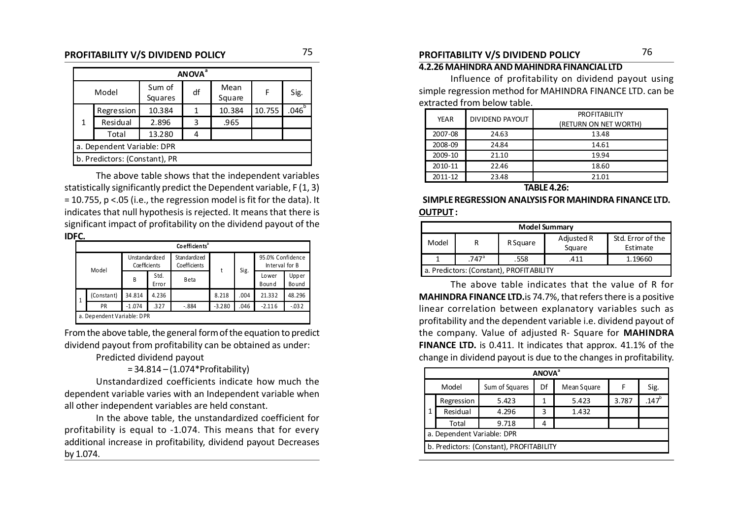| <b>ANOVA</b> <sup>ª</sup> |                               |                   |    |                |        |            |  |  |  |  |  |
|---------------------------|-------------------------------|-------------------|----|----------------|--------|------------|--|--|--|--|--|
| Model                     |                               | Sum of<br>Squares | df | Mean<br>Square | F      | Sig.       |  |  |  |  |  |
|                           | <b>Regression</b>             | 10.384            | 1  | 10.384         | 10.755 | $.046^{b}$ |  |  |  |  |  |
| 1                         | Residual                      | 2.896             | 3  | .965           |        |            |  |  |  |  |  |
|                           | Total                         | 13.280            |    |                |        |            |  |  |  |  |  |
|                           | a. Dependent Variable: DPR    |                   |    |                |        |            |  |  |  |  |  |
|                           | b. Predictors: (Constant), PR |                   |    |                |        |            |  |  |  |  |  |

The above table shows that the independent variables statistically significantly predict the Dependent variable, F (1, 3) = 10.755, p <.05 (i.e., the regression model is fit for the data). It indicates that null hypothesis is rejected. It means that there is significant impact of profitability on the dividend payout of the **IDFC.**

|       | Co efficients <sup>a</sup> |                                |               |                              |          |      |                                    |                |  |  |  |  |  |
|-------|----------------------------|--------------------------------|---------------|------------------------------|----------|------|------------------------------------|----------------|--|--|--|--|--|
| Model |                            | Unstandardized<br>Coefficients |               | Standardized<br>Coefficients |          | Sig. | 95.0% Confidence<br>Interval for B |                |  |  |  |  |  |
|       |                            | B                              | Std.<br>Error | <b>B</b> eta                 |          |      | Lower<br>Bound                     | Upper<br>Bound |  |  |  |  |  |
| 1     | (Constant)                 | 34.814                         | 4.236         |                              | 8.218    | .004 | 21.332                             | 48.296         |  |  |  |  |  |
|       | PR                         | $-1.074$                       | .327          | $-.884$                      | $-3.280$ | .046 | $-2.116$                           | $-0.032$       |  |  |  |  |  |
|       | a. Dependent Variable: DPR |                                |               |                              |          |      |                                    |                |  |  |  |  |  |

From the above table, the general form of the equation to predict dividend payout from profitability can be obtained as under:

Predicted dividend payout

 $= 34.814 - (1.074*Profitability)$ 

Unstandardized coefficients indicate how much the dependent variable varies with an Independent variable when all other independent variables are held constant.

In the above table, the unstandardized coefficient for profitability is equal to -1.074. This means that for every additional increase in profitability, dividend payout Decreases by 1.074.

#### **4.2.26 MAHINDRA AND MAHINDRA FINANCIAL LTD**

Influence of profitability on dividend payout using simple regression method for MAHINDRA FINANCE LTD. can be extracted from below table.

| YEAR    | DIVIDEND PAYOUT | <b>PROFITABILITY</b><br>(RETURN ON NET WORTH) |
|---------|-----------------|-----------------------------------------------|
| 2007-08 | 24.63           | 13.48                                         |
| 2008-09 | 24.84           | 14.61                                         |
| 2009-10 | 21.10           | 19.94                                         |
| 2010-11 | 22.46           | 18.60                                         |
| 2011-12 | 23.48           | 21.01                                         |

#### **TABLE 4.26:**

**SIMPLE REGRESSION ANALYSIS FOR MAHINDRA FINANCE LTD. OUTPUT :**

|                                                                                        | <b>Model Summary</b>                           |  |  |  |  |  |  |  |  |  |
|----------------------------------------------------------------------------------------|------------------------------------------------|--|--|--|--|--|--|--|--|--|
| Std. Error of the<br>Adjusted R<br>Model<br><b>R</b> Square<br>R<br>Square<br>Estimate |                                                |  |  |  |  |  |  |  |  |  |
|                                                                                        | $.747$ <sup>a</sup><br>.558<br>.411<br>1.19660 |  |  |  |  |  |  |  |  |  |
| a. Predictors: (Constant), PROFITABILITY                                               |                                                |  |  |  |  |  |  |  |  |  |

The above table indicates that the value of R for **MAHINDRA FINANCE LTD.**is 74.7%, that refers there is a positive linear correlation between explanatory variables such as profitability and the dependent variable i.e. dividend payout of the company. Value of adjusted R- Square for **MAHINDRA FINANCE LTD.** is 0.411. It indicates that approx. 41.1% of the change in dividend payout is due to the changes in profitability.

|                         | <b>ANOVA</b> <sup>a</sup>  |                                          |    |             |       |          |  |  |
|-------------------------|----------------------------|------------------------------------------|----|-------------|-------|----------|--|--|
| Sum of Squares<br>Model |                            |                                          | Df | Mean Square |       | Sig.     |  |  |
|                         | Regression                 | 5.423                                    | 1  | 5.423       | 3.787 | $.147^b$ |  |  |
|                         | Residual                   | 4.296                                    | 3  | 1.432       |       |          |  |  |
|                         | Total                      | 9.718                                    |    |             |       |          |  |  |
|                         | a. Dependent Variable: DPR |                                          |    |             |       |          |  |  |
|                         |                            | b. Predictors: (Constant), PROFITABILITY |    |             |       |          |  |  |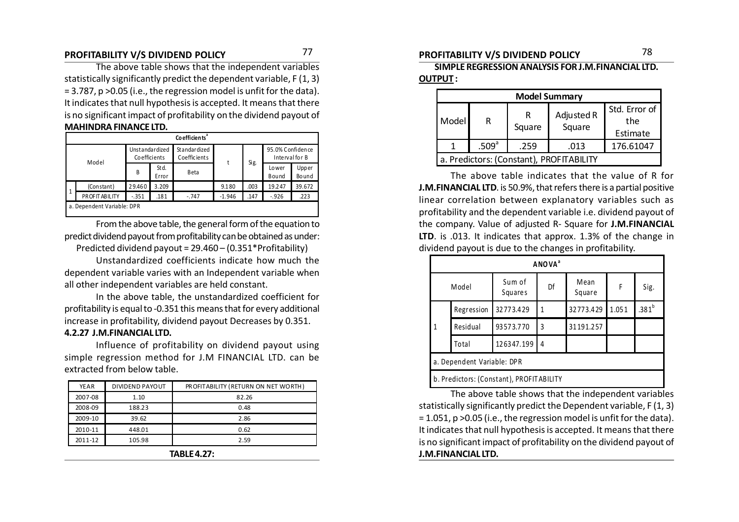### **PROFITABILITY V/S DIVIDEND POLICY PROFITABILITY V/S DIVIDEND POLICY** 77 78

The above table shows that the independent variables statistically significantly predict the dependent variable, F (1, 3) = 3.787, p >0.05 (i.e., the regression model is unfit for the data). It indicates that null hypothesis is accepted. It means that there is no significant impact of profitability on the dividend payout of **MAHINDRA FINANCE LTD.**

|              | Co efficients <sup>ª</sup> |                                |               |                              |          |      |                                    |                |  |
|--------------|----------------------------|--------------------------------|---------------|------------------------------|----------|------|------------------------------------|----------------|--|
|              | Model                      | Unstandardized<br>Coefficients |               | Standardized<br>Coefficients | t        | Sig. | 95.0% Confidence<br>Interval for B |                |  |
|              |                            | B                              | Std.<br>Error | Beta                         |          |      | Lo wer<br>Bound                    | Upper<br>Bound |  |
|              | (Constant)                 | 29.460                         | 3.209         |                              | 9.180    | .003 | 19.247                             | 39.672         |  |
| $\mathbf{1}$ | PR OF IT ABILITY           | $-.351$                        | .181          | $-.747$                      | $-1.946$ | .147 | $-.926$                            | .223           |  |
|              | a. Dependent Variable: DPR |                                |               |                              |          |      |                                    |                |  |

From the above table, the general form of the equation to predict dividend payout from profitability can be obtained as under: Predicted dividend payout = 29.460 – (0.351\*Profitability)

Unstandardized coefficients indicate how much the dependent variable varies with an Independent variable when all other independent variables are held constant.

In the above table, the unstandardized coefficient for profitability is equal to -0.351 this means that for every additional increase in profitability, dividend payout Decreases by 0.351.

#### **4.2.27 J.M.FINANCIAL LTD.**

Influence of profitability on dividend payout using simple regression method for J.M FINANCIAL LTD. can be extracted from below table.

| --------    |                        |                                     |  |  |  |  |
|-------------|------------------------|-------------------------------------|--|--|--|--|
| 2011-12     | 105.98                 | 2.59                                |  |  |  |  |
| 2010-11     | 448.01                 | 0.62                                |  |  |  |  |
| 2009-10     | 39.62                  | 2.86                                |  |  |  |  |
| 2008-09     | 188.23                 | 0.48                                |  |  |  |  |
| 2007-08     | 1.10                   | 82.26                               |  |  |  |  |
| <b>YEAR</b> | <b>DIVIDEND PAYOUT</b> | PROFITABILITY (RETURN ON NET WORTH) |  |  |  |  |
|             |                        |                                     |  |  |  |  |

| <b>TABLE 4.27:</b> |  |
|--------------------|--|
|--------------------|--|

**SIMPLE REGRESSION ANALYSIS FOR J.M.FINANCIAL LTD. OUTPUT :**

| <b>Model Summary</b> |                                          |        |                      |                                  |  |  |  |
|----------------------|------------------------------------------|--------|----------------------|----------------------------------|--|--|--|
| Model                | R                                        | Square | Adjusted R<br>Square | Std. Error of<br>the<br>Estimate |  |  |  |
|                      | .509 <sup>a</sup>                        | .259   | .013                 | 176.61047                        |  |  |  |
|                      | a. Predictors: (Constant), PROFITABILITY |        |                      |                                  |  |  |  |

The above table indicates that the value of R for **J.M.FINANCIAL LTD**. is 50.9%, that refers there is a partial positive linear correlation between explanatory variables such as profitability and the dependent variable i.e. dividend payout of the company. Value of adjusted R- Square for **J.M.FINANCIAL LTD**. is .013. It indicates that approx. 1.3% of the change in dividend payout is due to the changes in profitability.

|            | ANOVA <sup>ª</sup>                       |                   |    |                |       |                   |  |  |
|------------|------------------------------------------|-------------------|----|----------------|-------|-------------------|--|--|
|            | Model                                    | Sum of<br>Squares | Df | Mean<br>Square | F     | Sig.              |  |  |
| Regression |                                          | 32773.429         | 1  | 32773.429      | 1.051 | .381 <sup>b</sup> |  |  |
| 1          | Residual                                 | 93573.770         | 3  | 31191.257      |       |                   |  |  |
|            | Total                                    | 126347.199        | 4  |                |       |                   |  |  |
|            | a. Dependent Variable: DPR               |                   |    |                |       |                   |  |  |
|            | b. Predictors: (Constant), PROFITABILITY |                   |    |                |       |                   |  |  |

The above table shows that the independent variables statistically significantly predict the Dependent variable, F (1, 3) = 1.051, p >0.05 (i.e., the regression model is unfit for the data). It indicates that null hypothesis is accepted. It means that there is no significant impact of profitability on the dividend payout of **J.M.FINANCIAL LTD.**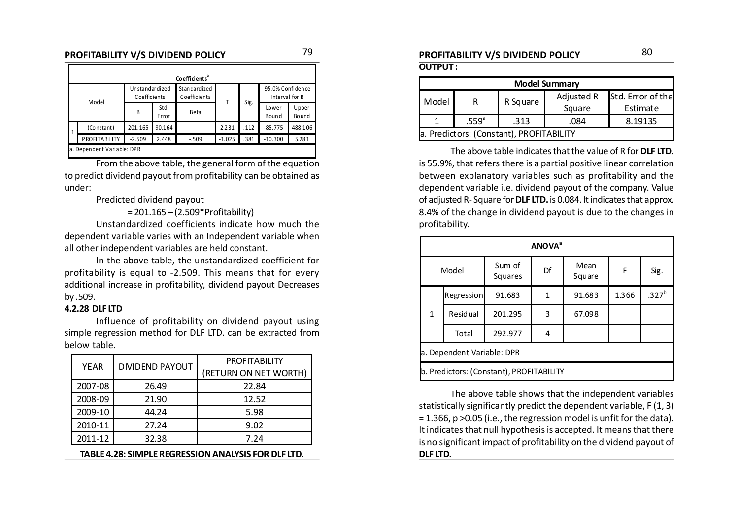### **PROFITABILITY V/S DIVIDEND POLICY**  $^{79}$  <sup>79</sup> ROFITABILITY V/S DIVIDEND POLICY **80**

|              | Coefficients               |                                |               |                                 |          |      |                                    |                       |  |
|--------------|----------------------------|--------------------------------|---------------|---------------------------------|----------|------|------------------------------------|-----------------------|--|
| Model        |                            | Unstandardized<br>Coefficients |               | St an dard ized<br>Coefficients |          |      | 95.0% Confidence<br>Interval for B |                       |  |
|              |                            | B                              | Std.<br>Error | Beta                            | т        | Sig. | Lower<br>Bound                     | Upper<br><b>Bound</b> |  |
| $\mathbf{1}$ | (Constant)                 | 201.165                        | 90.164        |                                 | 2.231    | .112 | $-85.775$                          | 488.106               |  |
|              | PROFITABILITY              | $-2.509$                       | 2.448         | $-.509$                         | $-1.025$ | .381 | $-10.300$                          | 5.281                 |  |
|              | a. Dependent Variable: DPR |                                |               |                                 |          |      |                                    |                       |  |

From the above table, the general form of the equation to predict dividend payout from profitability can be obtained as under:

Predicted dividend payout

= 201.165 – (2.509\*Profitability)

Unstandardized coefficients indicate how much the dependent variable varies with an Independent variable when all other independent variables are held constant.

In the above table, the unstandardized coefficient for profitability is equal to -2.509. This means that for every additional increase in profitability, dividend payout Decreases by .509.

#### **4.2.28 DLF LTD**

Influence of profitability on dividend payout using simple regression method for DLF LTD. can be extracted from below table.

| <b>YEAR</b> | <b>DIVIDEND PAYOUT</b> | <b>PROFITABILITY</b><br>(RETURN ON NET WORTH) |
|-------------|------------------------|-----------------------------------------------|
| 2007-08     | 26.49                  | 22.84                                         |
| 2008-09     | 21.90                  | 12.52                                         |
| 2009-10     | 44.24                  | 5.98                                          |
| 2010-11     | 27.24                  | 9.02                                          |
| 2011-12     | 32.38                  | 7.24                                          |
|             |                        |                                               |

**TABLE 4.28: SIMPLE REGRESSION ANALYSIS FOR DLF LTD.**

#### **OUTPUT :**

| <b>Model Summary</b>                         |   |          |            |                   |  |  |  |  |
|----------------------------------------------|---|----------|------------|-------------------|--|--|--|--|
|                                              | R | R Square | Adjusted R | Std. Error of the |  |  |  |  |
| Model                                        |   |          | Square     | Estimate          |  |  |  |  |
| .559 <sup>a</sup><br>8.19135<br>.313<br>.084 |   |          |            |                   |  |  |  |  |
| a. Predictors: (Constant), PROFITABILITY     |   |          |            |                   |  |  |  |  |

The above table indicates that the value of R for **DLF LTD**. is 55.9%, that refers there is a partial positive linear correlation between explanatory variables such as profitability and the dependent variable i.e. dividend payout of the company. Value of adjusted R- Square for **DLF LTD.** is 0.084. It indicates that approx. 8.4% of the change in dividend payout is due to the changes in profitability.

|                            | <b>ANOVA</b> <sup>a</sup> |                                          |    |                |       |                   |  |  |
|----------------------------|---------------------------|------------------------------------------|----|----------------|-------|-------------------|--|--|
| Model                      |                           | Sum of<br>Squares                        | Df | Mean<br>Square | F     | Sig.              |  |  |
|                            | Regression                | 91.683                                   | 1  | 91.683         | 1.366 | .327 <sup>b</sup> |  |  |
| $\mathbf{1}$               | Residual                  | 201.295                                  | 3  | 67.098         |       |                   |  |  |
|                            | Total                     | 292.977                                  | 4  |                |       |                   |  |  |
| a. Dependent Variable: DPR |                           |                                          |    |                |       |                   |  |  |
|                            |                           | b. Predictors: (Constant), PROFITABILITY |    |                |       |                   |  |  |

The above table shows that the independent variables statistically significantly predict the dependent variable, F (1, 3) = 1.366, p >0.05 (i.e., the regression model is unfit for the data). It indicates that null hypothesis is accepted. It means that there is no significant impact of profitability on the dividend payout of **DLF LTD.**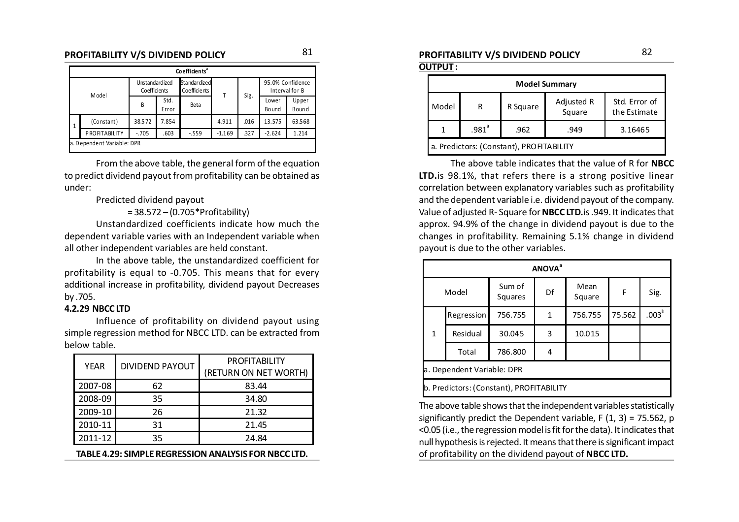### **PROFITABILITY V/S DIVIDEND POLICY**  $^{81}$   $^{81}$  **PROFITABILITY V/S DIVIDEND POLICY**  $^{82}$

|                                                                 | Co efficients <sup>ª</sup> |                                |               |                                      |       |      |                                    |                |
|-----------------------------------------------------------------|----------------------------|--------------------------------|---------------|--------------------------------------|-------|------|------------------------------------|----------------|
| Model                                                           |                            | Unstandardized<br>Coefficients |               | <b>Standar dized</b><br>Coefficients |       |      | 95.0% Confidence<br>Interval for B |                |
|                                                                 |                            | B                              | Std.<br>Error | Beta                                 | Т     | Sig. | Lower<br><b>Bound</b>              | Upper<br>Bound |
| 1                                                               | (Constant)                 | 38.572                         | 7.854         |                                      | 4.911 | .016 | 13.575                             | 63.568         |
| PROFITABILITY<br>.327<br>$-.705$<br>.603<br>$-.559$<br>$-1.169$ |                            |                                |               | $-2.624$                             | 1.214 |      |                                    |                |
|                                                                 | a. Dependent Variable: DPR |                                |               |                                      |       |      |                                    |                |

From the above table, the general form of the equation to predict dividend payout from profitability can be obtained as under:

Predicted dividend payout

= 38.572 – (0.705\*Profitability)

Unstandardized coefficients indicate how much the dependent variable varies with an Independent variable when all other independent variables are held constant.

In the above table, the unstandardized coefficient for profitability is equal to -0.705. This means that for every additional increase in profitability, dividend payout Decreases by .705.

#### **4.2.29 NBCC LTD**

Influence of profitability on dividend payout using simple regression method for NBCC LTD. can be extracted from below table.

| <b>YFAR</b> | <b>DIVIDEND PAYOUT</b> | <b>PROFITABILITY</b>  |  |  |
|-------------|------------------------|-----------------------|--|--|
|             |                        | (RETURN ON NET WORTH) |  |  |
| 2007-08     | 62                     | 83.44                 |  |  |
| 2008-09     | 35                     | 34.80                 |  |  |
| 2009-10     | 26                     | 21.32                 |  |  |
| 2010-11     | 31                     | 21.45                 |  |  |
| 2011-12     | 35                     | 24.84                 |  |  |

**TABLE 4.29: SIMPLE REGRESSION ANALYSIS FOR NBCC LTD.**

#### **OUTPUT :**

|                                          | <b>Model Summary</b> |          |                      |                               |  |  |  |  |
|------------------------------------------|----------------------|----------|----------------------|-------------------------------|--|--|--|--|
| Model                                    | R                    | R Square | Adjusted R<br>Square | Std. Error of<br>the Estimate |  |  |  |  |
|                                          | .981 <sup>a</sup>    | .962     | .949                 | 3.16465                       |  |  |  |  |
| a. Predictors: (Constant), PROFITABILITY |                      |          |                      |                               |  |  |  |  |

The above table indicates that the value of R for **NBCC LTD.**is 98.1%, that refers there is a strong positive linear correlation between explanatory variables such as profitability and the dependent variable i.e. dividend payout of the company. Value of adjusted R- Square for **NBCC LTD.**is .949. It indicates that approx. 94.9% of the change in dividend payout is due to the changes in profitability. Remaining 5.1% change in dividend payout is due to the other variables.

| <b>ANOVA</b> <sup>a</sup>  |            |                                          |    |                |        |                   |  |  |
|----------------------------|------------|------------------------------------------|----|----------------|--------|-------------------|--|--|
|                            | Model      | Sum of<br>Squares                        | Df | Mean<br>Square |        | Sig.              |  |  |
|                            | Regression | 756.755                                  | 1  | 756.755        | 75.562 | .003 <sup>b</sup> |  |  |
| $\mathbf{1}$               | Residual   | 30.045                                   | 3  | 10.015         |        |                   |  |  |
|                            | Total      | 786.800                                  | 4  |                |        |                   |  |  |
| a. Dependent Variable: DPR |            |                                          |    |                |        |                   |  |  |
|                            |            | b. Predictors: (Constant), PROFITABILITY |    |                |        |                   |  |  |

The above table shows that the independent variables statistically significantly predict the Dependent variable,  $F(1, 3) = 75.562$ , p <0.05 (i.e., the regression model is fit for the data). It indicates that null hypothesis is rejected. It means that there is significant impact of profitability on the dividend payout of **NBCC LTD.**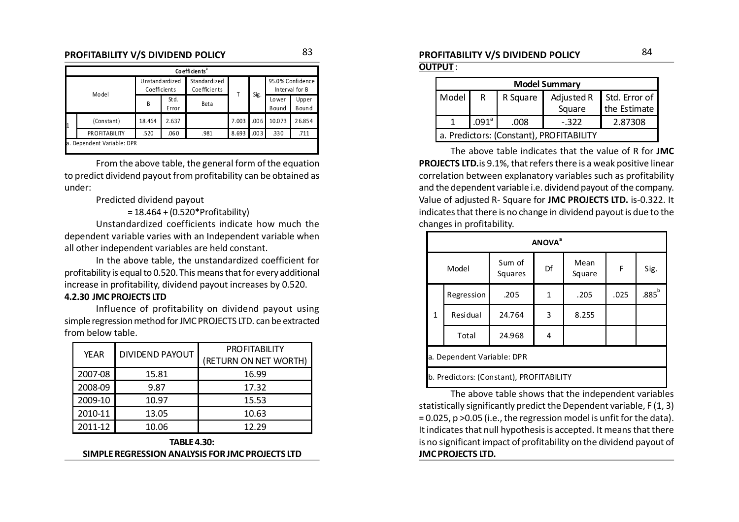### **PROFITABILITY V/S DIVIDEND POLICY**  $^{83}$   $^{83}$  **PROFITABILITY V/S DIVIDEND POLICY**  $^{84}$

|  | Co efficients <sup>ª</sup> |                                |                |                                     |       |      |                                    |                |  |
|--|----------------------------|--------------------------------|----------------|-------------------------------------|-------|------|------------------------------------|----------------|--|
|  |                            | Unstandardized<br>Coefficients |                | Standardized<br><b>Coefficients</b> |       |      | 95.0% Confidence<br>Interval for B |                |  |
|  | Model                      | B                              | St d.<br>Error | Beta                                |       | Sig. | Lower<br>Bound                     | Upper<br>Bound |  |
|  | (Constant)                 | 18.464                         | 2.637          |                                     | 7.003 | .006 | 10.073                             | 26.854         |  |
|  | <b>PROFITABILITY</b>       | .520                           | .060           | .981                                | 8.693 | .003 | .330                               | .711           |  |
|  | a. Dependent Variable: DPR |                                |                |                                     |       |      |                                    |                |  |

From the above table, the general form of the equation to predict dividend payout from profitability can be obtained as under:

Predicted dividend payout

= 18.464 + (0.520\*Profitability)

Unstandardized coefficients indicate how much the dependent variable varies with an Independent variable when all other independent variables are held constant.

In the above table, the unstandardized coefficient for profitability is equal to 0.520. This means that for every additional increase in profitability, dividend payout increases by 0.520.

#### **4.2.30 JMC PROJECTS LTD**

Influence of profitability on dividend payout using simple regression method for JMC PROJECTS LTD. can be extracted from below table.

| <b>YEAR</b> | <b>DIVIDEND PAYOUT</b> | <b>PROFITABILITY</b>  |  |  |
|-------------|------------------------|-----------------------|--|--|
|             |                        | (RETURN ON NET WORTH) |  |  |
| 2007-08     | 15.81                  | 16.99                 |  |  |
| 2008-09     | 9.87                   | 17.32                 |  |  |
| 2009-10     | 10.97                  | 15.53                 |  |  |
| 2010-11     | 13.05                  | 10.63                 |  |  |
| 2011-12     | 10.06                  | 12.29                 |  |  |

**TABLE 4.30: SIMPLE REGRESSION ANALYSIS FOR JMC PROJECTS LTD**

# **OUTPUT** :

| <b>Model Summary</b> |                                          |      |                          |              |  |  |  |  |
|----------------------|------------------------------------------|------|--------------------------|--------------|--|--|--|--|
| Model                | R                                        |      | Adjusted R Std. Error of |              |  |  |  |  |
|                      |                                          |      | Square                   | the Estimate |  |  |  |  |
|                      | $.091$ <sup>a</sup>                      | .008 | $-.322$                  | 2.87308      |  |  |  |  |
|                      | a. Predictors: (Constant), PROFITABILITY |      |                          |              |  |  |  |  |

The above table indicates that the value of R for **JMC PROJECTS LTD.**is 9.1%, that refers there is a weak positive linear correlation between explanatory variables such as profitability and the dependent variable i.e. dividend payout of the company. Value of adjusted R- Square for **JMC PROJECTS LTD.** is-0.322. It indicates that there is no change in dividend payout is due to the changes in profitability.

|              | <b>ANOVA</b> <sup>a</sup>                |                   |                      |       |      |          |  |  |
|--------------|------------------------------------------|-------------------|----------------------|-------|------|----------|--|--|
| Model        |                                          | Sum of<br>Squares | Mean<br>Df<br>Square |       | F    | Sig.     |  |  |
| Regression   |                                          | .205              | $\mathbf{1}$         | .205  | .025 | $.885^b$ |  |  |
| $\mathbf{1}$ | Residual                                 | 24.764            | 3                    | 8.255 |      |          |  |  |
|              | Total<br>24.968                          |                   | 4                    |       |      |          |  |  |
|              | a. Dependent Variable: DPR               |                   |                      |       |      |          |  |  |
|              | b. Predictors: (Constant), PROFITABILITY |                   |                      |       |      |          |  |  |

The above table shows that the independent variables statistically significantly predict the Dependent variable, F (1, 3) = 0.025, p >0.05 (i.e., the regression model is unfit for the data). It indicates that null hypothesis is accepted. It means that there is no significant impact of profitability on the dividend payout of **JMC PROJECTS LTD.**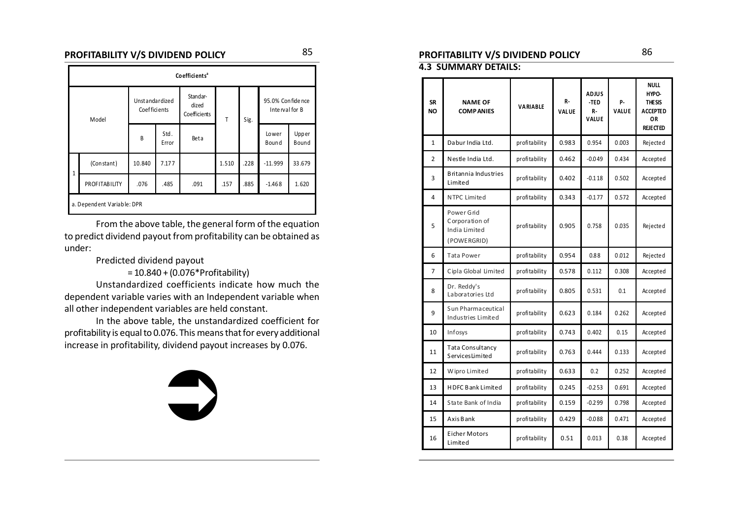### **PROFITABILITY V/S DIVIDEND POLICY**  $^{85}$   $^{85}$  **PROFITABILITY V/S DIVIDEND POLICY**  $^{86}$

|              | Coefficients <sup>a</sup>  |                                |               |                                   |       |      |                                     |                |
|--------------|----------------------------|--------------------------------|---------------|-----------------------------------|-------|------|-------------------------------------|----------------|
| Model        |                            | Unstandardized<br>Coefficients |               | Standar-<br>dized<br>Coefficients | T     | Sig. | 95.0% Confide nce<br>Interval for B |                |
|              |                            | B                              | Std.<br>Error | Beta                              |       |      | Lower<br>Bound                      | Upper<br>Bound |
| $\mathbf{1}$ | (Constant)                 | 10.840                         | 7.177         |                                   | 1.510 | .228 | $-11.999$                           | 33.679         |
|              | <b>PROFITABILITY</b>       | .076                           | .485          | .091                              | .157  | .885 | $-1.468$                            | 1.620          |
|              | a. Dependent Variable: DPR |                                |               |                                   |       |      |                                     |                |

From the above table, the general form of the equation to predict dividend payout from profitability can be obtained as under:

Predicted dividend payout

= 10.840 + (0.076\*Profitability)

Unstandardized coefficients indicate how much the dependent variable varies with an Independent variable when all other independent variables are held constant.

In the above table, the unstandardized coefficient for profitability is equal to 0.076. This means that for every additional increase in profitability, dividend payout increases by 0.076.

 $\bigcirc$ 

#### **4.3 SUMMARY DETAILS:**

| SR<br><b>NO</b> | <b>NAME OF</b><br><b>COMPANIES</b>                           | VARIABLE      | R-<br><b>VALUE</b> | ADJUS<br>-TED<br><b>R-</b><br>VALUE | р.<br><b>VALUE</b> | <b>NULL</b><br>HYPO-<br><b>THESIS</b><br><b>ACCEPTED</b><br>0R<br><b>REJECTED</b> |
|-----------------|--------------------------------------------------------------|---------------|--------------------|-------------------------------------|--------------------|-----------------------------------------------------------------------------------|
| $\mathbf{1}$    | Dabur India Ltd.                                             | profitability | 0.983              | 0.954                               | 0.003              | Rejected                                                                          |
| 2               | Nestle India Ltd.                                            | profitability | 0.462              | $-0.049$                            | 0.434              | Accepted                                                                          |
| 3               | Britannia Industries<br>Limited                              | profitability | 0.402              | $-0.118$                            | 0.502              | Accepted                                                                          |
| 4               | <b>NTPC Limited</b>                                          | profitability | 0.343              | $-0.177$                            | 0.572              | Accepted                                                                          |
| 5               | Power Grid<br>Corporation of<br>India Limited<br>(POWERGRID) | profitability | 0.905              | 0.758                               | 0.035              | Rejected                                                                          |
| 6               | <b>Tata Power</b>                                            | profitability | 0.954              | 0.88                                | 0.012              | Rejected                                                                          |
| 7               | Cipla Global Limited                                         | profitability | 0.578              | 0.112                               | 0.308              | Accepted                                                                          |
| 8               | Dr. Reddy's<br>Laboratories Ltd                              | profitability | 0.805              | 0.531                               | 0.1                | Accepted                                                                          |
| 9               | Sun Pharmaceutical<br>Industries Limited                     | profitability | 0.623              | 0.184                               | 0.262              | Accepted                                                                          |
| 10              | Infosys                                                      | profitability | 0.743              | 0.402                               | 0.15               | Accepted                                                                          |
| 11              | Tata Consultancy<br>Services Limited                         | profitability | 0.763              | 0.444                               | 0.133              | Accepted                                                                          |
| 12              | Wipro Limited                                                | profitability | 0.633              | 0.2                                 | 0.252              | Accepted                                                                          |
| 13              | <b>HDFC Bank Limited</b>                                     | profitability | 0.245              | $-0.253$                            | 0.691              | Accepted                                                                          |
| 14              | State Bank of India                                          | profitability | 0.159              | $-0.299$                            | 0.798              | Accepted                                                                          |
| 15              | Axis Bank                                                    | profitability | 0.429              | $-0.088$                            | 0.471              | Accepted                                                                          |
| 16              | Eicher Motors<br>Limited                                     | profitability | 0.51               | 0.013                               | 0.38               | Accepted                                                                          |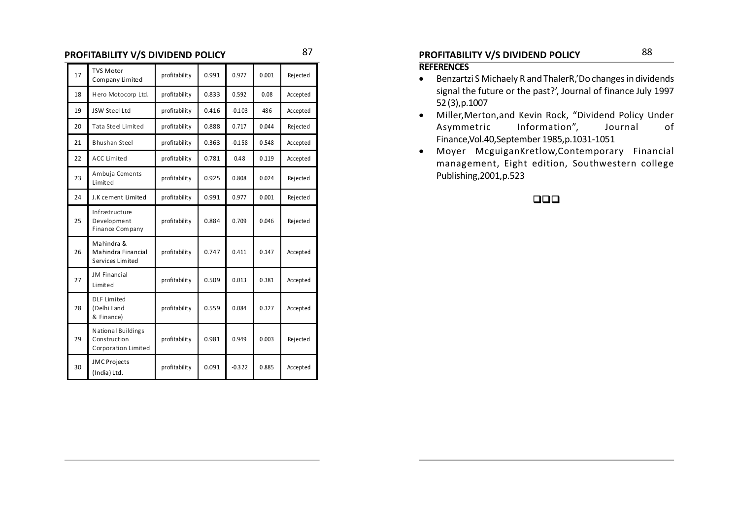### **PROFITABILITY V/S DIVIDEND POLICY** 87 88 88

| 17 | <b>TVS Motor</b><br>Company Limited                       | profitability | 0.991 | 0.977    | 0.001 | Rejected |
|----|-----------------------------------------------------------|---------------|-------|----------|-------|----------|
| 18 | Hero Motocorp Ltd.                                        | profitability | 0.833 | 0.592    | 0.08  | Accepted |
| 19 | JSW Steel Ltd                                             | profitability | 0.416 | $-0.103$ | 486   | Accepted |
| 20 | <b>Tata Steel Limited</b>                                 | profitability | 0.888 | 0.717    | 0.044 | Rejected |
| 21 | <b>Bhushan Steel</b>                                      | profitability | 0.363 | $-0.158$ | 0.548 | Accepted |
| 22 | <b>ACC Limited</b>                                        | profitability | 0.781 | 0.48     | 0.119 | Accepted |
| 23 | Ambuja Cements<br>Limited                                 | profitability | 0.925 | 0.808    | 0.024 | Rejected |
| 24 | J.K cement Limited                                        | profitability | 0.991 | 0.977    | 0.001 | Rejected |
| 25 | Infrastructure<br>Development<br>Finance Company          | profitability | 0.884 | 0.709    | 0.046 | Rejected |
| 26 | Mahindra &<br>Mahindra Financial<br>Services Limited      | profitability | 0.747 | 0.411    | 0.147 | Accepted |
| 27 | <b>JM Financial</b><br>Limited                            | profitability | 0.509 | 0.013    | 0.381 | Accepted |
| 28 | <b>DLF Limited</b><br>(Delhi Land<br>& Finance)           | profitability | 0.559 | 0.084    | 0.327 | Accepted |
| 29 | National Buildings<br>Construction<br>Corporation Limited | profitability | 0.981 | 0.949    | 0.003 | Rejected |
| 30 | <b>JMC</b> Projects<br>(India) Ltd.                       | profitability | 0.091 | $-0.322$ | 0.885 | Accepted |

#### **REFERENCES**

- Benzartzi S Michaely R and ThalerR,'Do changes in dividends signal the future or the past?', Journal of finance July 1997 52 (3),p.1007
- Miller,Merton,and Kevin Rock, "Dividend Policy Under Asymmetric Information", Journal of Finance,Vol.40,September 1985,p.1031-1051
- Moyer McguiganKretlow,Contemporary Financial management, Eight edition, Southwestern college Publishing,2001,p.523

#### $\Box$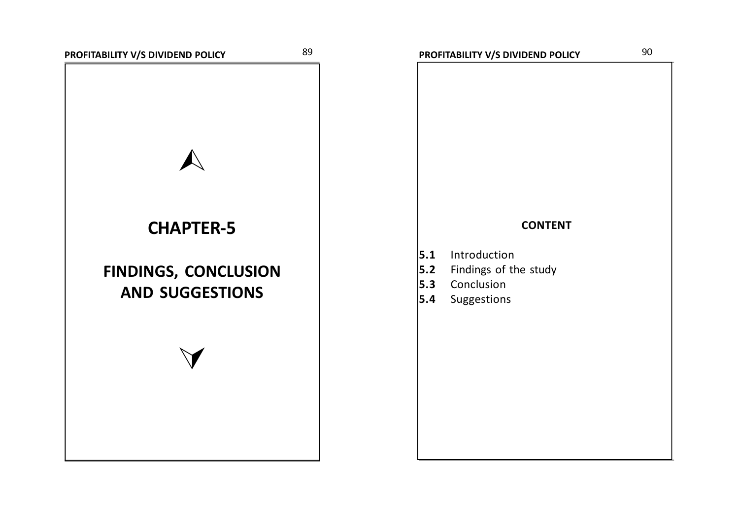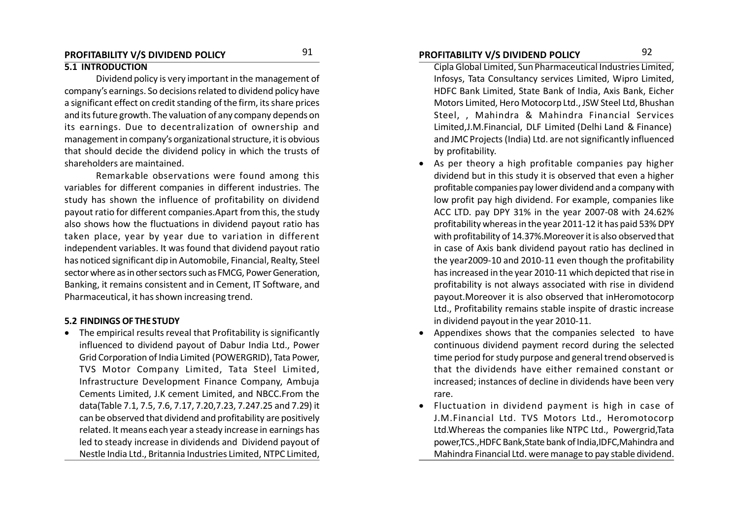### **PROFITABILITY V/S DIVIDEND POLICY PROFITABILITY V/S DIVIDEND POLICY** 91 92

#### **5.1 INTRODUCTION**

Dividend policy is very important in the management of company's earnings. So decisions related to dividend policy have a significant effect on credit standing of the firm, its share prices and its future growth. The valuation of any company depends on its earnings. Due to decentralization of ownership and management in company's organizational structure, it is obvious that should decide the dividend policy in which the trusts of shareholders are maintained.

Remarkable observations were found among this variables for different companies in different industries. The study has shown the influence of profitability on dividend payout ratio for different companies.Apart from this, the study also shows how the fluctuations in dividend payout ratio has taken place, year by year due to variation in different independent variables. It was found that dividend payout ratio has noticed significant dip in Automobile, Financial, Realty, Steel sector where as in other sectors such as FMCG, Power Generation, Banking, it remains consistent and in Cement, IT Software, and Pharmaceutical, it has shown increasing trend.

#### **5.2 FINDINGS OF THE STUDY**

 The empirical results reveal that Profitability is significantly influenced to dividend payout of Dabur India Ltd., Power Grid Corporation of India Limited (POWERGRID), Tata Power, TVS Motor Company Limited, Tata Steel Limited, Infrastructure Development Finance Company, Ambuja Cements Limited, J.K cement Limited, and NBCC.From the data(Table 7.1, 7.5, 7.6, 7.17, 7.20,7.23, 7.247.25 and 7.29) it can be observed that dividend and profitability are positively related. It means each year a steady increase in earnings has led to steady increase in dividends and Dividend payout of Nestle India Ltd., Britannia Industries Limited, NTPC Limited,

- Cipla Global Limited, Sun Pharmaceutical Industries Limited, Infosys, Tata Consultancy services Limited, Wipro Limited, HDFC Bank Limited, State Bank of India, Axis Bank, Eicher Motors Limited, Hero Motocorp Ltd., JSW Steel Ltd, Bhushan Steel, , Mahindra & Mahindra Financial Services Limited,J.M.Financial, DLF Limited (Delhi Land & Finance) and JMC Projects (India) Ltd. are not significantly influenced by profitability.
- As per theory a high profitable companies pay higher dividend but in this study it is observed that even a higher profitable companies pay lower dividend and a company with low profit pay high dividend. For example, companies like ACC LTD. pay DPY 31% in the year 2007-08 with 24.62% profitability whereas in the year 2011-12 it has paid 53% DPY with profitability of 14.37%.Moreover it is also observed that in case of Axis bank dividend payout ratio has declined in the year2009-10 and 2010-11 even though the profitability has increased in the year 2010-11 which depicted that rise in profitability is not always associated with rise in dividend payout.Moreover it is also observed that inHeromotocorp Ltd., Profitability remains stable inspite of drastic increase in dividend payout in the year 2010-11.
- Appendixes shows that the companies selected to have continuous dividend payment record during the selected time period for study purpose and general trend observed is that the dividends have either remained constant or increased; instances of decline in dividends have been very rare.
- Fluctuation in dividend payment is high in case of J.M.Financial Ltd. TVS Motors Ltd., Heromotocorp Ltd.Whereas the companies like NTPC Ltd., Powergrid,Tata power,TCS.,HDFC Bank,State bank of India,IDFC,Mahindra and Mahindra Financial Ltd. were manage to pay stable dividend.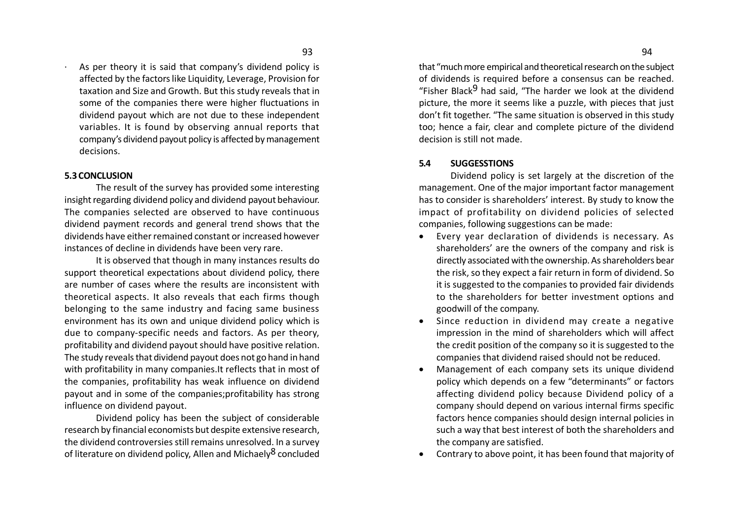As per theory it is said that company's dividend policy is affected by the factors like Liquidity, Leverage, Provision for taxation and Size and Growth. But this study reveals that in some of the companies there were higher fluctuations in dividend payout which are not due to these independent variables. It is found by observing annual reports that company's dividend payout policy is affected by management decisions.

#### **5.3 CONCLUSION**

The result of the survey has provided some interesting insight regarding dividend policy and dividend payout behaviour. The companies selected are observed to have continuous dividend payment records and general trend shows that the dividends have either remained constant or increased however instances of decline in dividends have been very rare.

It is observed that though in many instances results do support theoretical expectations about dividend policy, there are number of cases where the results are inconsistent with theoretical aspects. It also reveals that each firms though belonging to the same industry and facing same business environment has its own and unique dividend policy which is due to company-specific needs and factors. As per theory, profitability and dividend payout should have positive relation. The study reveals that dividend payout does not go hand in hand with profitability in many companies.It reflects that in most of the companies, profitability has weak influence on dividend payout and in some of the companies;profitability has strong influence on dividend payout.

Dividend policy has been the subject of considerable research by financial economists but despite extensive research, the dividend controversies still remains unresolved. In a survey of literature on dividend policy, Allen and Michaely<sup>8</sup> concluded that "much more empirical and theoretical research on the subject of dividends is required before a consensus can be reached. "Fisher Black $9$  had said, "The harder we look at the dividend picture, the more it seems like a puzzle, with pieces that just don't fit together. "The same situation is observed in this study too; hence a fair, clear and complete picture of the dividend decision is still not made.

#### **5.4 SUGGESSTIONS**

Dividend policy is set largely at the discretion of the management. One of the major important factor management has to consider is shareholders' interest. By study to know the impact of profitability on dividend policies of selected companies, following suggestions can be made:

- Every year declaration of dividends is necessary. As shareholders' are the owners of the company and risk is directly associated with the ownership. As shareholders bear the risk, so they expect a fair return in form of dividend. So it is suggested to the companies to provided fair dividends to the shareholders for better investment options and goodwill of the company.
- Since reduction in dividend may create a negative impression in the mind of shareholders which will affect the credit position of the company so it is suggested to the companies that dividend raised should not be reduced.
- Management of each company sets its unique dividend policy which depends on a few "determinants" or factors affecting dividend policy because Dividend policy of a company should depend on various internal firms specific factors hence companies should design internal policies in such a way that best interest of both the shareholders and the company are satisfied.
- Contrary to above point, it has been found that majority of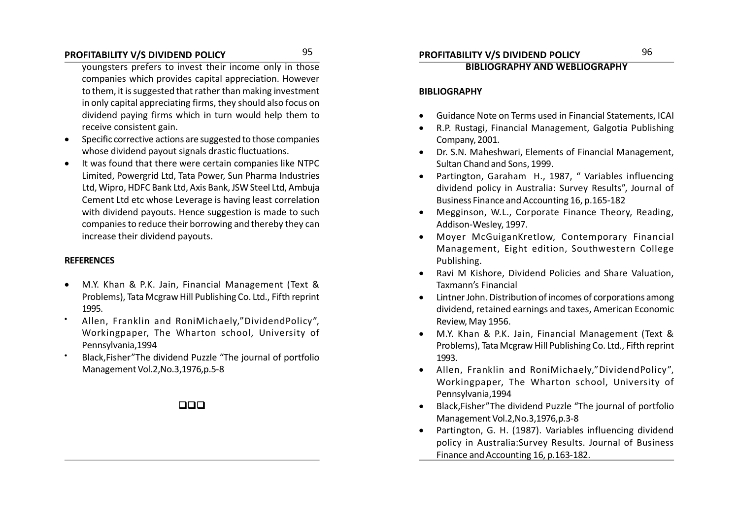### **PROFITABILITY V/S DIVIDEND POLICY PROFITABILITY V/S DIVIDEND POLICY** 95 96

youngsters prefers to invest their income only in those companies which provides capital appreciation. However to them, it is suggested that rather than making investment in only capital appreciating firms, they should also focus on dividend paying firms which in turn would help them to receive consistent gain.

- Specific corrective actions are suggested to those companies whose dividend payout signals drastic fluctuations.
- It was found that there were certain companies like NTPC Limited, Powergrid Ltd, Tata Power, Sun Pharma Industries Ltd, Wipro, HDFC Bank Ltd, Axis Bank, JSW Steel Ltd, Ambuja Cement Ltd etc whose Leverage is having least correlation with dividend payouts. Hence suggestion is made to such companies to reduce their borrowing and thereby they can increase their dividend payouts.

#### **REFERENCES**

- M.Y. Khan & P.K. Jain, Financial Management (Text & Problems), Tata Mcgraw Hill Publishing Co. Ltd., Fifth reprint 1995.
- Allen, Franklin and RoniMichaely,"DividendPolicy", Workingpaper, The Wharton school, University of Pennsylvania,1994
- Black,Fisher"The dividend Puzzle "The journal of portfolio Management Vol.2,No.3,1976,p.5-8

 $\Box$ 

#### **BIBLIOGRAPHY AND WEBLIOGRAPHY**

#### **BIBLIOGRAPHY**

- Guidance Note on Terms used in Financial Statements, ICAI
- R.P. Rustagi, Financial Management, Galgotia Publishing Company, 2001.
- Dr. S.N. Maheshwari, Elements of Financial Management, Sultan Chand and Sons, 1999.
- Partington, Garaham H., 1987, " Variables influencing dividend policy in Australia: Survey Results", Journal of Business Finance and Accounting 16, p.165-182
- Megginson, W.L., Corporate Finance Theory, Reading, Addison-Wesley, 1997.
- Moyer McGuiganKretlow, Contemporary Financial Management, Eight edition, Southwestern College Publishing.
- Ravi M Kishore, Dividend Policies and Share Valuation, Taxmann's Financial
- Lintner John. Distribution of incomes of corporations among dividend, retained earnings and taxes, American Economic Review, May 1956.
- M.Y. Khan & P.K. Jain, Financial Management (Text & Problems), Tata Mcgraw Hill Publishing Co. Ltd., Fifth reprint 1993.
- Allen, Franklin and RoniMichaely,"DividendPolicy", Workingpaper, The Wharton school, University of Pennsylvania,1994
- Black,Fisher"The dividend Puzzle "The journal of portfolio Management Vol.2,No.3,1976,p.3-8
- Partington, G. H. (1987). Variables influencing dividend policy in Australia:Survey Results. Journal of Business Finance and Accounting 16, p.163-182.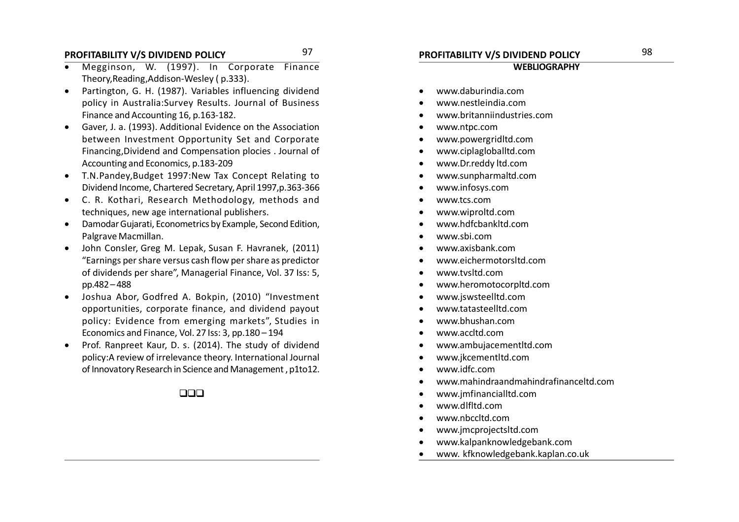### **PROFITABILITY V/S DIVIDEND POLICY PROFITABILITY V/S DIVIDEND POLICY** 97 98

- Megginson, W. (1997). In Corporate Finance Theory,Reading,Addison-Wesley ( p.333).
- Partington, G. H. (1987). Variables influencing dividend policy in Australia:Survey Results. Journal of Business Finance and Accounting 16, p.163-182.
- Gaver, J. a. (1993). Additional Evidence on the Association between Investment Opportunity Set and Corporate Financing,Dividend and Compensation plocies . Journal of Accounting and Economics, p.183-209
- T.N.Pandey,Budget 1997:New Tax Concept Relating to Dividend Income, Chartered Secretary, April 1997,p.363-366
- C. R. Kothari, Research Methodology, methods and techniques, new age international publishers.
- Damodar Gujarati, Econometrics by Example, Second Edition, Palgrave Macmillan.
- John Consler, Greg M. Lepak, Susan F. Havranek, (2011) "Earnings per share versus cash flow per share as predictor of dividends per share", Managerial Finance, Vol. 37 Iss: 5, pp.482 – 488
- Joshua Abor, Godfred A. Bokpin, (2010) "Investment opportunities, corporate finance, and dividend payout policy: Evidence from emerging markets", Studies in Economics and Finance, Vol. 27 Iss: 3, pp.180 – 194
- Prof. Ranpreet Kaur, D. s. (2014). The study of dividend policy:A review of irrelevance theory. International Journal of Innovatory Research in Science and Management , p1to12.

 $\Box \Box \Box$ 

#### **WEBLIOGRAPHY**

- www.daburindia.com
- www.nestleindia.com
- www.britanniindustries.com
- www.ntpc.com
- www.powergridltd.com
- www.ciplagloballtd.com
- www.Dr.reddy ltd.com
- www.sunpharmaltd.com
- www.infosys.com
- www.tcs.com
- www.wiproltd.com
- www.hdfcbankltd.com
- www.sbi.com
- www.axisbank.com
- www.eichermotorsltd.com
- www.tvsltd.com
- www.heromotocorpltd.com
- www.jswsteelltd.com
- www.tatasteelltd.com
- www.bhushan.com
- www.accltd.com
- www.ambujacementltd.com
- www.jkcementltd.com
- www.idfc.com
- www.mahindraandmahindrafinanceltd.com
- www.jmfinancialltd.com
- www.dlfltd.com
- www.nbccltd.com
- www.jmcprojectsltd.com
- www.kalpanknowledgebank.com
- www. kfknowledgebank.kaplan.co.uk